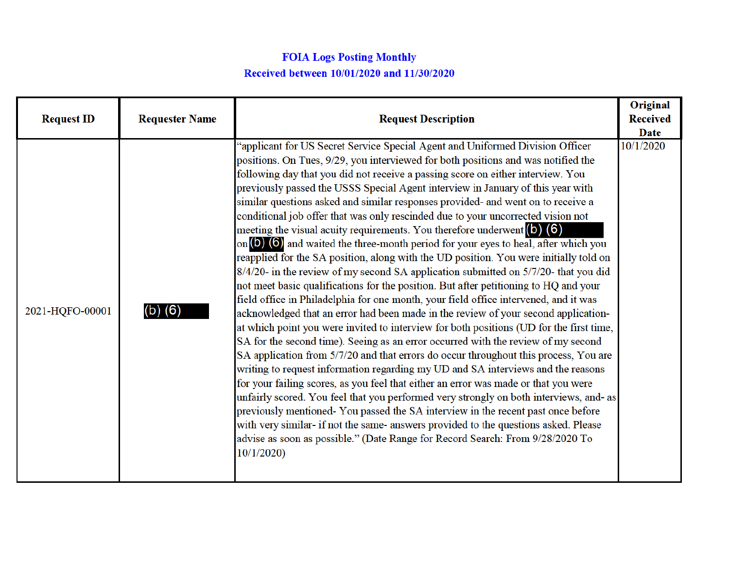## **FOIA Logs Posting Monthly** Received between 10/01/2020 and 11/30/2020

| <b>Request ID</b> | <b>Requester Name</b> | <b>Request Description</b>                                                                                                                                                                                                                                                                                                                                                                                                                                                                                                                                                                                                                                                                                                                                                                                                                                                                                                                                                                                                                                                                                                                                                                                                                                                                                                                                                                                                                                                                                                                                                                                                                                                                                                                                                                                                                                                                                                                                                                        | Original<br><b>Received</b><br><b>Date</b> |
|-------------------|-----------------------|---------------------------------------------------------------------------------------------------------------------------------------------------------------------------------------------------------------------------------------------------------------------------------------------------------------------------------------------------------------------------------------------------------------------------------------------------------------------------------------------------------------------------------------------------------------------------------------------------------------------------------------------------------------------------------------------------------------------------------------------------------------------------------------------------------------------------------------------------------------------------------------------------------------------------------------------------------------------------------------------------------------------------------------------------------------------------------------------------------------------------------------------------------------------------------------------------------------------------------------------------------------------------------------------------------------------------------------------------------------------------------------------------------------------------------------------------------------------------------------------------------------------------------------------------------------------------------------------------------------------------------------------------------------------------------------------------------------------------------------------------------------------------------------------------------------------------------------------------------------------------------------------------------------------------------------------------------------------------------------------------|--------------------------------------------|
| 2021-HQFO-00001   | $(b)$ $(6)$           | "applicant for US Secret Service Special Agent and Uniformed Division Officer<br>positions. On Tues, 9/29, you interviewed for both positions and was notified the<br>following day that you did not receive a passing score on either interview. You<br>previously passed the USSS Special Agent interview in January of this year with<br>similar questions asked and similar responses provided- and went on to receive a<br>conditional job offer that was only rescinded due to your uncorrected vision not<br>meeting the visual acuity requirements. You therefore underwent $(6)$ $(6)$<br>on $\left($ <b>O</b> $\right)$ ( $\odot$ ) and waited the three-month period for your eyes to heal, after which you<br>reapplied for the SA position, along with the UD position. You were initially told on<br>8/4/20- in the review of my second SA application submitted on 5/7/20- that you did<br>not meet basic qualifications for the position. But after petitioning to HQ and your<br>field office in Philadelphia for one month, your field office intervened, and it was<br>acknowledged that an error had been made in the review of your second application-<br>at which point you were invited to interview for both positions (UD for the first time,<br>SA for the second time). Seeing as an error occurred with the review of my second<br>SA application from 5/7/20 and that errors do occur throughout this process, You are<br>writing to request information regarding my UD and SA interviews and the reasons<br>for your failing scores, as you feel that either an error was made or that you were<br>unfairly scored. You feel that you performed very strongly on both interviews, and- as<br>previously mentioned-You passed the SA interview in the recent past once before<br>with very similar- if not the same- answers provided to the questions asked. Please<br>advise as soon as possible." (Date Range for Record Search: From 9/28/2020 To<br>10/1/2020 | 10/1/2020                                  |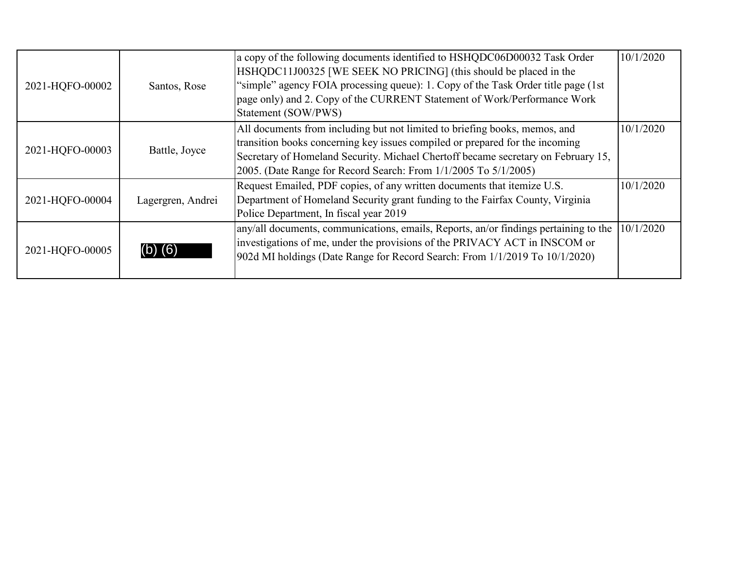| 2021-HQFO-00002 | Santos, Rose      | a copy of the following documents identified to HSHQDC06D00032 Task Order<br>HSHQDC11J00325 [WE SEEK NO PRICING] (this should be placed in the<br>"simple" agency FOIA processing queue): 1. Copy of the Task Order title page (1st)<br>page only) and 2. Copy of the CURRENT Statement of Work/Performance Work<br>Statement (SOW/PWS) | 10/1/2020 |
|-----------------|-------------------|-----------------------------------------------------------------------------------------------------------------------------------------------------------------------------------------------------------------------------------------------------------------------------------------------------------------------------------------|-----------|
| 2021-HQFO-00003 | Battle, Joyce     | All documents from including but not limited to briefing books, memos, and<br>transition books concerning key issues compiled or prepared for the incoming<br>Secretary of Homeland Security. Michael Chertoff became secretary on February 15,<br>2005. (Date Range for Record Search: From 1/1/2005 To 5/1/2005)                      | 10/1/2020 |
| 2021-HQFO-00004 | Lagergren, Andrei | Request Emailed, PDF copies, of any written documents that itemize U.S.<br>Department of Homeland Security grant funding to the Fairfax County, Virginia<br>Police Department, In fiscal year 2019                                                                                                                                      | 10/1/2020 |
| 2021-HQFO-00005 |                   | any/all documents, communications, emails, Reports, an/or findings pertaining to the<br>investigations of me, under the provisions of the PRIVACY ACT in INSCOM or<br>[902d MI holdings (Date Range for Record Search: From 1/1/2019 To 10/1/2020)                                                                                      | 10/1/2020 |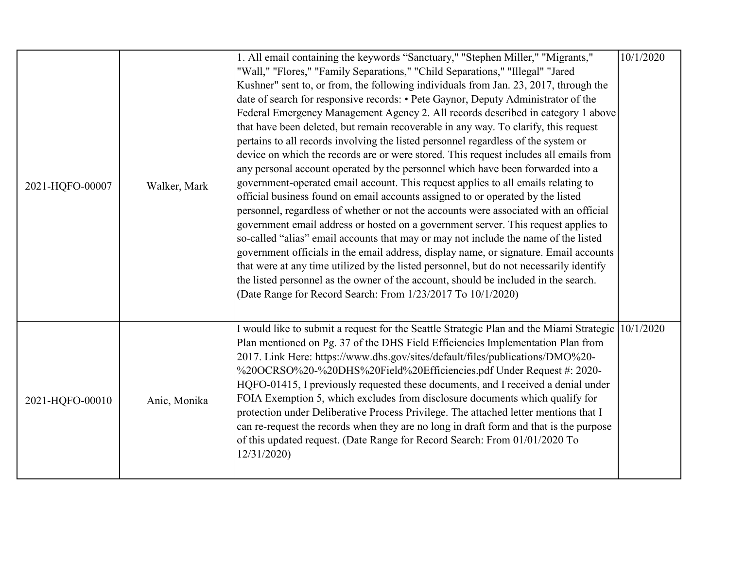| 2021-HQFO-00007 | Walker, Mark | 1. All email containing the keywords "Sanctuary," "Stephen Miller," "Migrants,"<br>"Wall," "Flores," "Family Separations," "Child Separations," "Illegal" "Jared<br>Kushner" sent to, or from, the following individuals from Jan. 23, 2017, through the<br>date of search for responsive records: • Pete Gaynor, Deputy Administrator of the<br>Federal Emergency Management Agency 2. All records described in category 1 above<br>that have been deleted, but remain recoverable in any way. To clarify, this request<br>pertains to all records involving the listed personnel regardless of the system or<br>device on which the records are or were stored. This request includes all emails from<br>any personal account operated by the personnel which have been forwarded into a<br>government-operated email account. This request applies to all emails relating to<br>official business found on email accounts assigned to or operated by the listed<br>personnel, regardless of whether or not the accounts were associated with an official<br>government email address or hosted on a government server. This request applies to<br>so-called "alias" email accounts that may or may not include the name of the listed<br>government officials in the email address, display name, or signature. Email accounts<br>that were at any time utilized by the listed personnel, but do not necessarily identify<br>the listed personnel as the owner of the account, should be included in the search.<br>(Date Range for Record Search: From 1/23/2017 To 10/1/2020) | 10/1/2020 |
|-----------------|--------------|------------------------------------------------------------------------------------------------------------------------------------------------------------------------------------------------------------------------------------------------------------------------------------------------------------------------------------------------------------------------------------------------------------------------------------------------------------------------------------------------------------------------------------------------------------------------------------------------------------------------------------------------------------------------------------------------------------------------------------------------------------------------------------------------------------------------------------------------------------------------------------------------------------------------------------------------------------------------------------------------------------------------------------------------------------------------------------------------------------------------------------------------------------------------------------------------------------------------------------------------------------------------------------------------------------------------------------------------------------------------------------------------------------------------------------------------------------------------------------------------------------------------------------------------------------------------------------|-----------|
| 2021-HQFO-00010 | Anic, Monika | I would like to submit a request for the Seattle Strategic Plan and the Miami Strategic 10/1/2020<br>Plan mentioned on Pg. 37 of the DHS Field Efficiencies Implementation Plan from<br>2017. Link Here: https://www.dhs.gov/sites/default/files/publications/DMO%20-<br>%20OCRSO%20-%20DHS%20Field%20Efficiencies.pdf Under Request #: 2020-<br>HQFO-01415, I previously requested these documents, and I received a denial under<br>FOIA Exemption 5, which excludes from disclosure documents which qualify for<br>protection under Deliberative Process Privilege. The attached letter mentions that I<br>can re-request the records when they are no long in draft form and that is the purpose<br>of this updated request. (Date Range for Record Search: From 01/01/2020 To<br>12/31/2020                                                                                                                                                                                                                                                                                                                                                                                                                                                                                                                                                                                                                                                                                                                                                                                   |           |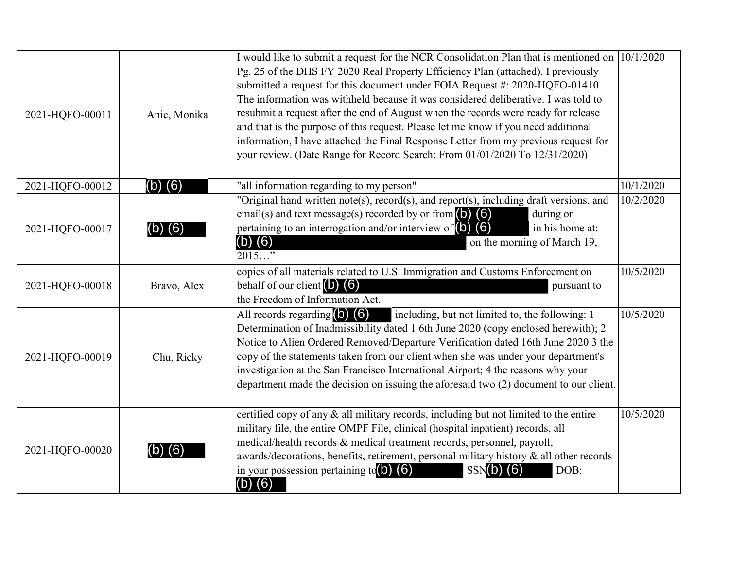| 2021-HQFO-00011 | Anic, Monika | I would like to submit a request for the NCR Consolidation Plan that is mentioned on $(10/1/2020)$<br>Pg. 25 of the DHS FY 2020 Real Property Efficiency Plan (attached). I previously<br>submitted a request for this document under FOIA Request #: 2020-HQFO-01410.<br>The information was withheld because it was considered deliberative. I was told to<br>resubmit a request after the end of August when the records were ready for release<br>and that is the purpose of this request. Please let me know if you need additional<br>information, I have attached the Final Response Letter from my previous request for<br>your review. (Date Range for Record Search: From 01/01/2020 To 12/31/2020) |           |
|-----------------|--------------|---------------------------------------------------------------------------------------------------------------------------------------------------------------------------------------------------------------------------------------------------------------------------------------------------------------------------------------------------------------------------------------------------------------------------------------------------------------------------------------------------------------------------------------------------------------------------------------------------------------------------------------------------------------------------------------------------------------|-----------|
| 2021-HQFO-00012 | $(b)$ $(6)$  | "all information regarding to my person"                                                                                                                                                                                                                                                                                                                                                                                                                                                                                                                                                                                                                                                                      | 10/1/2020 |
| 2021-HQFO-00017 | $(b)$ $(6)$  | "Original hand written note(s), record(s), and report(s), including draft versions, and<br>email(s) and text message(s) recorded by or from $\left( \text{o} \right)$ (6)<br>during or<br>pertaining to an interrogation and/or interview of $(b)$ $(6)$<br>in his home at:<br>$(b)$ $(6)$<br>on the morning of March 19,<br>$2015$ "                                                                                                                                                                                                                                                                                                                                                                         | 10/2/2020 |
| 2021-HQFO-00018 | Bravo, Alex  | copies of all materials related to U.S. Immigration and Customs Enforcement on<br>behalf of our client $(6)$ $(6)$<br>pursuant to<br>the Freedom of Information Act.                                                                                                                                                                                                                                                                                                                                                                                                                                                                                                                                          | 10/5/2020 |
| 2021-HQFO-00019 | Chu, Ricky   | All records regarding (b) (6)<br>including, but not limited to, the following: 1<br>Determination of Inadmissibility dated 1 6th June 2020 (copy enclosed herewith); 2<br>Notice to Alien Ordered Removed/Departure Verification dated 16th June 2020 3 the<br>copy of the statements taken from our client when she was under your department's<br>investigation at the San Francisco International Airport; 4 the reasons why your<br>department made the decision on issuing the aforesaid two (2) document to our client.                                                                                                                                                                                 | 10/5/2020 |
| 2021-HQFO-00020 | (b) (6)      | certified copy of any & all military records, including but not limited to the entire<br>military file, the entire OMPF File, clinical (hospital inpatient) records, all<br>medical/health records & medical treatment records, personnel, payroll,<br>awards/decorations, benefits, retirement, personal military history & all other records<br>in your possession pertaining $\text{tc}(\text{O})$ (6)<br>$SSN(b)$ (6)<br>DOB:<br>$(b)$ $(6)$                                                                                                                                                                                                                                                              | 10/5/2020 |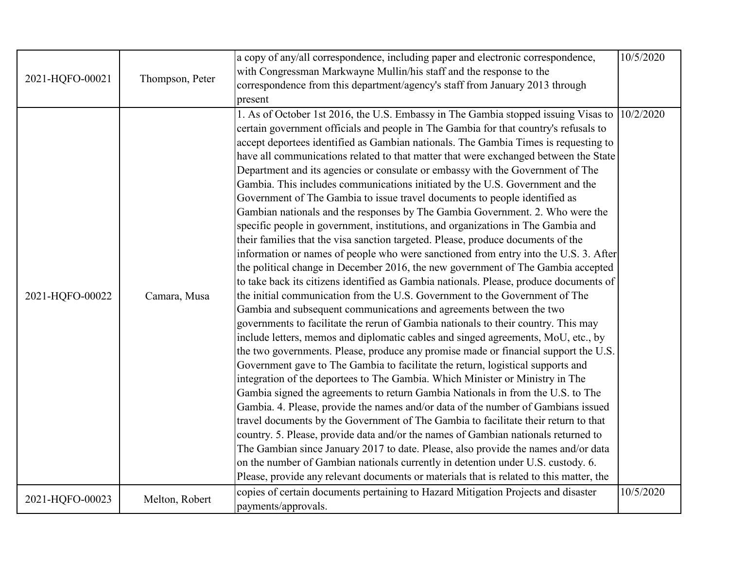| 2021-HQFO-00021 | Thompson, Peter | a copy of any/all correspondence, including paper and electronic correspondence,        | 10/5/2020 |
|-----------------|-----------------|-----------------------------------------------------------------------------------------|-----------|
|                 |                 | with Congressman Markwayne Mullin/his staff and the response to the                     |           |
|                 |                 | correspondence from this department/agency's staff from January 2013 through            |           |
|                 |                 | present                                                                                 |           |
|                 |                 | 1. As of October 1st 2016, the U.S. Embassy in The Gambia stopped issuing Visas to      | 10/2/2020 |
|                 |                 | certain government officials and people in The Gambia for that country's refusals to    |           |
|                 |                 | accept deportees identified as Gambian nationals. The Gambia Times is requesting to     |           |
|                 |                 | have all communications related to that matter that were exchanged between the State    |           |
|                 |                 | Department and its agencies or consulate or embassy with the Government of The          |           |
|                 |                 | Gambia. This includes communications initiated by the U.S. Government and the           |           |
|                 |                 | Government of The Gambia to issue travel documents to people identified as              |           |
|                 |                 | Gambian nationals and the responses by The Gambia Government. 2. Who were the           |           |
|                 |                 | specific people in government, institutions, and organizations in The Gambia and        |           |
|                 |                 | their families that the visa sanction targeted. Please, produce documents of the        |           |
|                 | Camara, Musa    | information or names of people who were sanctioned from entry into the U.S. 3. After    |           |
|                 |                 | the political change in December 2016, the new government of The Gambia accepted        |           |
|                 |                 | to take back its citizens identified as Gambia nationals. Please, produce documents of  |           |
| 2021-HQFO-00022 |                 | the initial communication from the U.S. Government to the Government of The             |           |
|                 |                 | Gambia and subsequent communications and agreements between the two                     |           |
|                 |                 | governments to facilitate the rerun of Gambia nationals to their country. This may      |           |
|                 |                 | include letters, memos and diplomatic cables and singed agreements, MoU, etc., by       |           |
|                 |                 | the two governments. Please, produce any promise made or financial support the U.S.     |           |
|                 |                 | Government gave to The Gambia to facilitate the return, logistical supports and         |           |
|                 |                 | integration of the deportees to The Gambia. Which Minister or Ministry in The           |           |
|                 |                 | Gambia signed the agreements to return Gambia Nationals in from the U.S. to The         |           |
|                 |                 | Gambia. 4. Please, provide the names and/or data of the number of Gambians issued       |           |
|                 |                 | travel documents by the Government of The Gambia to facilitate their return to that     |           |
|                 |                 | country. 5. Please, provide data and/or the names of Gambian nationals returned to      |           |
|                 |                 | The Gambian since January 2017 to date. Please, also provide the names and/or data      |           |
|                 |                 | on the number of Gambian nationals currently in detention under U.S. custody. 6.        |           |
|                 |                 | Please, provide any relevant documents or materials that is related to this matter, the |           |
|                 |                 |                                                                                         |           |
| 2021-HQFO-00023 | Melton, Robert  | copies of certain documents pertaining to Hazard Mitigation Projects and disaster       | 10/5/2020 |
|                 |                 | payments/approvals.                                                                     |           |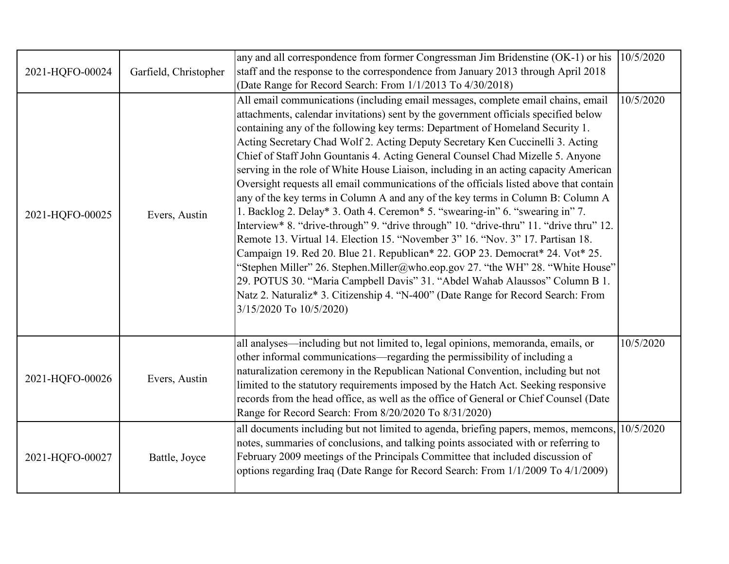| 2021-HQFO-00024 | Garfield, Christopher | any and all correspondence from former Congressman Jim Bridenstine (OK-1) or his<br>staff and the response to the correspondence from January 2013 through April 2018<br>(Date Range for Record Search: From 1/1/2013 To 4/30/2018)                                                                                                                                                                                                                                                                                                                                                                                                                                                                                                                                                                                                                                                                                                                                                                                                                                                                                                                                                                                                                                                                                             | 10/5/2020 |
|-----------------|-----------------------|---------------------------------------------------------------------------------------------------------------------------------------------------------------------------------------------------------------------------------------------------------------------------------------------------------------------------------------------------------------------------------------------------------------------------------------------------------------------------------------------------------------------------------------------------------------------------------------------------------------------------------------------------------------------------------------------------------------------------------------------------------------------------------------------------------------------------------------------------------------------------------------------------------------------------------------------------------------------------------------------------------------------------------------------------------------------------------------------------------------------------------------------------------------------------------------------------------------------------------------------------------------------------------------------------------------------------------|-----------|
| 2021-HQFO-00025 | Evers, Austin         | All email communications (including email messages, complete email chains, email<br>attachments, calendar invitations) sent by the government officials specified below<br>containing any of the following key terms: Department of Homeland Security 1.<br>Acting Secretary Chad Wolf 2. Acting Deputy Secretary Ken Cuccinelli 3. Acting<br>Chief of Staff John Gountanis 4. Acting General Counsel Chad Mizelle 5. Anyone<br>serving in the role of White House Liaison, including in an acting capacity American<br>Oversight requests all email communications of the officials listed above that contain<br>any of the key terms in Column A and any of the key terms in Column B: Column A<br>1. Backlog 2. Delay* 3. Oath 4. Ceremon* 5. "swearing-in" 6. "swearing in" 7.<br>Interview* 8. "drive-through" 9. "drive through" 10. "drive-thru" 11. "drive thru" 12.<br>Remote 13. Virtual 14. Election 15. "November 3" 16. "Nov. 3" 17. Partisan 18.<br>Campaign 19. Red 20. Blue 21. Republican* 22. GOP 23. Democrat* 24. Vot* 25.<br>"Stephen Miller" 26. Stephen. Miller@who.eop.gov 27. "the WH" 28. "White House"<br>29. POTUS 30. "Maria Campbell Davis" 31. "Abdel Wahab Alaussos" Column B 1.<br>Natz 2. Naturaliz* 3. Citizenship 4. "N-400" (Date Range for Record Search: From<br>3/15/2020 To 10/5/2020) | 10/5/2020 |
| 2021-HQFO-00026 | Evers, Austin         | all analyses—including but not limited to, legal opinions, memoranda, emails, or<br>other informal communications—regarding the permissibility of including a<br>naturalization ceremony in the Republican National Convention, including but not<br>limited to the statutory requirements imposed by the Hatch Act. Seeking responsive<br>records from the head office, as well as the office of General or Chief Counsel (Date<br>Range for Record Search: From 8/20/2020 To 8/31/2020)                                                                                                                                                                                                                                                                                                                                                                                                                                                                                                                                                                                                                                                                                                                                                                                                                                       | 10/5/2020 |
| 2021-HQFO-00027 | Battle, Joyce         | all documents including but not limited to agenda, briefing papers, memos, memcons,<br>notes, summaries of conclusions, and talking points associated with or referring to<br>February 2009 meetings of the Principals Committee that included discussion of<br>options regarding Iraq (Date Range for Record Search: From 1/1/2009 To 4/1/2009)                                                                                                                                                                                                                                                                                                                                                                                                                                                                                                                                                                                                                                                                                                                                                                                                                                                                                                                                                                                | 10/5/2020 |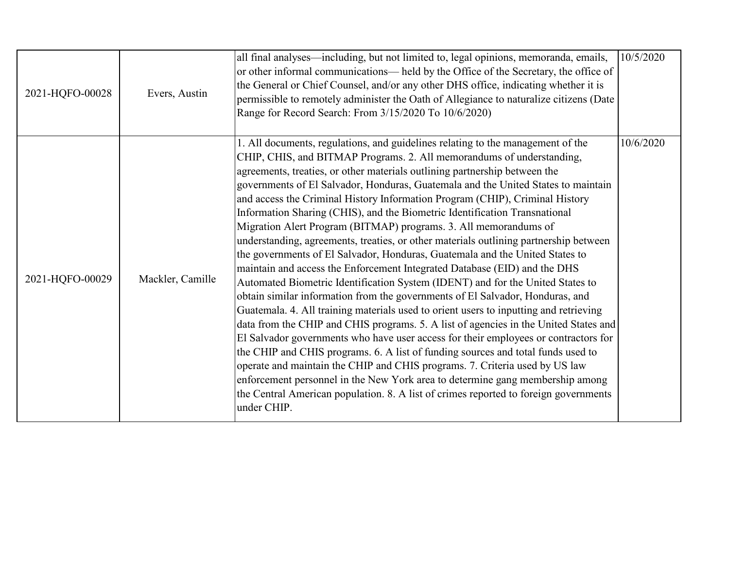| 2021-HQFO-00028 | Evers, Austin    | all final analyses—including, but not limited to, legal opinions, memoranda, emails,<br>or other informal communications— held by the Office of the Secretary, the office of<br>the General or Chief Counsel, and/or any other DHS office, indicating whether it is<br>permissible to remotely administer the Oath of Allegiance to naturalize citizens (Date<br>Range for Record Search: From 3/15/2020 To 10/6/2020)                                                                                                                                                                                                                                                                                                                                                                                                                                                                                                                                                                                                                                                                                                                                                                                                                                                                                                                                                                                                                                                                                                                                                                                                    | 10/5/2020 |
|-----------------|------------------|---------------------------------------------------------------------------------------------------------------------------------------------------------------------------------------------------------------------------------------------------------------------------------------------------------------------------------------------------------------------------------------------------------------------------------------------------------------------------------------------------------------------------------------------------------------------------------------------------------------------------------------------------------------------------------------------------------------------------------------------------------------------------------------------------------------------------------------------------------------------------------------------------------------------------------------------------------------------------------------------------------------------------------------------------------------------------------------------------------------------------------------------------------------------------------------------------------------------------------------------------------------------------------------------------------------------------------------------------------------------------------------------------------------------------------------------------------------------------------------------------------------------------------------------------------------------------------------------------------------------------|-----------|
| 2021-HQFO-00029 | Mackler, Camille | 1. All documents, regulations, and guidelines relating to the management of the<br>CHIP, CHIS, and BITMAP Programs. 2. All memorandums of understanding,<br>agreements, treaties, or other materials outlining partnership between the<br>governments of El Salvador, Honduras, Guatemala and the United States to maintain<br>and access the Criminal History Information Program (CHIP), Criminal History<br>Information Sharing (CHIS), and the Biometric Identification Transnational<br>Migration Alert Program (BITMAP) programs. 3. All memorandums of<br>understanding, agreements, treaties, or other materials outlining partnership between<br>the governments of El Salvador, Honduras, Guatemala and the United States to<br>maintain and access the Enforcement Integrated Database (EID) and the DHS<br>Automated Biometric Identification System (IDENT) and for the United States to<br>obtain similar information from the governments of El Salvador, Honduras, and<br>Guatemala. 4. All training materials used to orient users to inputting and retrieving<br>data from the CHIP and CHIS programs. 5. A list of agencies in the United States and<br>El Salvador governments who have user access for their employees or contractors for<br>the CHIP and CHIS programs. 6. A list of funding sources and total funds used to<br>operate and maintain the CHIP and CHIS programs. 7. Criteria used by US law<br>enforcement personnel in the New York area to determine gang membership among<br>the Central American population. 8. A list of crimes reported to foreign governments<br>under CHIP. | 10/6/2020 |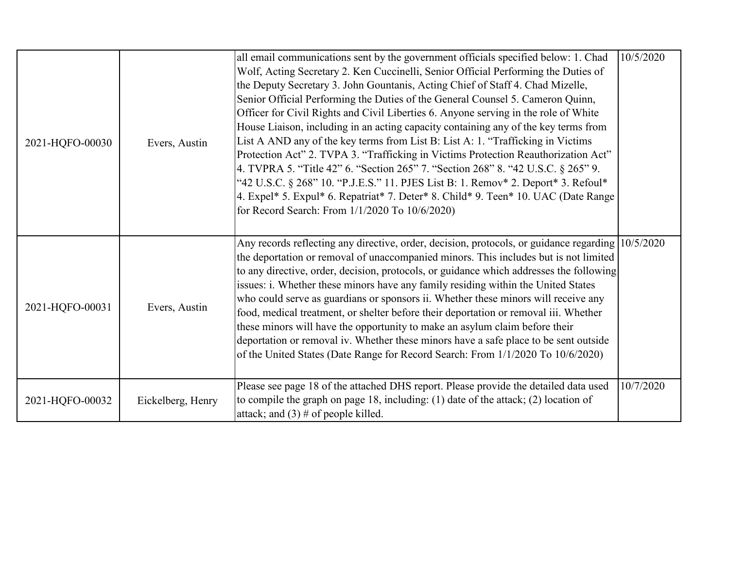| 2021-HQFO-00030 | Evers, Austin     | all email communications sent by the government officials specified below: 1. Chad<br>Wolf, Acting Secretary 2. Ken Cuccinelli, Senior Official Performing the Duties of<br>the Deputy Secretary 3. John Gountanis, Acting Chief of Staff 4. Chad Mizelle,<br>Senior Official Performing the Duties of the General Counsel 5. Cameron Quinn,<br>Officer for Civil Rights and Civil Liberties 6. Anyone serving in the role of White<br>House Liaison, including in an acting capacity containing any of the key terms from<br>List A AND any of the key terms from List B: List A: 1. "Trafficking in Victims<br>Protection Act" 2. TVPA 3. "Trafficking in Victims Protection Reauthorization Act"<br>4. TVPRA 5. "Title 42" 6. "Section 265" 7. "Section 268" 8. "42 U.S.C. § 265" 9.<br>"42 U.S.C. § 268" 10. "P.J.E.S." 11. PJES List B: 1. Remov* 2. Deport* 3. Refoul*<br>4. Expel* 5. Expul* 6. Repatriat* 7. Deter* 8. Child* 9. Teen* 10. UAC (Date Range<br>for Record Search: From 1/1/2020 To 10/6/2020) | 10/5/2020 |
|-----------------|-------------------|----------------------------------------------------------------------------------------------------------------------------------------------------------------------------------------------------------------------------------------------------------------------------------------------------------------------------------------------------------------------------------------------------------------------------------------------------------------------------------------------------------------------------------------------------------------------------------------------------------------------------------------------------------------------------------------------------------------------------------------------------------------------------------------------------------------------------------------------------------------------------------------------------------------------------------------------------------------------------------------------------------------------|-----------|
| 2021-HQFO-00031 | Evers, Austin     | Any records reflecting any directive, order, decision, protocols, or guidance regarding 10/5/2020<br>the deportation or removal of unaccompanied minors. This includes but is not limited<br>to any directive, order, decision, protocols, or guidance which addresses the following<br>issues: i. Whether these minors have any family residing within the United States<br>who could serve as guardians or sponsors ii. Whether these minors will receive any<br>food, medical treatment, or shelter before their deportation or removal iii. Whether<br>these minors will have the opportunity to make an asylum claim before their<br>deportation or removal iv. Whether these minors have a safe place to be sent outside<br>of the United States (Date Range for Record Search: From 1/1/2020 To 10/6/2020)                                                                                                                                                                                                    |           |
| 2021-HQFO-00032 | Eickelberg, Henry | Please see page 18 of the attached DHS report. Please provide the detailed data used<br>to compile the graph on page 18, including: $(1)$ date of the attack; $(2)$ location of<br>attack; and $(3)$ # of people killed.                                                                                                                                                                                                                                                                                                                                                                                                                                                                                                                                                                                                                                                                                                                                                                                             | 10/7/2020 |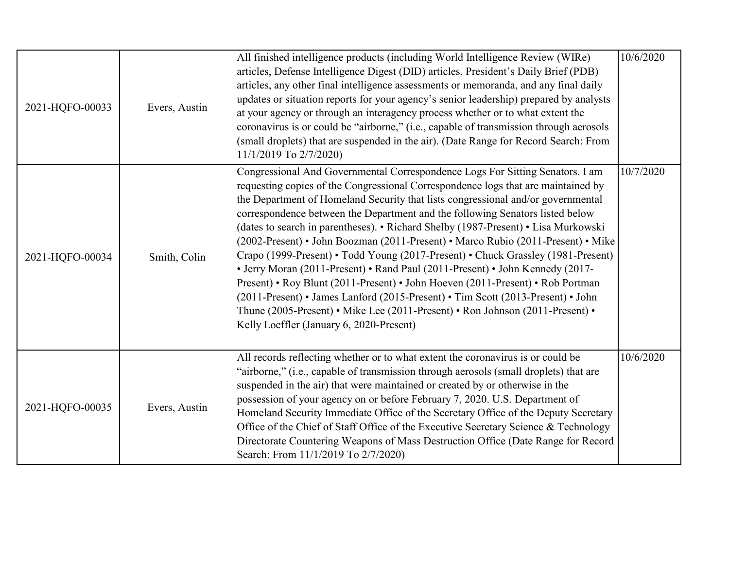| 2021-HQFO-00033 | Evers, Austin | All finished intelligence products (including World Intelligence Review (WIRe)<br>articles, Defense Intelligence Digest (DID) articles, President's Daily Brief (PDB)<br>articles, any other final intelligence assessments or memoranda, and any final daily<br>updates or situation reports for your agency's senior leadership) prepared by analysts<br>at your agency or through an interagency process whether or to what extent the<br>coronavirus is or could be "airborne," (i.e., capable of transmission through aerosols<br>(small droplets) that are suspended in the air). (Date Range for Record Search: From<br>11/1/2019 To 2/7/2020)                                                                                                                                                                                                                                                                                                                                    | 10/6/2020 |
|-----------------|---------------|------------------------------------------------------------------------------------------------------------------------------------------------------------------------------------------------------------------------------------------------------------------------------------------------------------------------------------------------------------------------------------------------------------------------------------------------------------------------------------------------------------------------------------------------------------------------------------------------------------------------------------------------------------------------------------------------------------------------------------------------------------------------------------------------------------------------------------------------------------------------------------------------------------------------------------------------------------------------------------------|-----------|
| 2021-HQFO-00034 | Smith, Colin  | Congressional And Governmental Correspondence Logs For Sitting Senators. I am<br>requesting copies of the Congressional Correspondence logs that are maintained by<br>the Department of Homeland Security that lists congressional and/or governmental<br>correspondence between the Department and the following Senators listed below<br>(dates to search in parentheses). • Richard Shelby (1987-Present) • Lisa Murkowski<br>(2002-Present) • John Boozman (2011-Present) • Marco Rubio (2011-Present) • Mike<br>Crapo (1999-Present) • Todd Young (2017-Present) • Chuck Grassley (1981-Present)<br>• Jerry Moran (2011-Present) • Rand Paul (2011-Present) • John Kennedy (2017-<br>Present) • Roy Blunt (2011-Present) • John Hoeven (2011-Present) • Rob Portman<br>(2011-Present) • James Lanford (2015-Present) • Tim Scott (2013-Present) • John<br>Thune (2005-Present) • Mike Lee (2011-Present) • Ron Johnson (2011-Present) •<br>Kelly Loeffler (January 6, 2020-Present) | 10/7/2020 |
| 2021-HQFO-00035 | Evers, Austin | All records reflecting whether or to what extent the coronavirus is or could be<br>"airborne," (i.e., capable of transmission through aerosols (small droplets) that are<br>suspended in the air) that were maintained or created by or otherwise in the<br>possession of your agency on or before February 7, 2020. U.S. Department of<br>Homeland Security Immediate Office of the Secretary Office of the Deputy Secretary<br>Office of the Chief of Staff Office of the Executive Secretary Science & Technology<br>Directorate Countering Weapons of Mass Destruction Office (Date Range for Record<br>Search: From 11/1/2019 To 2/7/2020)                                                                                                                                                                                                                                                                                                                                          | 10/6/2020 |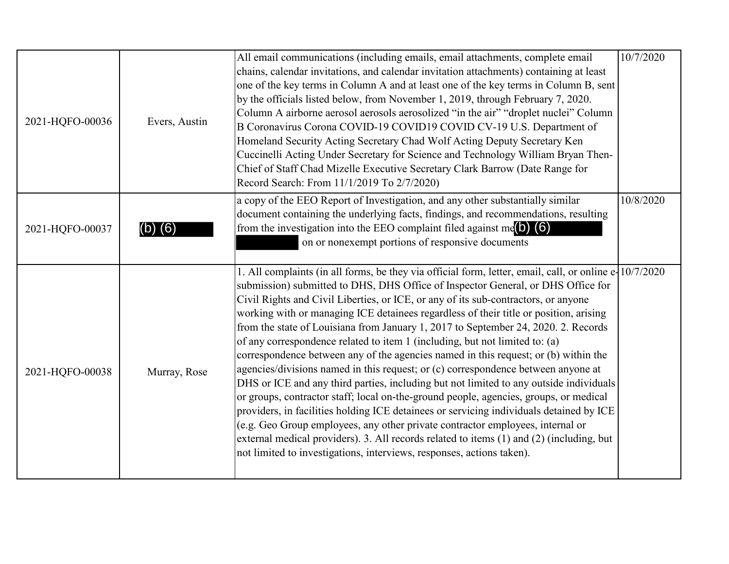| 2021-HQFO-00036 | Evers, Austin | All email communications (including emails, email attachments, complete email<br>chains, calendar invitations, and calendar invitation attachments) containing at least<br>one of the key terms in Column A and at least one of the key terms in Column B, sent<br>by the officials listed below, from November 1, 2019, through February 7, 2020.<br>Column A airborne aerosol aerosols aerosolized "in the air" "droplet nuclei" Column<br>B Coronavirus Corona COVID-19 COVID19 COVID CV-19 U.S. Department of<br>Homeland Security Acting Secretary Chad Wolf Acting Deputy Secretary Ken<br>Cuccinelli Acting Under Secretary for Science and Technology William Bryan Then-<br>Chief of Staff Chad Mizelle Executive Secretary Clark Barrow (Date Range for<br>Record Search: From 11/1/2019 To 2/7/2020)                                                                                                                                                                                                                                                                                                                                                                                                                                                 | 10/7/2020 |
|-----------------|---------------|-----------------------------------------------------------------------------------------------------------------------------------------------------------------------------------------------------------------------------------------------------------------------------------------------------------------------------------------------------------------------------------------------------------------------------------------------------------------------------------------------------------------------------------------------------------------------------------------------------------------------------------------------------------------------------------------------------------------------------------------------------------------------------------------------------------------------------------------------------------------------------------------------------------------------------------------------------------------------------------------------------------------------------------------------------------------------------------------------------------------------------------------------------------------------------------------------------------------------------------------------------------------|-----------|
| 2021-HQFO-00037 | (6)           | a copy of the EEO Report of Investigation, and any other substantially similar<br>document containing the underlying facts, findings, and recommendations, resulting<br>from the investigation into the EEO complaint filed against me( $\bigcirc$ ) (6)<br>on or nonexempt portions of responsive documents                                                                                                                                                                                                                                                                                                                                                                                                                                                                                                                                                                                                                                                                                                                                                                                                                                                                                                                                                    | 10/8/2020 |
| 2021-HQFO-00038 | Murray, Rose  | 1. All complaints (in all forms, be they via official form, letter, email, call, or online e-10/7/2020<br>submission) submitted to DHS, DHS Office of Inspector General, or DHS Office for<br>Civil Rights and Civil Liberties, or ICE, or any of its sub-contractors, or anyone<br>working with or managing ICE detainees regardless of their title or position, arising<br>from the state of Louisiana from January 1, 2017 to September 24, 2020. 2. Records<br>of any correspondence related to item 1 (including, but not limited to: (a)<br>correspondence between any of the agencies named in this request; or (b) within the<br>agencies/divisions named in this request; or (c) correspondence between anyone at<br>DHS or ICE and any third parties, including but not limited to any outside individuals<br>or groups, contractor staff; local on-the-ground people, agencies, groups, or medical<br>providers, in facilities holding ICE detainees or servicing individuals detained by ICE<br>(e.g. Geo Group employees, any other private contractor employees, internal or<br>external medical providers). 3. All records related to items (1) and (2) (including, but<br>not limited to investigations, interviews, responses, actions taken). |           |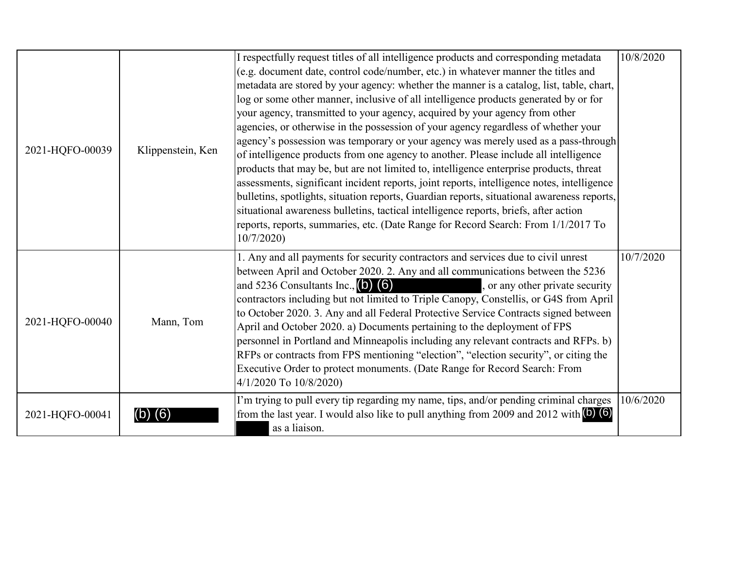| 2021-HQFO-00039 | Klippenstein, Ken | I respectfully request titles of all intelligence products and corresponding metadata<br>(e.g. document date, control code/number, etc.) in whatever manner the titles and<br>metadata are stored by your agency: whether the manner is a catalog, list, table, chart,<br>log or some other manner, inclusive of all intelligence products generated by or for<br>your agency, transmitted to your agency, acquired by your agency from other<br>agencies, or otherwise in the possession of your agency regardless of whether your<br>agency's possession was temporary or your agency was merely used as a pass-through<br>of intelligence products from one agency to another. Please include all intelligence<br>products that may be, but are not limited to, intelligence enterprise products, threat<br>assessments, significant incident reports, joint reports, intelligence notes, intelligence<br>bulletins, spotlights, situation reports, Guardian reports, situational awareness reports,<br>situational awareness bulletins, tactical intelligence reports, briefs, after action<br>reports, reports, summaries, etc. (Date Range for Record Search: From 1/1/2017 To<br>10/7/2020 | 10/8/2020 |
|-----------------|-------------------|---------------------------------------------------------------------------------------------------------------------------------------------------------------------------------------------------------------------------------------------------------------------------------------------------------------------------------------------------------------------------------------------------------------------------------------------------------------------------------------------------------------------------------------------------------------------------------------------------------------------------------------------------------------------------------------------------------------------------------------------------------------------------------------------------------------------------------------------------------------------------------------------------------------------------------------------------------------------------------------------------------------------------------------------------------------------------------------------------------------------------------------------------------------------------------------------------|-----------|
| 2021-HQFO-00040 | Mann, Tom         | 1. Any and all payments for security contractors and services due to civil unrest<br>between April and October 2020. 2. Any and all communications between the 5236<br>and 5236 Consultants Inc., $(b)$ $(6)$<br>, or any other private security<br>contractors including but not limited to Triple Canopy, Constellis, or G4S from April<br>to October 2020. 3. Any and all Federal Protective Service Contracts signed between<br>April and October 2020. a) Documents pertaining to the deployment of FPS<br>personnel in Portland and Minneapolis including any relevant contracts and RFPs. b)<br>RFPs or contracts from FPS mentioning "election", "election security", or citing the<br>Executive Order to protect monuments. (Date Range for Record Search: From<br>4/1/2020 To 10/8/2020)                                                                                                                                                                                                                                                                                                                                                                                                | 10/7/2020 |
| 2021-HQFO-00041 |                   | I'm trying to pull every tip regarding my name, tips, and/or pending criminal charges<br>from the last year. I would also like to pull anything from 2009 and 2012 with (b) (6)<br>as a liaison.                                                                                                                                                                                                                                                                                                                                                                                                                                                                                                                                                                                                                                                                                                                                                                                                                                                                                                                                                                                                  | 10/6/2020 |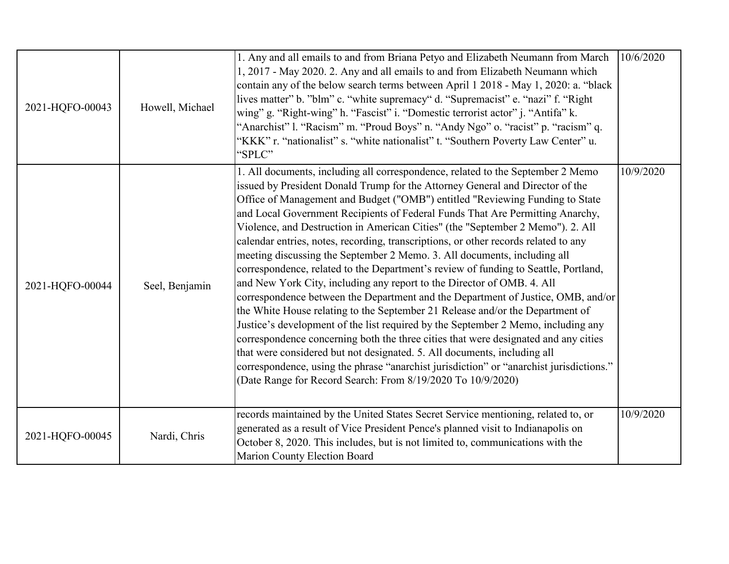| 2021-HQFO-00043 | Howell, Michael | 1. Any and all emails to and from Briana Petyo and Elizabeth Neumann from March<br>1, 2017 - May 2020. 2. Any and all emails to and from Elizabeth Neumann which<br>contain any of the below search terms between April 1 2018 - May 1, 2020: a. "black<br>lives matter" b. "blm" c. "white supremacy" d. "Supremacist" e. "nazi" f. "Right"<br>wing" g. "Right-wing" h. "Fascist" i. "Domestic terrorist actor" j. "Antifa" k.<br>"Anarchist" l. "Racism" m. "Proud Boys" n. "Andy Ngo" o. "racist" p. "racism" q.<br>'KKK" r. "nationalist" s. "white nationalist" t. "Southern Poverty Law Center" u.<br>"SPLC"                                                                                                                                                                                                                                                                                                                                                                                                                                                                                                                                                                                                                                                                                                                             | 10/6/2020 |
|-----------------|-----------------|------------------------------------------------------------------------------------------------------------------------------------------------------------------------------------------------------------------------------------------------------------------------------------------------------------------------------------------------------------------------------------------------------------------------------------------------------------------------------------------------------------------------------------------------------------------------------------------------------------------------------------------------------------------------------------------------------------------------------------------------------------------------------------------------------------------------------------------------------------------------------------------------------------------------------------------------------------------------------------------------------------------------------------------------------------------------------------------------------------------------------------------------------------------------------------------------------------------------------------------------------------------------------------------------------------------------------------------------|-----------|
| 2021-HQFO-00044 | Seel, Benjamin  | 1. All documents, including all correspondence, related to the September 2 Memo<br>issued by President Donald Trump for the Attorney General and Director of the<br>Office of Management and Budget ("OMB") entitled "Reviewing Funding to State<br>and Local Government Recipients of Federal Funds That Are Permitting Anarchy,<br>Violence, and Destruction in American Cities" (the "September 2 Memo"). 2. All<br>calendar entries, notes, recording, transcriptions, or other records related to any<br>meeting discussing the September 2 Memo. 3. All documents, including all<br>correspondence, related to the Department's review of funding to Seattle, Portland,<br>and New York City, including any report to the Director of OMB. 4. All<br>correspondence between the Department and the Department of Justice, OMB, and/or<br>the White House relating to the September 21 Release and/or the Department of<br>Justice's development of the list required by the September 2 Memo, including any<br>correspondence concerning both the three cities that were designated and any cities<br>that were considered but not designated. 5. All documents, including all<br>correspondence, using the phrase "anarchist jurisdiction" or "anarchist jurisdictions."<br>(Date Range for Record Search: From 8/19/2020 To 10/9/2020) | 10/9/2020 |
| 2021-HQFO-00045 | Nardi, Chris    | records maintained by the United States Secret Service mentioning, related to, or<br>generated as a result of Vice President Pence's planned visit to Indianapolis on<br>October 8, 2020. This includes, but is not limited to, communications with the<br>Marion County Election Board                                                                                                                                                                                                                                                                                                                                                                                                                                                                                                                                                                                                                                                                                                                                                                                                                                                                                                                                                                                                                                                        | 10/9/2020 |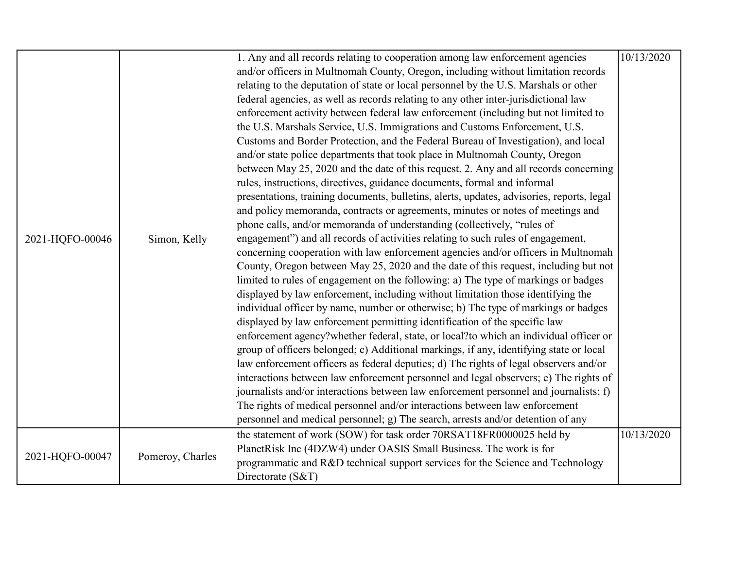|                 |                  | 1. Any and all records relating to cooperation among law enforcement agencies             | 10/13/2020 |
|-----------------|------------------|-------------------------------------------------------------------------------------------|------------|
|                 |                  | and/or officers in Multnomah County, Oregon, including without limitation records         |            |
|                 |                  | relating to the deputation of state or local personnel by the U.S. Marshals or other      |            |
|                 |                  | federal agencies, as well as records relating to any other inter-jurisdictional law       |            |
|                 |                  | enforcement activity between federal law enforcement (including but not limited to        |            |
|                 |                  | the U.S. Marshals Service, U.S. Immigrations and Customs Enforcement, U.S.                |            |
|                 |                  | Customs and Border Protection, and the Federal Bureau of Investigation), and local        |            |
|                 |                  | and/or state police departments that took place in Multnomah County, Oregon               |            |
|                 |                  | between May 25, 2020 and the date of this request. 2. Any and all records concerning      |            |
|                 |                  | rules, instructions, directives, guidance documents, formal and informal                  |            |
|                 |                  | presentations, training documents, bulletins, alerts, updates, advisories, reports, legal |            |
|                 |                  | and policy memoranda, contracts or agreements, minutes or notes of meetings and           |            |
|                 | Simon, Kelly     | phone calls, and/or memoranda of understanding (collectively, "rules of                   |            |
| 2021-HQFO-00046 |                  | engagement") and all records of activities relating to such rules of engagement,          |            |
|                 |                  | concerning cooperation with law enforcement agencies and/or officers in Multnomah         |            |
|                 |                  | County, Oregon between May 25, 2020 and the date of this request, including but not       |            |
|                 |                  | limited to rules of engagement on the following: a) The type of markings or badges        |            |
|                 |                  | displayed by law enforcement, including without limitation those identifying the          |            |
|                 |                  | individual officer by name, number or otherwise; b) The type of markings or badges        |            |
|                 |                  | displayed by law enforcement permitting identification of the specific law                |            |
|                 |                  | enforcement agency?whether federal, state, or local?to which an individual officer or     |            |
|                 |                  | group of officers belonged; c) Additional markings, if any, identifying state or local    |            |
|                 |                  | law enforcement officers as federal deputies; d) The rights of legal observers and/or     |            |
|                 |                  | interactions between law enforcement personnel and legal observers; e) The rights of      |            |
|                 |                  | journalists and/or interactions between law enforcement personnel and journalists; f)     |            |
|                 |                  | The rights of medical personnel and/or interactions between law enforcement               |            |
|                 |                  | personnel and medical personnel; g) The search, arrests and/or detention of any           |            |
|                 |                  | the statement of work (SOW) for task order 70RSAT18FR0000025 held by                      | 10/13/2020 |
|                 |                  | PlanetRisk Inc (4DZW4) under OASIS Small Business. The work is for                        |            |
| 2021-HQFO-00047 | Pomeroy, Charles | programmatic and R&D technical support services for the Science and Technology            |            |
|                 |                  | Directorate (S&T)                                                                         |            |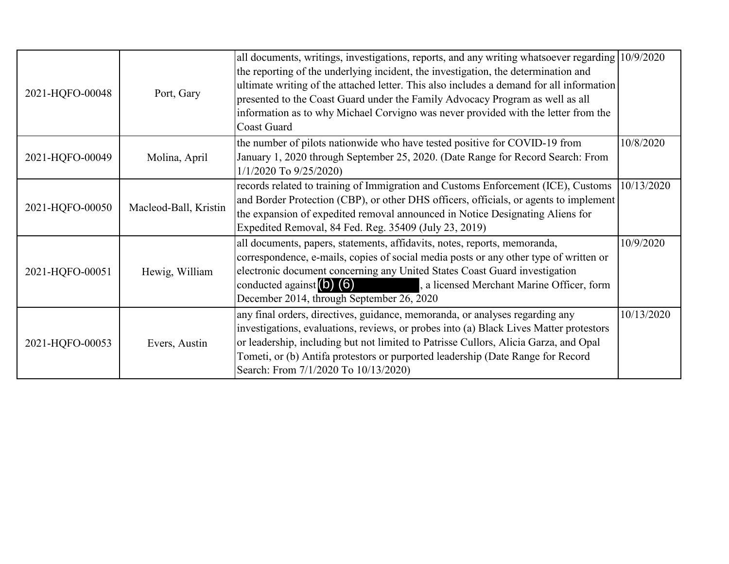| 2021-HQFO-00048 | Port, Gary            | all documents, writings, investigations, reports, and any writing whatsoever regarding 10/9/2020<br>the reporting of the underlying incident, the investigation, the determination and<br>ultimate writing of the attached letter. This also includes a demand for all information<br>presented to the Coast Guard under the Family Advocacy Program as well as all<br>information as to why Michael Corvigno was never provided with the letter from the<br><b>Coast Guard</b> |            |
|-----------------|-----------------------|---------------------------------------------------------------------------------------------------------------------------------------------------------------------------------------------------------------------------------------------------------------------------------------------------------------------------------------------------------------------------------------------------------------------------------------------------------------------------------|------------|
| 2021-HQFO-00049 | Molina, April         | the number of pilots nationwide who have tested positive for COVID-19 from<br>January 1, 2020 through September 25, 2020. (Date Range for Record Search: From<br>$1/1/2020$ To $9/25/2020$                                                                                                                                                                                                                                                                                      | 10/8/2020  |
| 2021-HQFO-00050 | Macleod-Ball, Kristin | records related to training of Immigration and Customs Enforcement (ICE), Customs<br>and Border Protection (CBP), or other DHS officers, officials, or agents to implement<br>the expansion of expedited removal announced in Notice Designating Aliens for<br>Expedited Removal, 84 Fed. Reg. 35409 (July 23, 2019)                                                                                                                                                            | 10/13/2020 |
| 2021-HQFO-00051 | Hewig, William        | all documents, papers, statements, affidavits, notes, reports, memoranda,<br>correspondence, e-mails, copies of social media posts or any other type of written or<br>electronic document concerning any United States Coast Guard investigation<br>conducted against $(b)$ $(6)$<br>, a licensed Merchant Marine Officer, form<br>December 2014, through September 26, 2020                                                                                                    | 10/9/2020  |
| 2021-HQFO-00053 | Evers, Austin         | any final orders, directives, guidance, memoranda, or analyses regarding any<br>investigations, evaluations, reviews, or probes into (a) Black Lives Matter protestors<br>or leadership, including but not limited to Patrisse Cullors, Alicia Garza, and Opal<br>Tometi, or (b) Antifa protestors or purported leadership (Date Range for Record<br>Search: From 7/1/2020 To 10/13/2020)                                                                                       | 10/13/2020 |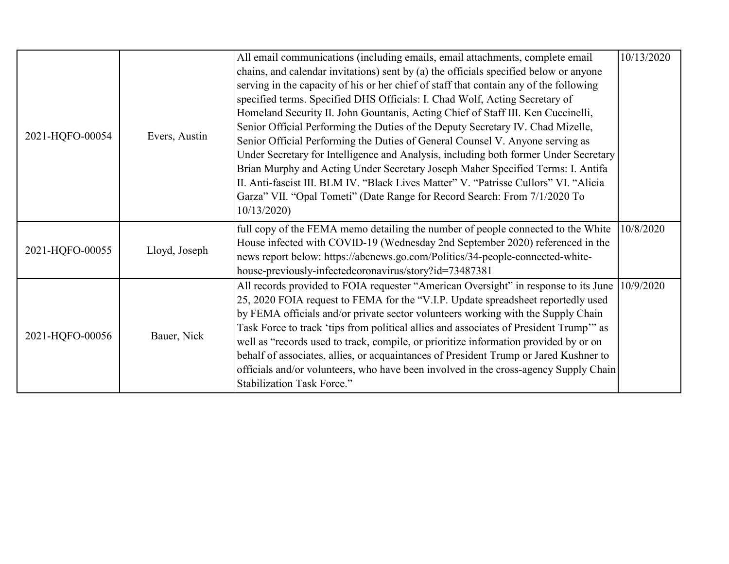|                 |               | All email communications (including emails, email attachments, complete email          | 10/13/2020 |
|-----------------|---------------|----------------------------------------------------------------------------------------|------------|
|                 |               | chains, and calendar invitations) sent by (a) the officials specified below or anyone  |            |
|                 |               | serving in the capacity of his or her chief of staff that contain any of the following |            |
|                 |               | specified terms. Specified DHS Officials: I. Chad Wolf, Acting Secretary of            |            |
|                 |               | Homeland Security II. John Gountanis, Acting Chief of Staff III. Ken Cuccinelli,       |            |
|                 |               | Senior Official Performing the Duties of the Deputy Secretary IV. Chad Mizelle,        |            |
| 2021-HQFO-00054 | Evers, Austin | Senior Official Performing the Duties of General Counsel V. Anyone serving as          |            |
|                 |               | Under Secretary for Intelligence and Analysis, including both former Under Secretary   |            |
|                 |               | Brian Murphy and Acting Under Secretary Joseph Maher Specified Terms: I. Antifa        |            |
|                 |               | II. Anti-fascist III. BLM IV. "Black Lives Matter" V. "Patrisse Cullors" VI. "Alicia   |            |
|                 |               | Garza" VII. "Opal Tometi" (Date Range for Record Search: From 7/1/2020 To              |            |
|                 |               | 10/13/2020                                                                             |            |
|                 |               | full copy of the FEMA memo detailing the number of people connected to the White       | 10/8/2020  |
|                 |               | House infected with COVID-19 (Wednesday 2nd September 2020) referenced in the          |            |
| 2021-HQFO-00055 | Lloyd, Joseph | news report below: https://abcnews.go.com/Politics/34-people-connected-white-          |            |
|                 |               | house-previously-infectedcoronavirus/story?id=73487381                                 |            |
|                 |               | All records provided to FOIA requester "American Oversight" in response to its June    | 10/9/2020  |
|                 |               | 25, 2020 FOIA request to FEMA for the "V.I.P. Update spreadsheet reportedly used       |            |
|                 |               | by FEMA officials and/or private sector volunteers working with the Supply Chain       |            |
|                 |               | Task Force to track 'tips from political allies and associates of President Trump" as  |            |
| 2021-HQFO-00056 | Bauer, Nick   | well as "records used to track, compile, or prioritize information provided by or on   |            |
|                 |               | behalf of associates, allies, or acquaintances of President Trump or Jared Kushner to  |            |
|                 |               | officials and/or volunteers, who have been involved in the cross-agency Supply Chain   |            |
|                 |               | Stabilization Task Force."                                                             |            |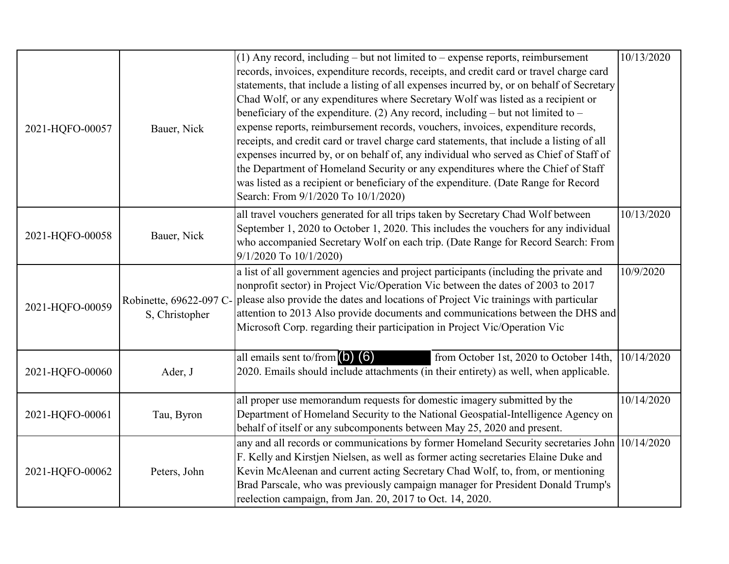| 2021-HQFO-00057 | Bauer, Nick                               | $(1)$ Any record, including – but not limited to – expense reports, reimbursement<br>records, invoices, expenditure records, receipts, and credit card or travel charge card<br>statements, that include a listing of all expenses incurred by, or on behalf of Secretary<br>Chad Wolf, or any expenditures where Secretary Wolf was listed as a recipient or<br>beneficiary of the expenditure. (2) Any record, including – but not limited to –<br>expense reports, reimbursement records, vouchers, invoices, expenditure records,<br>receipts, and credit card or travel charge card statements, that include a listing of all<br>expenses incurred by, or on behalf of, any individual who served as Chief of Staff of<br>the Department of Homeland Security or any expenditures where the Chief of Staff<br>was listed as a recipient or beneficiary of the expenditure. (Date Range for Record<br>Search: From 9/1/2020 To 10/1/2020) | 10/13/2020 |
|-----------------|-------------------------------------------|-----------------------------------------------------------------------------------------------------------------------------------------------------------------------------------------------------------------------------------------------------------------------------------------------------------------------------------------------------------------------------------------------------------------------------------------------------------------------------------------------------------------------------------------------------------------------------------------------------------------------------------------------------------------------------------------------------------------------------------------------------------------------------------------------------------------------------------------------------------------------------------------------------------------------------------------------|------------|
| 2021-HQFO-00058 | Bauer, Nick                               | all travel vouchers generated for all trips taken by Secretary Chad Wolf between<br>September 1, 2020 to October 1, 2020. This includes the vouchers for any individual<br>who accompanied Secretary Wolf on each trip. (Date Range for Record Search: From<br>9/1/2020 To 10/1/2020)                                                                                                                                                                                                                                                                                                                                                                                                                                                                                                                                                                                                                                                         | 10/13/2020 |
| 2021-HQFO-00059 | Robinette, 69622-097 C-<br>S, Christopher | a list of all government agencies and project participants (including the private and<br>nonprofit sector) in Project Vic/Operation Vic between the dates of 2003 to 2017<br>please also provide the dates and locations of Project Vic trainings with particular<br>attention to 2013 Also provide documents and communications between the DHS and<br>Microsoft Corp. regarding their participation in Project Vic/Operation Vic                                                                                                                                                                                                                                                                                                                                                                                                                                                                                                            | 10/9/2020  |
| 2021-HQFO-00060 | Ader, J                                   | all emails sent to/from $(b)$ $(6)$<br>from October 1st, 2020 to October 14th,<br>2020. Emails should include attachments (in their entirety) as well, when applicable.                                                                                                                                                                                                                                                                                                                                                                                                                                                                                                                                                                                                                                                                                                                                                                       | 10/14/2020 |
| 2021-HQFO-00061 | Tau, Byron                                | all proper use memorandum requests for domestic imagery submitted by the<br>Department of Homeland Security to the National Geospatial-Intelligence Agency on<br>behalf of itself or any subcomponents between May 25, 2020 and present.                                                                                                                                                                                                                                                                                                                                                                                                                                                                                                                                                                                                                                                                                                      | 10/14/2020 |
| 2021-HQFO-00062 | Peters, John                              | any and all records or communications by former Homeland Security secretaries John 10/14/2020<br>F. Kelly and Kirstjen Nielsen, as well as former acting secretaries Elaine Duke and<br>Kevin McAleenan and current acting Secretary Chad Wolf, to, from, or mentioning<br>Brad Parscale, who was previously campaign manager for President Donald Trump's<br>reelection campaign, from Jan. 20, 2017 to Oct. 14, 2020.                                                                                                                                                                                                                                                                                                                                                                                                                                                                                                                       |            |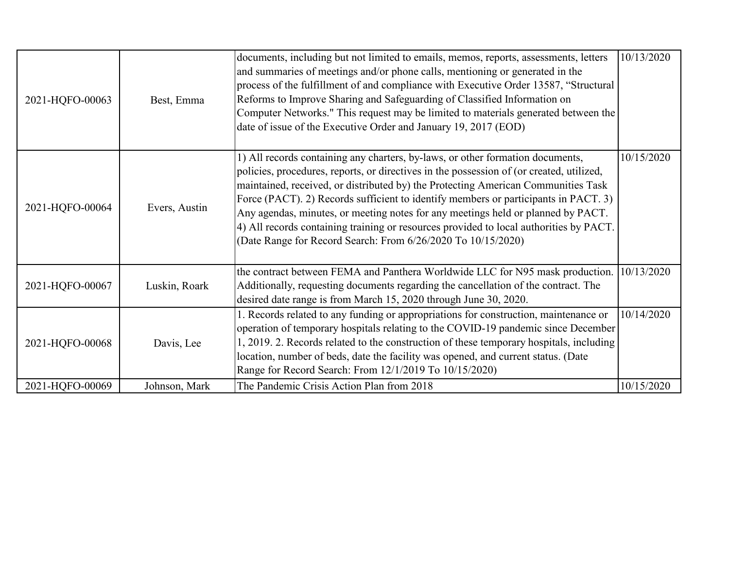| 2021-HQFO-00063 | Best, Emma    | documents, including but not limited to emails, memos, reports, assessments, letters<br>and summaries of meetings and/or phone calls, mentioning or generated in the<br>process of the fulfillment of and compliance with Executive Order 13587, "Structural<br>Reforms to Improve Sharing and Safeguarding of Classified Information on<br>Computer Networks." This request may be limited to materials generated between the<br>date of issue of the Executive Order and January 19, 2017 (EOD)                                                                                                    | 10/13/2020 |
|-----------------|---------------|------------------------------------------------------------------------------------------------------------------------------------------------------------------------------------------------------------------------------------------------------------------------------------------------------------------------------------------------------------------------------------------------------------------------------------------------------------------------------------------------------------------------------------------------------------------------------------------------------|------------|
| 2021-HQFO-00064 | Evers, Austin | 1) All records containing any charters, by-laws, or other formation documents,<br>policies, procedures, reports, or directives in the possession of (or created, utilized,<br>maintained, received, or distributed by) the Protecting American Communities Task<br>Force (PACT). 2) Records sufficient to identify members or participants in PACT. 3)<br>Any agendas, minutes, or meeting notes for any meetings held or planned by PACT.<br>4) All records containing training or resources provided to local authorities by PACT.<br>(Date Range for Record Search: From 6/26/2020 To 10/15/2020) | 10/15/2020 |
| 2021-HQFO-00067 | Luskin, Roark | the contract between FEMA and Panthera Worldwide LLC for N95 mask production.<br>Additionally, requesting documents regarding the cancellation of the contract. The<br>desired date range is from March 15, 2020 through June 30, 2020.                                                                                                                                                                                                                                                                                                                                                              | 10/13/2020 |
| 2021-HQFO-00068 | Davis, Lee    | 1. Records related to any funding or appropriations for construction, maintenance or<br>operation of temporary hospitals relating to the COVID-19 pandemic since December<br>1, 2019. 2. Records related to the construction of these temporary hospitals, including<br>location, number of beds, date the facility was opened, and current status. (Date<br>Range for Record Search: From 12/1/2019 To 10/15/2020)                                                                                                                                                                                  | 10/14/2020 |
| 2021-HQFO-00069 | Johnson, Mark | The Pandemic Crisis Action Plan from 2018                                                                                                                                                                                                                                                                                                                                                                                                                                                                                                                                                            | 10/15/2020 |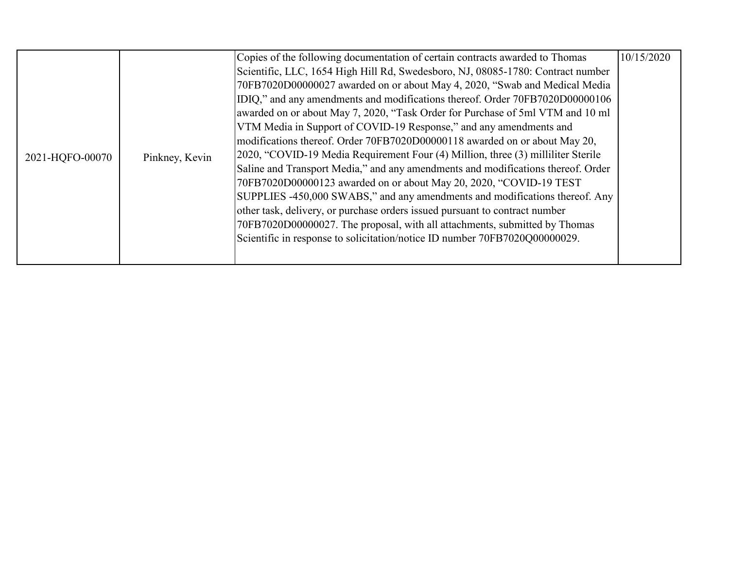|                 |                | Copies of the following documentation of certain contracts awarded to Thomas     | 10/15/2020 |
|-----------------|----------------|----------------------------------------------------------------------------------|------------|
|                 |                | Scientific, LLC, 1654 High Hill Rd, Swedesboro, NJ, 08085-1780: Contract number  |            |
|                 |                | 70FB7020D00000027 awarded on or about May 4, 2020, "Swab and Medical Media       |            |
|                 |                | IDIQ," and any amendments and modifications thereof. Order 70FB7020D00000106     |            |
|                 |                | awarded on or about May 7, 2020, "Task Order for Purchase of 5ml VTM and 10 ml   |            |
|                 |                | VTM Media in Support of COVID-19 Response," and any amendments and               |            |
|                 | Pinkney, Kevin | modifications thereof. Order 70FB7020D00000118 awarded on or about May 20,       |            |
| 2021-HQFO-00070 |                | 2020, "COVID-19 Media Requirement Four (4) Million, three (3) milliliter Sterile |            |
|                 |                | Saline and Transport Media," and any amendments and modifications thereof. Order |            |
|                 |                | 70FB7020D00000123 awarded on or about May 20, 2020, "COVID-19 TEST               |            |
|                 |                | SUPPLIES -450,000 SWABS," and any amendments and modifications thereof. Any      |            |
|                 |                | other task, delivery, or purchase orders issued pursuant to contract number      |            |
|                 |                | 70FB7020D00000027. The proposal, with all attachments, submitted by Thomas       |            |
|                 |                | Scientific in response to solicitation/notice ID number 70FB7020Q00000029.       |            |
|                 |                |                                                                                  |            |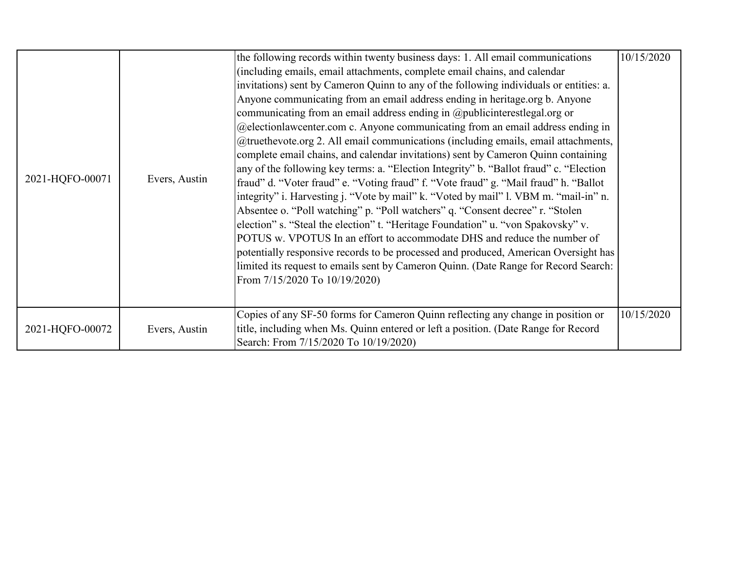|                 |               | the following records within twenty business days: 1. All email communications         | 10/15/2020 |
|-----------------|---------------|----------------------------------------------------------------------------------------|------------|
|                 |               | (including emails, email attachments, complete email chains, and calendar              |            |
|                 |               | invitations) sent by Cameron Quinn to any of the following individuals or entities: a. |            |
|                 |               | Anyone communicating from an email address ending in heritage.org b. Anyone            |            |
|                 |               | communicating from an email address ending in @publicinterestlegal.org or              |            |
|                 |               | @electionlawcenter.com c. Anyone communicating from an email address ending in         |            |
|                 |               | @truethevote.org 2. All email communications (including emails, email attachments,     |            |
|                 |               | complete email chains, and calendar invitations) sent by Cameron Quinn containing      |            |
|                 |               | any of the following key terms: a. "Election Integrity" b. "Ballot fraud" c. "Election |            |
| 2021-HQFO-00071 | Evers, Austin | fraud" d. "Voter fraud" e. "Voting fraud" f. "Vote fraud" g. "Mail fraud" h. "Ballot   |            |
|                 |               | integrity" i. Harvesting j. "Vote by mail" k. "Voted by mail" l. VBM m. "mail-in" n.   |            |
|                 |               | Absentee o. "Poll watching" p. "Poll watchers" q. "Consent decree" r. "Stolen          |            |
|                 |               | election" s. "Steal the election" t. "Heritage Foundation" u. "von Spakovsky" v.       |            |
|                 |               | POTUS w. VPOTUS In an effort to accommodate DHS and reduce the number of               |            |
|                 |               | potentially responsive records to be processed and produced, American Oversight has    |            |
|                 |               | limited its request to emails sent by Cameron Quinn. (Date Range for Record Search:    |            |
|                 |               | From 7/15/2020 To 10/19/2020)                                                          |            |
|                 |               |                                                                                        |            |
|                 |               | Copies of any SF-50 forms for Cameron Quinn reflecting any change in position or       | 10/15/2020 |
| 2021-HQFO-00072 | Evers, Austin | title, including when Ms. Quinn entered or left a position. (Date Range for Record     |            |
|                 |               | Search: From 7/15/2020 To 10/19/2020)                                                  |            |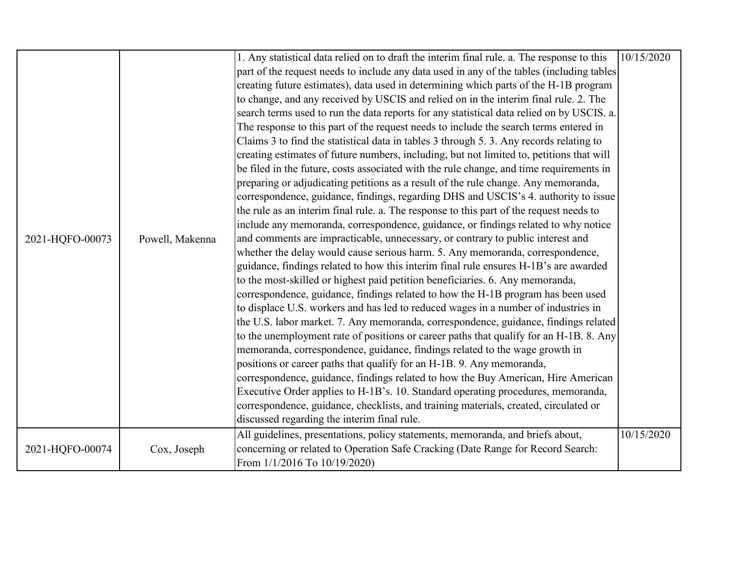|                 |                 | 1. Any statistical data relied on to draft the interim final rule. a. The response to this | 10/15/2020 |
|-----------------|-----------------|--------------------------------------------------------------------------------------------|------------|
|                 |                 | part of the request needs to include any data used in any of the tables (including tables  |            |
|                 |                 | creating future estimates), data used in determining which parts of the H-1B program       |            |
|                 |                 | to change, and any received by USCIS and relied on in the interim final rule. 2. The       |            |
|                 |                 | search terms used to run the data reports for any statistical data relied on by USCIS. a.  |            |
|                 |                 | The response to this part of the request needs to include the search terms entered in      |            |
|                 |                 | Claims 3 to find the statistical data in tables 3 through 5.3. Any records relating to     |            |
|                 |                 | creating estimates of future numbers, including, but not limited to, petitions that will   |            |
|                 |                 | be filed in the future, costs associated with the rule change, and time requirements in    |            |
|                 |                 | preparing or adjudicating petitions as a result of the rule change. Any memoranda,         |            |
|                 |                 | correspondence, guidance, findings, regarding DHS and USCIS's 4. authority to issue        |            |
|                 |                 | the rule as an interim final rule. a. The response to this part of the request needs to    |            |
|                 |                 | include any memoranda, correspondence, guidance, or findings related to why notice         |            |
| 2021-HQFO-00073 | Powell, Makenna | and comments are impracticable, unnecessary, or contrary to public interest and            |            |
|                 |                 | whether the delay would cause serious harm. 5. Any memoranda, correspondence,              |            |
|                 |                 | guidance, findings related to how this interim final rule ensures H-1B's are awarded       |            |
|                 |                 | to the most-skilled or highest paid petition beneficiaries. 6. Any memoranda,              |            |
|                 |                 | correspondence, guidance, findings related to how the H-1B program has been used           |            |
|                 |                 | to displace U.S. workers and has led to reduced wages in a number of industries in         |            |
|                 |                 | the U.S. labor market. 7. Any memoranda, correspondence, guidance, findings related        |            |
|                 |                 | to the unemployment rate of positions or career paths that qualify for an H-1B. 8. Any     |            |
|                 |                 | memoranda, correspondence, guidance, findings related to the wage growth in                |            |
|                 |                 | positions or career paths that qualify for an H-1B. 9. Any memoranda,                      |            |
|                 |                 | correspondence, guidance, findings related to how the Buy American, Hire American          |            |
|                 |                 | Executive Order applies to H-1B's. 10. Standard operating procedures, memoranda,           |            |
|                 |                 | correspondence, guidance, checklists, and training materials, created, circulated or       |            |
|                 |                 | discussed regarding the interim final rule.                                                |            |
|                 |                 | All guidelines, presentations, policy statements, memoranda, and briefs about,             | 10/15/2020 |
| 2021-HQFO-00074 | Cox, Joseph     | concerning or related to Operation Safe Cracking (Date Range for Record Search:            |            |
|                 |                 | From 1/1/2016 To 10/19/2020)                                                               |            |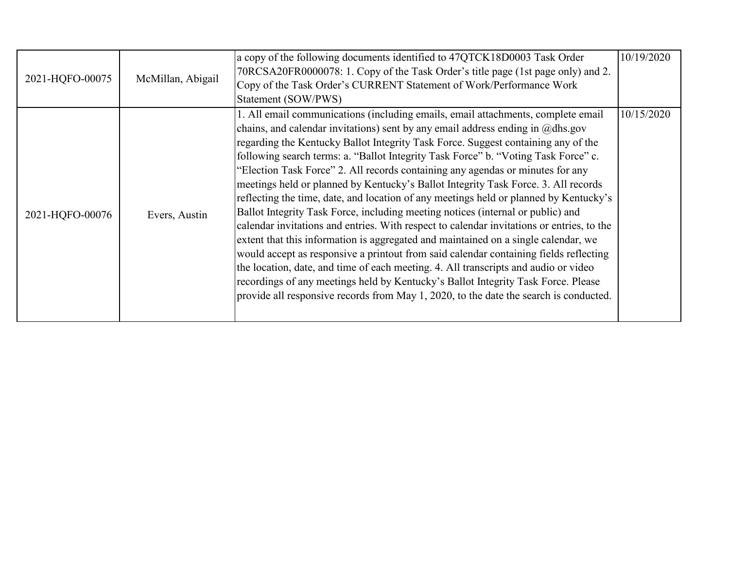| 2021-HQFO-00075 | McMillan, Abigail | a copy of the following documents identified to 47QTCK18D0003 Task Order<br>70RCSA20FR0000078: 1. Copy of the Task Order's title page (1st page only) and 2.<br>Copy of the Task Order's CURRENT Statement of Work/Performance Work<br>Statement (SOW/PWS)                                                                                                                                                                                                                                                                                                                                                                                                                                                                                                                                                                                                                                                                                                                                                                                                                                                                                                                                                                                            | 10/19/2020 |
|-----------------|-------------------|-------------------------------------------------------------------------------------------------------------------------------------------------------------------------------------------------------------------------------------------------------------------------------------------------------------------------------------------------------------------------------------------------------------------------------------------------------------------------------------------------------------------------------------------------------------------------------------------------------------------------------------------------------------------------------------------------------------------------------------------------------------------------------------------------------------------------------------------------------------------------------------------------------------------------------------------------------------------------------------------------------------------------------------------------------------------------------------------------------------------------------------------------------------------------------------------------------------------------------------------------------|------------|
| 2021-HQFO-00076 | Evers, Austin     | 1. All email communications (including emails, email attachments, complete email<br>chains, and calendar invitations) sent by any email address ending in $@d$ hs.gov<br>regarding the Kentucky Ballot Integrity Task Force. Suggest containing any of the<br>following search terms: a. "Ballot Integrity Task Force" b. "Voting Task Force" c.<br>"Election Task Force" 2. All records containing any agendas or minutes for any<br>meetings held or planned by Kentucky's Ballot Integrity Task Force. 3. All records<br>reflecting the time, date, and location of any meetings held or planned by Kentucky's<br>Ballot Integrity Task Force, including meeting notices (internal or public) and<br>calendar invitations and entries. With respect to calendar invitations or entries, to the<br>extent that this information is aggregated and maintained on a single calendar, we<br>would accept as responsive a printout from said calendar containing fields reflecting<br>the location, date, and time of each meeting. 4. All transcripts and audio or video<br>recordings of any meetings held by Kentucky's Ballot Integrity Task Force. Please<br>provide all responsive records from May 1, 2020, to the date the search is conducted. | 10/15/2020 |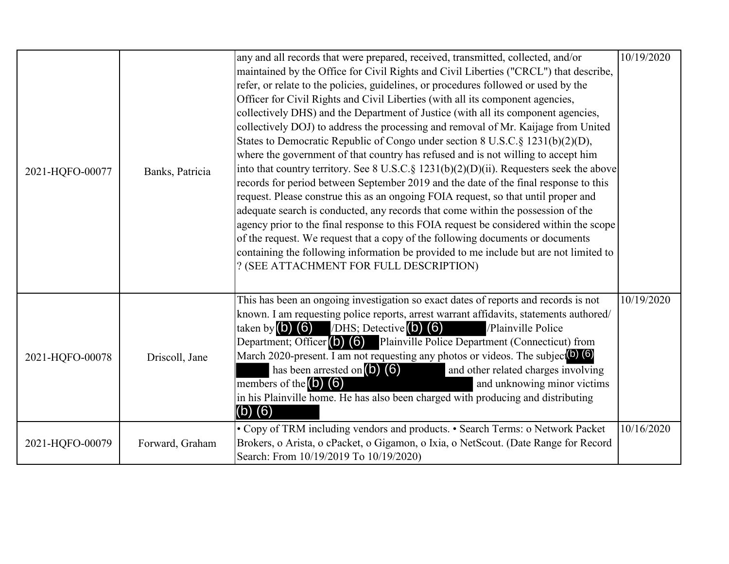| 2021-HQFO-00077 | Banks, Patricia | any and all records that were prepared, received, transmitted, collected, and/or<br>maintained by the Office for Civil Rights and Civil Liberties ("CRCL") that describe,<br>refer, or relate to the policies, guidelines, or procedures followed or used by the<br>Officer for Civil Rights and Civil Liberties (with all its component agencies,<br>collectively DHS) and the Department of Justice (with all its component agencies,<br>collectively DOJ) to address the processing and removal of Mr. Kaijage from United<br>States to Democratic Republic of Congo under section 8 U.S.C.§ 1231(b)(2)(D),<br>where the government of that country has refused and is not willing to accept him<br>into that country territory. See 8 U.S.C. § 1231(b)(2)(D)(ii). Requesters seek the above<br>records for period between September 2019 and the date of the final response to this<br>request. Please construe this as an ongoing FOIA request, so that until proper and<br>adequate search is conducted, any records that come within the possession of the<br>agency prior to the final response to this FOIA request be considered within the scope<br>of the request. We request that a copy of the following documents or documents<br>containing the following information be provided to me include but are not limited to<br>? (SEE ATTACHMENT FOR FULL DESCRIPTION) | 10/19/2020 |
|-----------------|-----------------|-----------------------------------------------------------------------------------------------------------------------------------------------------------------------------------------------------------------------------------------------------------------------------------------------------------------------------------------------------------------------------------------------------------------------------------------------------------------------------------------------------------------------------------------------------------------------------------------------------------------------------------------------------------------------------------------------------------------------------------------------------------------------------------------------------------------------------------------------------------------------------------------------------------------------------------------------------------------------------------------------------------------------------------------------------------------------------------------------------------------------------------------------------------------------------------------------------------------------------------------------------------------------------------------------------------------------------------------------------------------------------------|------------|
| 2021-HQFO-00078 | Driscoll, Jane  | This has been an ongoing investigation so exact dates of reports and records is not<br>known. I am requesting police reports, arrest warrant affidavits, statements authored/<br>/DHS; Detective $(b)$ $(6)$<br>taken by $(b)$ $(6)$<br>/Plainville Police<br>Department; Officer (b) (6) Plainville Police Department (Connecticut) from<br>March 2020-present. I am not requesting any photos or videos. The subject <sup>(b)</sup> (6)<br>has been arrested on $(5)$ $(6)$<br>and other related charges involving<br>members of the $(b)$ $(6)$<br>and unknowing minor victims<br>in his Plainville home. He has also been charged with producing and distributing<br>$(b)$ $(6)$                                                                                                                                                                                                                                                                                                                                                                                                                                                                                                                                                                                                                                                                                              | 10/19/2020 |
| 2021-HQFO-00079 | Forward, Graham | • Copy of TRM including vendors and products. • Search Terms: o Network Packet<br>Brokers, o Arista, o cPacket, o Gigamon, o Ixia, o NetScout. (Date Range for Record<br>Search: From 10/19/2019 To 10/19/2020)                                                                                                                                                                                                                                                                                                                                                                                                                                                                                                                                                                                                                                                                                                                                                                                                                                                                                                                                                                                                                                                                                                                                                                   | 10/16/2020 |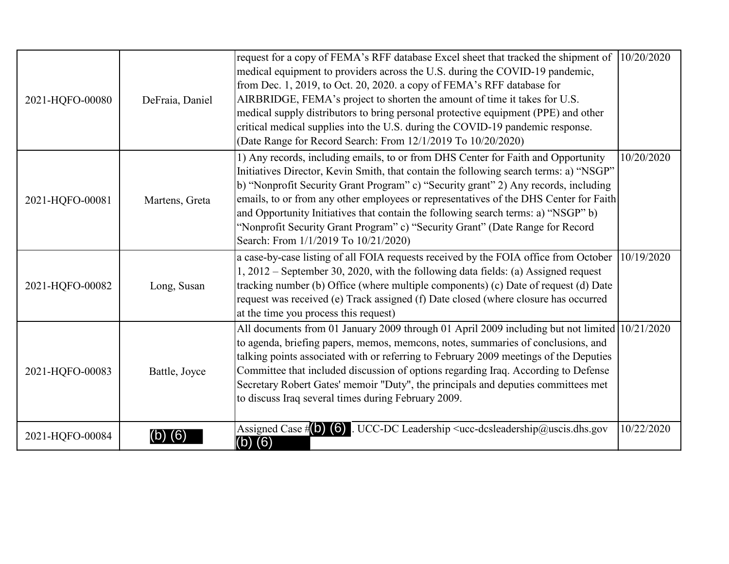|                 |                 | request for a copy of FEMA's RFF database Excel sheet that tracked the shipment of                                                     | 10/20/2020 |
|-----------------|-----------------|----------------------------------------------------------------------------------------------------------------------------------------|------------|
|                 |                 | medical equipment to providers across the U.S. during the COVID-19 pandemic,                                                           |            |
|                 |                 | from Dec. 1, 2019, to Oct. 20, 2020. a copy of FEMA's RFF database for                                                                 |            |
| 2021-HQFO-00080 | DeFraia, Daniel | AIRBRIDGE, FEMA's project to shorten the amount of time it takes for U.S.                                                              |            |
|                 |                 | medical supply distributors to bring personal protective equipment (PPE) and other                                                     |            |
|                 |                 | critical medical supplies into the U.S. during the COVID-19 pandemic response.                                                         |            |
|                 |                 | (Date Range for Record Search: From 12/1/2019 To 10/20/2020)                                                                           |            |
|                 |                 | 1) Any records, including emails, to or from DHS Center for Faith and Opportunity                                                      | 10/20/2020 |
|                 |                 | Initiatives Director, Kevin Smith, that contain the following search terms: a) "NSGP"                                                  |            |
|                 |                 | b) "Nonprofit Security Grant Program" c) "Security grant" 2) Any records, including                                                    |            |
| 2021-HQFO-00081 | Martens, Greta  | emails, to or from any other employees or representatives of the DHS Center for Faith                                                  |            |
|                 |                 | and Opportunity Initiatives that contain the following search terms: a) "NSGP" b)                                                      |            |
|                 |                 | "Nonprofit Security Grant Program" c) "Security Grant" (Date Range for Record                                                          |            |
|                 |                 | Search: From 1/1/2019 To 10/21/2020)                                                                                                   |            |
|                 |                 | a case-by-case listing of all FOIA requests received by the FOIA office from October                                                   | 10/19/2020 |
|                 |                 | 1, 2012 – September 30, 2020, with the following data fields: (a) Assigned request                                                     |            |
| 2021-HQFO-00082 | Long, Susan     | tracking number (b) Office (where multiple components) (c) Date of request (d) Date                                                    |            |
|                 |                 | request was received (e) Track assigned (f) Date closed (where closure has occurred                                                    |            |
|                 |                 | at the time you process this request)                                                                                                  |            |
|                 |                 | All documents from 01 January 2009 through 01 April 2009 including but not limited 10/21/2020                                          |            |
|                 |                 | to agenda, briefing papers, memos, memcons, notes, summaries of conclusions, and                                                       |            |
|                 |                 | talking points associated with or referring to February 2009 meetings of the Deputies                                                  |            |
| 2021-HQFO-00083 | Battle, Joyce   | Committee that included discussion of options regarding Iraq. According to Defense                                                     |            |
|                 |                 | Secretary Robert Gates' memoir "Duty", the principals and deputies committees met                                                      |            |
|                 |                 | to discuss Iraq several times during February 2009.                                                                                    |            |
|                 |                 |                                                                                                                                        |            |
| 2021-HQFO-00084 |                 | . UCC-DC Leadership <ucc-dcsleadership@uscis.dhs.gov<br>Assigned Case <math>\sharp</math> (b) (6)</ucc-dcsleadership@uscis.dhs.gov<br> | 10/22/2020 |
|                 |                 | $(b)$ (6)                                                                                                                              |            |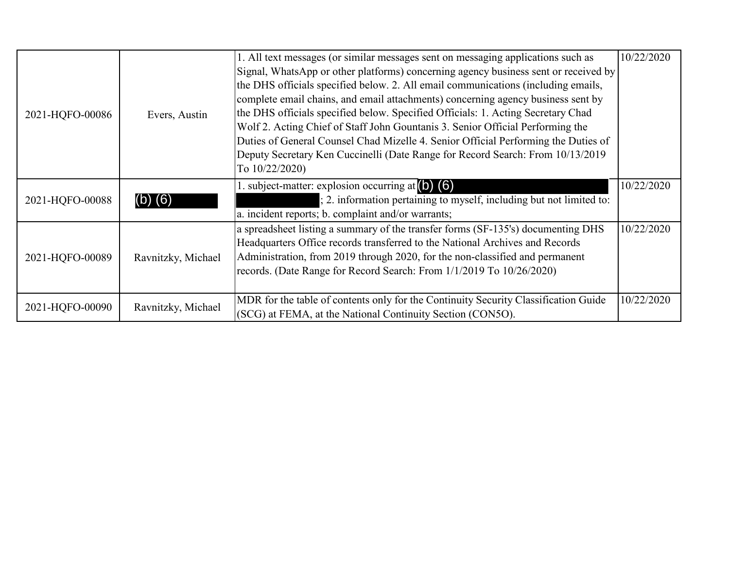|                 |                    | 1. All text messages (or similar messages sent on messaging applications such as    | 10/22/2020 |
|-----------------|--------------------|-------------------------------------------------------------------------------------|------------|
|                 |                    | Signal, WhatsApp or other platforms) concerning agency business sent or received by |            |
|                 |                    | the DHS officials specified below. 2. All email communications (including emails,   |            |
|                 |                    | complete email chains, and email attachments) concerning agency business sent by    |            |
| 2021-HQFO-00086 | Evers, Austin      | the DHS officials specified below. Specified Officials: 1. Acting Secretary Chad    |            |
|                 |                    | Wolf 2. Acting Chief of Staff John Gountanis 3. Senior Official Performing the      |            |
|                 |                    | Duties of General Counsel Chad Mizelle 4. Senior Official Performing the Duties of  |            |
|                 |                    | Deputy Secretary Ken Cuccinelli (Date Range for Record Search: From 10/13/2019      |            |
|                 |                    | To 10/22/2020)                                                                      |            |
|                 | (6)                | 1. subject-matter: explosion occurring at $(6)$ $(6)$                               | 10/22/2020 |
| 2021-HQFO-00088 |                    | ; 2. information pertaining to myself, including but not limited to:                |            |
|                 |                    | a. incident reports; b. complaint and/or warrants;                                  |            |
|                 | Ravnitzky, Michael | a spreadsheet listing a summary of the transfer forms (SF-135's) documenting DHS    | 10/22/2020 |
|                 |                    | Headquarters Office records transferred to the National Archives and Records        |            |
| 2021-HQFO-00089 |                    | Administration, from 2019 through 2020, for the non-classified and permanent        |            |
|                 |                    | records. (Date Range for Record Search: From 1/1/2019 To 10/26/2020)                |            |
|                 |                    |                                                                                     |            |
|                 |                    | MDR for the table of contents only for the Continuity Security Classification Guide | 10/22/2020 |
| 2021-HQFO-00090 | Ravnitzky, Michael | (SCG) at FEMA, at the National Continuity Section (CON5O).                          |            |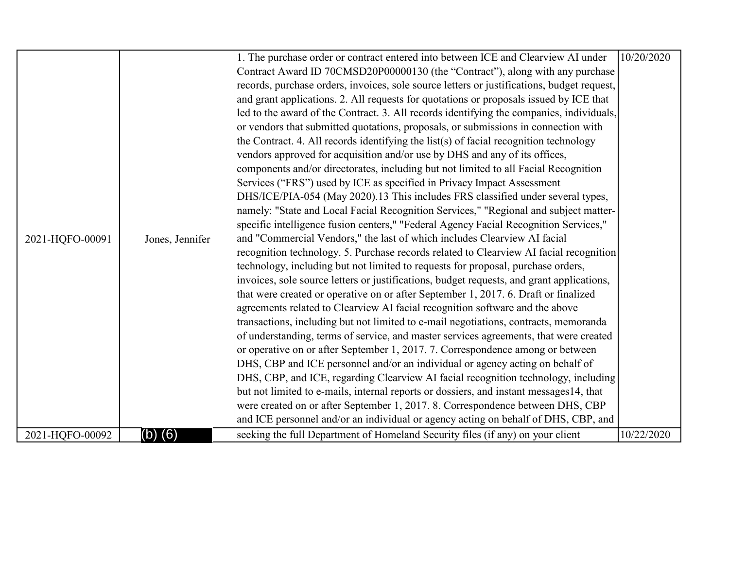|                 |                 | 1. The purchase order or contract entered into between ICE and Clearview AI under          | 10/20/2020 |
|-----------------|-----------------|--------------------------------------------------------------------------------------------|------------|
|                 |                 | Contract Award ID 70CMSD20P00000130 (the "Contract"), along with any purchase              |            |
|                 |                 | records, purchase orders, invoices, sole source letters or justifications, budget request, |            |
|                 |                 | and grant applications. 2. All requests for quotations or proposals issued by ICE that     |            |
|                 |                 | led to the award of the Contract. 3. All records identifying the companies, individuals,   |            |
|                 |                 | or vendors that submitted quotations, proposals, or submissions in connection with         |            |
|                 |                 | the Contract. 4. All records identifying the list(s) of facial recognition technology      |            |
|                 |                 | vendors approved for acquisition and/or use by DHS and any of its offices,                 |            |
|                 |                 | components and/or directorates, including but not limited to all Facial Recognition        |            |
|                 |                 | Services ("FRS") used by ICE as specified in Privacy Impact Assessment                     |            |
|                 |                 | DHS/ICE/PIA-054 (May 2020).13 This includes FRS classified under several types,            |            |
|                 |                 | namely: "State and Local Facial Recognition Services," "Regional and subject matter-       |            |
|                 |                 | specific intelligence fusion centers," "Federal Agency Facial Recognition Services,"       |            |
| 2021-HQFO-00091 | Jones, Jennifer | and "Commercial Vendors," the last of which includes Clearview AI facial                   |            |
|                 |                 | recognition technology. 5. Purchase records related to Clearview AI facial recognition     |            |
|                 |                 | technology, including but not limited to requests for proposal, purchase orders,           |            |
|                 |                 | invoices, sole source letters or justifications, budget requests, and grant applications,  |            |
|                 |                 | that were created or operative on or after September 1, 2017. 6. Draft or finalized        |            |
|                 |                 | agreements related to Clearview AI facial recognition software and the above               |            |
|                 |                 | transactions, including but not limited to e-mail negotiations, contracts, memoranda       |            |
|                 |                 | of understanding, terms of service, and master services agreements, that were created      |            |
|                 |                 | or operative on or after September 1, 2017. 7. Correspondence among or between             |            |
|                 |                 | DHS, CBP and ICE personnel and/or an individual or agency acting on behalf of              |            |
|                 |                 | DHS, CBP, and ICE, regarding Clearview AI facial recognition technology, including         |            |
|                 |                 | but not limited to e-mails, internal reports or dossiers, and instant messages14, that     |            |
|                 |                 | were created on or after September 1, 2017. 8. Correspondence between DHS, CBP             |            |
|                 |                 | and ICE personnel and/or an individual or agency acting on behalf of DHS, CBP, and         |            |
| 2021-HQFO-00092 | (b) (6)         | seeking the full Department of Homeland Security files (if any) on your client             | 10/22/2020 |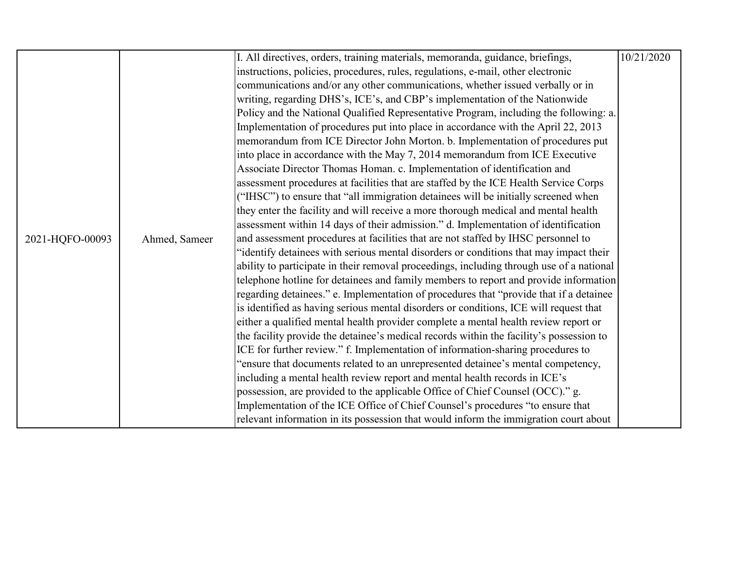|                 |               | I. All directives, orders, training materials, memoranda, guidance, briefings,                                                                                                                                                                                                                                                                                                                                                                                                                                                                                                                                                                                                                                                                                                          | 10/21/2020 |
|-----------------|---------------|-----------------------------------------------------------------------------------------------------------------------------------------------------------------------------------------------------------------------------------------------------------------------------------------------------------------------------------------------------------------------------------------------------------------------------------------------------------------------------------------------------------------------------------------------------------------------------------------------------------------------------------------------------------------------------------------------------------------------------------------------------------------------------------------|------------|
|                 |               | instructions, policies, procedures, rules, regulations, e-mail, other electronic                                                                                                                                                                                                                                                                                                                                                                                                                                                                                                                                                                                                                                                                                                        |            |
|                 |               |                                                                                                                                                                                                                                                                                                                                                                                                                                                                                                                                                                                                                                                                                                                                                                                         |            |
|                 |               | communications and/or any other communications, whether issued verbally or in                                                                                                                                                                                                                                                                                                                                                                                                                                                                                                                                                                                                                                                                                                           |            |
|                 |               | writing, regarding DHS's, ICE's, and CBP's implementation of the Nationwide                                                                                                                                                                                                                                                                                                                                                                                                                                                                                                                                                                                                                                                                                                             |            |
|                 |               | Policy and the National Qualified Representative Program, including the following: a.                                                                                                                                                                                                                                                                                                                                                                                                                                                                                                                                                                                                                                                                                                   |            |
|                 |               | Implementation of procedures put into place in accordance with the April 22, 2013                                                                                                                                                                                                                                                                                                                                                                                                                                                                                                                                                                                                                                                                                                       |            |
|                 |               | memorandum from ICE Director John Morton. b. Implementation of procedures put                                                                                                                                                                                                                                                                                                                                                                                                                                                                                                                                                                                                                                                                                                           |            |
|                 |               | into place in accordance with the May 7, 2014 memorandum from ICE Executive                                                                                                                                                                                                                                                                                                                                                                                                                                                                                                                                                                                                                                                                                                             |            |
|                 |               | Associate Director Thomas Homan. c. Implementation of identification and                                                                                                                                                                                                                                                                                                                                                                                                                                                                                                                                                                                                                                                                                                                |            |
|                 |               | assessment procedures at facilities that are staffed by the ICE Health Service Corps                                                                                                                                                                                                                                                                                                                                                                                                                                                                                                                                                                                                                                                                                                    |            |
|                 |               | ("IHSC") to ensure that "all immigration detainees will be initially screened when                                                                                                                                                                                                                                                                                                                                                                                                                                                                                                                                                                                                                                                                                                      |            |
|                 |               | they enter the facility and will receive a more thorough medical and mental health                                                                                                                                                                                                                                                                                                                                                                                                                                                                                                                                                                                                                                                                                                      |            |
|                 |               | assessment within 14 days of their admission." d. Implementation of identification                                                                                                                                                                                                                                                                                                                                                                                                                                                                                                                                                                                                                                                                                                      |            |
| 2021-HQFO-00093 | Ahmed, Sameer | and assessment procedures at facilities that are not staffed by IHSC personnel to                                                                                                                                                                                                                                                                                                                                                                                                                                                                                                                                                                                                                                                                                                       |            |
|                 |               | "identify detainees with serious mental disorders or conditions that may impact their                                                                                                                                                                                                                                                                                                                                                                                                                                                                                                                                                                                                                                                                                                   |            |
|                 |               | ability to participate in their removal proceedings, including through use of a national                                                                                                                                                                                                                                                                                                                                                                                                                                                                                                                                                                                                                                                                                                |            |
|                 |               | telephone hotline for detainees and family members to report and provide information                                                                                                                                                                                                                                                                                                                                                                                                                                                                                                                                                                                                                                                                                                    |            |
|                 |               | regarding detainees." e. Implementation of procedures that "provide that if a detainee                                                                                                                                                                                                                                                                                                                                                                                                                                                                                                                                                                                                                                                                                                  |            |
|                 |               |                                                                                                                                                                                                                                                                                                                                                                                                                                                                                                                                                                                                                                                                                                                                                                                         |            |
|                 |               |                                                                                                                                                                                                                                                                                                                                                                                                                                                                                                                                                                                                                                                                                                                                                                                         |            |
|                 |               |                                                                                                                                                                                                                                                                                                                                                                                                                                                                                                                                                                                                                                                                                                                                                                                         |            |
|                 |               |                                                                                                                                                                                                                                                                                                                                                                                                                                                                                                                                                                                                                                                                                                                                                                                         |            |
|                 |               |                                                                                                                                                                                                                                                                                                                                                                                                                                                                                                                                                                                                                                                                                                                                                                                         |            |
|                 |               |                                                                                                                                                                                                                                                                                                                                                                                                                                                                                                                                                                                                                                                                                                                                                                                         |            |
|                 |               |                                                                                                                                                                                                                                                                                                                                                                                                                                                                                                                                                                                                                                                                                                                                                                                         |            |
|                 |               |                                                                                                                                                                                                                                                                                                                                                                                                                                                                                                                                                                                                                                                                                                                                                                                         |            |
|                 |               |                                                                                                                                                                                                                                                                                                                                                                                                                                                                                                                                                                                                                                                                                                                                                                                         |            |
|                 |               | is identified as having serious mental disorders or conditions, ICE will request that<br>either a qualified mental health provider complete a mental health review report or<br>the facility provide the detainee's medical records within the facility's possession to<br>ICE for further review." f. Implementation of information-sharing procedures to<br>'ensure that documents related to an unrepresented detainee's mental competency,<br>including a mental health review report and mental health records in ICE's<br>possession, are provided to the applicable Office of Chief Counsel (OCC)." g.<br>Implementation of the ICE Office of Chief Counsel's procedures "to ensure that<br>relevant information in its possession that would inform the immigration court about |            |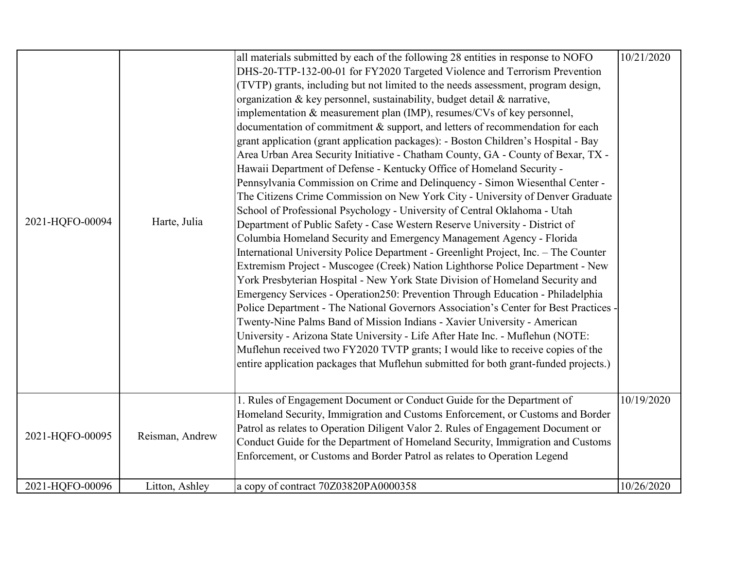|                 |                 | all materials submitted by each of the following 28 entities in response to NOFO     | 10/21/2020 |
|-----------------|-----------------|--------------------------------------------------------------------------------------|------------|
|                 |                 | DHS-20-TTP-132-00-01 for FY2020 Targeted Violence and Terrorism Prevention           |            |
|                 |                 | (TVTP) grants, including but not limited to the needs assessment, program design,    |            |
|                 |                 | organization & key personnel, sustainability, budget detail & narrative,             |            |
|                 |                 | implementation & measurement plan (IMP), resumes/CVs of key personnel,               |            |
|                 |                 | documentation of commitment & support, and letters of recommendation for each        |            |
|                 |                 | grant application (grant application packages): - Boston Children's Hospital - Bay   |            |
|                 |                 | Area Urban Area Security Initiative - Chatham County, GA - County of Bexar, TX -     |            |
|                 |                 | Hawaii Department of Defense - Kentucky Office of Homeland Security -                |            |
|                 |                 | Pennsylvania Commission on Crime and Delinquency - Simon Wiesenthal Center -         |            |
|                 |                 | The Citizens Crime Commission on New York City - University of Denver Graduate       |            |
|                 |                 | School of Professional Psychology - University of Central Oklahoma - Utah            |            |
| 2021-HQFO-00094 | Harte, Julia    | Department of Public Safety - Case Western Reserve University - District of          |            |
|                 |                 | Columbia Homeland Security and Emergency Management Agency - Florida                 |            |
|                 |                 | International University Police Department - Greenlight Project, Inc. - The Counter  |            |
|                 |                 | Extremism Project - Muscogee (Creek) Nation Lighthorse Police Department - New       |            |
|                 |                 | York Presbyterian Hospital - New York State Division of Homeland Security and        |            |
|                 |                 | Emergency Services - Operation250: Prevention Through Education - Philadelphia       |            |
|                 |                 | Police Department - The National Governors Association's Center for Best Practices   |            |
|                 |                 | Twenty-Nine Palms Band of Mission Indians - Xavier University - American             |            |
|                 |                 | University - Arizona State University - Life After Hate Inc. - Muflehun (NOTE:       |            |
|                 |                 | Muflehun received two FY2020 TVTP grants; I would like to receive copies of the      |            |
|                 |                 | entire application packages that Muflehun submitted for both grant-funded projects.) |            |
|                 |                 |                                                                                      |            |
|                 |                 | 1. Rules of Engagement Document or Conduct Guide for the Department of               | 10/19/2020 |
|                 |                 | Homeland Security, Immigration and Customs Enforcement, or Customs and Border        |            |
| 2021-HQFO-00095 |                 | Patrol as relates to Operation Diligent Valor 2. Rules of Engagement Document or     |            |
|                 | Reisman, Andrew | Conduct Guide for the Department of Homeland Security, Immigration and Customs       |            |
|                 |                 | Enforcement, or Customs and Border Patrol as relates to Operation Legend             |            |
|                 |                 |                                                                                      |            |
| 2021-HQFO-00096 | Litton, Ashley  | a copy of contract 70Z03820PA0000358                                                 | 10/26/2020 |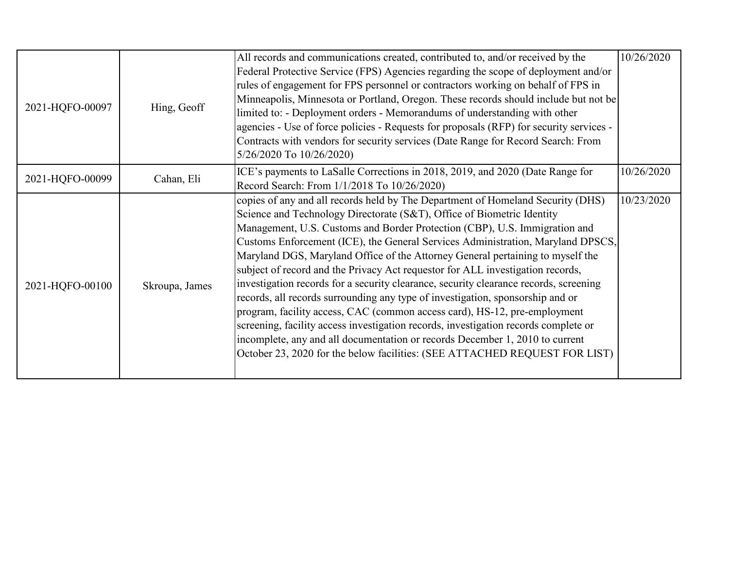|                 |                | All records and communications created, contributed to, and/or received by the<br>Federal Protective Service (FPS) Agencies regarding the scope of deployment and/or | 10/26/2020 |
|-----------------|----------------|----------------------------------------------------------------------------------------------------------------------------------------------------------------------|------------|
|                 |                | rules of engagement for FPS personnel or contractors working on behalf of FPS in                                                                                     |            |
|                 |                | Minneapolis, Minnesota or Portland, Oregon. These records should include but not be                                                                                  |            |
| 2021-HQFO-00097 | Hing, Geoff    | limited to: - Deployment orders - Memorandums of understanding with other                                                                                            |            |
|                 |                | agencies - Use of force policies - Requests for proposals (RFP) for security services -                                                                              |            |
|                 |                | Contracts with vendors for security services (Date Range for Record Search: From                                                                                     |            |
|                 |                | 5/26/2020 To 10/26/2020)                                                                                                                                             |            |
| 2021-HQFO-00099 | Cahan, Eli     | ICE's payments to LaSalle Corrections in 2018, 2019, and 2020 (Date Range for                                                                                        | 10/26/2020 |
|                 |                | Record Search: From 1/1/2018 To 10/26/2020)                                                                                                                          |            |
|                 |                | copies of any and all records held by The Department of Homeland Security (DHS)                                                                                      | 10/23/2020 |
|                 |                | Science and Technology Directorate (S&T), Office of Biometric Identity                                                                                               |            |
|                 | Skroupa, James | Management, U.S. Customs and Border Protection (CBP), U.S. Immigration and                                                                                           |            |
|                 |                | Customs Enforcement (ICE), the General Services Administration, Maryland DPSCS,                                                                                      |            |
|                 |                | Maryland DGS, Maryland Office of the Attorney General pertaining to myself the                                                                                       |            |
|                 |                | subject of record and the Privacy Act requestor for ALL investigation records,                                                                                       |            |
| 2021-HQFO-00100 |                | investigation records for a security clearance, security clearance records, screening                                                                                |            |
|                 |                | records, all records surrounding any type of investigation, sponsorship and or                                                                                       |            |
|                 |                | program, facility access, CAC (common access card), HS-12, pre-employment                                                                                            |            |
|                 |                | screening, facility access investigation records, investigation records complete or                                                                                  |            |
|                 |                | incomplete, any and all documentation or records December 1, 2010 to current                                                                                         |            |
|                 |                | October 23, 2020 for the below facilities: (SEE ATTACHED REQUEST FOR LIST)                                                                                           |            |
|                 |                |                                                                                                                                                                      |            |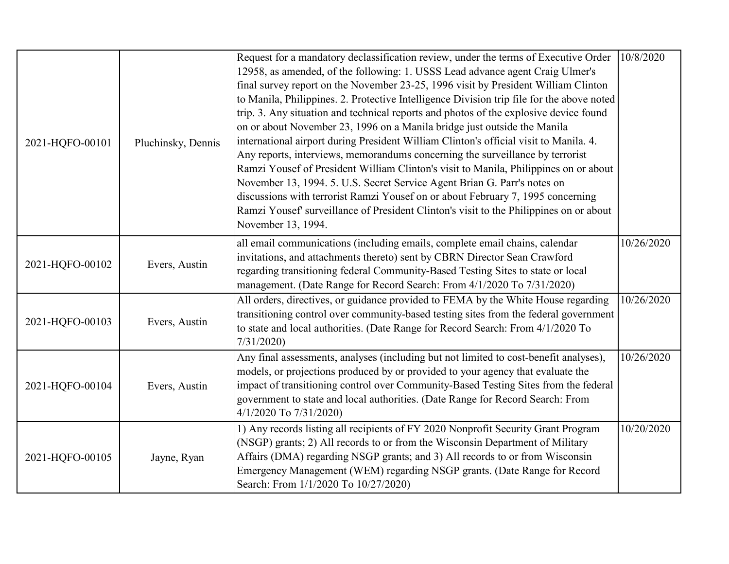| 2021-HQFO-00101 | Pluchinsky, Dennis | Request for a mandatory declassification review, under the terms of Executive Order<br>12958, as amended, of the following: 1. USSS Lead advance agent Craig Ulmer's<br>final survey report on the November 23-25, 1996 visit by President William Clinton<br>to Manila, Philippines. 2. Protective Intelligence Division trip file for the above noted<br>trip. 3. Any situation and technical reports and photos of the explosive device found<br>on or about November 23, 1996 on a Manila bridge just outside the Manila<br>international airport during President William Clinton's official visit to Manila. 4.<br>Any reports, interviews, memorandums concerning the surveillance by terrorist<br>Ramzi Yousef of President William Clinton's visit to Manila, Philippines on or about<br>November 13, 1994. 5. U.S. Secret Service Agent Brian G. Parr's notes on<br>discussions with terrorist Ramzi Yousef on or about February 7, 1995 concerning<br>Ramzi Yousef' surveillance of President Clinton's visit to the Philippines on or about<br>November 13, 1994. | 10/8/2020  |
|-----------------|--------------------|-------------------------------------------------------------------------------------------------------------------------------------------------------------------------------------------------------------------------------------------------------------------------------------------------------------------------------------------------------------------------------------------------------------------------------------------------------------------------------------------------------------------------------------------------------------------------------------------------------------------------------------------------------------------------------------------------------------------------------------------------------------------------------------------------------------------------------------------------------------------------------------------------------------------------------------------------------------------------------------------------------------------------------------------------------------------------------|------------|
| 2021-HQFO-00102 | Evers, Austin      | all email communications (including emails, complete email chains, calendar<br>invitations, and attachments thereto) sent by CBRN Director Sean Crawford<br>regarding transitioning federal Community-Based Testing Sites to state or local<br>management. (Date Range for Record Search: From 4/1/2020 To 7/31/2020)                                                                                                                                                                                                                                                                                                                                                                                                                                                                                                                                                                                                                                                                                                                                                         | 10/26/2020 |
| 2021-HQFO-00103 | Evers, Austin      | All orders, directives, or guidance provided to FEMA by the White House regarding<br>transitioning control over community-based testing sites from the federal government<br>to state and local authorities. (Date Range for Record Search: From 4/1/2020 To<br>7/31/2020                                                                                                                                                                                                                                                                                                                                                                                                                                                                                                                                                                                                                                                                                                                                                                                                     | 10/26/2020 |
| 2021-HQFO-00104 | Evers, Austin      | Any final assessments, analyses (including but not limited to cost-benefit analyses),<br>models, or projections produced by or provided to your agency that evaluate the<br>impact of transitioning control over Community-Based Testing Sites from the federal<br>government to state and local authorities. (Date Range for Record Search: From<br>4/1/2020 To 7/31/2020)                                                                                                                                                                                                                                                                                                                                                                                                                                                                                                                                                                                                                                                                                                   | 10/26/2020 |
| 2021-HQFO-00105 | Jayne, Ryan        | 1) Any records listing all recipients of FY 2020 Nonprofit Security Grant Program<br>(NSGP) grants; 2) All records to or from the Wisconsin Department of Military<br>Affairs (DMA) regarding NSGP grants; and 3) All records to or from Wisconsin<br>Emergency Management (WEM) regarding NSGP grants. (Date Range for Record<br>Search: From 1/1/2020 To 10/27/2020)                                                                                                                                                                                                                                                                                                                                                                                                                                                                                                                                                                                                                                                                                                        | 10/20/2020 |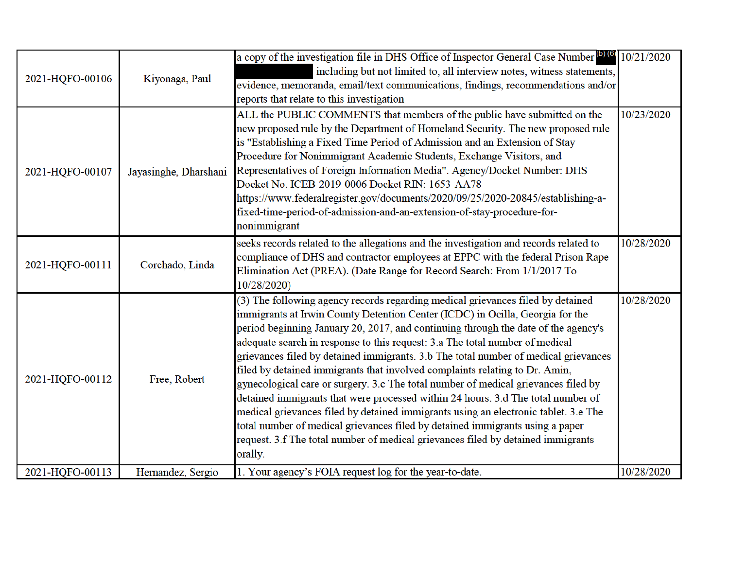| 2021-HQFO-00106 | Kiyonaga, Paul        | a copy of the investigation file in DHS Office of Inspector General Case Number <sup>(076)</sup> 10/21/2020<br>including but not limited to, all interview notes, witness statements,<br>evidence, memoranda, email/text communications, findings, recommendations and/or<br>reports that relate to this investigation                                                                                                                                                                                                                                                                                                                                                                                                                                                                                                                                                                                                                                        |            |
|-----------------|-----------------------|---------------------------------------------------------------------------------------------------------------------------------------------------------------------------------------------------------------------------------------------------------------------------------------------------------------------------------------------------------------------------------------------------------------------------------------------------------------------------------------------------------------------------------------------------------------------------------------------------------------------------------------------------------------------------------------------------------------------------------------------------------------------------------------------------------------------------------------------------------------------------------------------------------------------------------------------------------------|------------|
| 2021-HQFO-00107 | Jayasinghe, Dharshani | ALL the PUBLIC COMMENTS that members of the public have submitted on the<br>new proposed rule by the Department of Homeland Security. The new proposed rule<br>is "Establishing a Fixed Time Period of Admission and an Extension of Stay<br>Procedure for Nonimmigrant Academic Students, Exchange Visitors, and<br>Representatives of Foreign Information Media". Agency/Docket Number: DHS<br>Docket No. ICEB-2019-0006 Docket RIN: 1653-AA78<br>https://www.federalregister.gov/documents/2020/09/25/2020-20845/establishing-a-<br>fixed-time-period-of-admission-and-an-extension-of-stay-procedure-for-<br>nonimmigrant                                                                                                                                                                                                                                                                                                                                 | 10/23/2020 |
| 2021-HQFO-00111 | Corchado, Linda       | seeks records related to the allegations and the investigation and records related to<br>compliance of DHS and contractor employees at EPPC with the federal Prison Rape<br>Elimination Act (PREA). (Date Range for Record Search: From 1/1/2017 To<br>10/28/2020)                                                                                                                                                                                                                                                                                                                                                                                                                                                                                                                                                                                                                                                                                            | 10/28/2020 |
| 2021-HQFO-00112 | Free, Robert          | (3) The following agency records regarding medical grievances filed by detained<br>immigrants at Irwin County Detention Center (ICDC) in Ocilla, Georgia for the<br>period beginning January 20, 2017, and continuing through the date of the agency's<br>adequate search in response to this request: 3.a The total number of medical<br>grievances filed by detained immigrants. 3.b The total number of medical grievances<br>filed by detained immigrants that involved complaints relating to Dr. Amin,<br>gynecological care or surgery. 3.c The total number of medical grievances filed by<br>detained immigrants that were processed within 24 hours. 3.d The total number of<br>medical grievances filed by detained immigrants using an electronic tablet. 3.e The<br>total number of medical grievances filed by detained immigrants using a paper<br>request. 3.f The total number of medical grievances filed by detained immigrants<br>orally. | 10/28/2020 |
| 2021-HQFO-00113 | Hernandez, Sergio     | 1. Your agency's FOIA request log for the year-to-date.                                                                                                                                                                                                                                                                                                                                                                                                                                                                                                                                                                                                                                                                                                                                                                                                                                                                                                       | 10/28/2020 |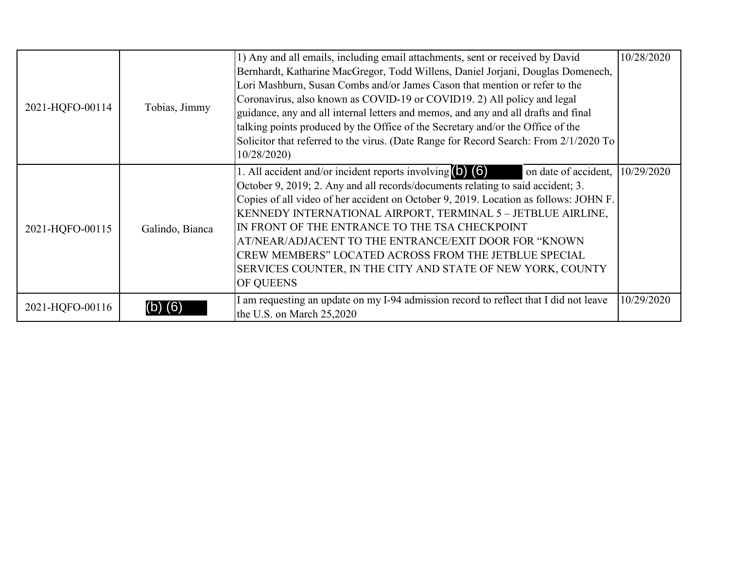| 2021-HQFO-00114 | Tobias, Jimmy   | 1) Any and all emails, including email attachments, sent or received by David<br>Bernhardt, Katharine MacGregor, Todd Willens, Daniel Jorjani, Douglas Domenech,<br>Lori Mashburn, Susan Combs and/or James Cason that mention or refer to the<br>Coronavirus, also known as COVID-19 or COVID19. 2) All policy and legal<br>guidance, any and all internal letters and memos, and any and all drafts and final<br>talking points produced by the Office of the Secretary and/or the Office of the<br>Solicitor that referred to the virus. (Date Range for Record Search: From 2/1/2020 To<br>10/28/2020 | 10/28/2020 |
|-----------------|-----------------|-----------------------------------------------------------------------------------------------------------------------------------------------------------------------------------------------------------------------------------------------------------------------------------------------------------------------------------------------------------------------------------------------------------------------------------------------------------------------------------------------------------------------------------------------------------------------------------------------------------|------------|
| 2021-HQFO-00115 | Galindo, Bianca | 1. All accident and/or incident reports involving $(b)$ $(6)$<br>on date of accident, $10/29/2020$<br>October 9, 2019; 2. Any and all records/documents relating to said accident; 3.<br>Copies of all video of her accident on October 9, 2019. Location as follows: JOHN F.<br>KENNEDY INTERNATIONAL AIRPORT, TERMINAL 5 - JETBLUE AIRLINE,<br>IN FRONT OF THE ENTRANCE TO THE TSA CHECKPOINT<br>AT/NEAR/ADJACENT TO THE ENTRANCE/EXIT DOOR FOR "KNOWN<br>CREW MEMBERS" LOCATED ACROSS FROM THE JETBLUE SPECIAL<br>SERVICES COUNTER, IN THE CITY AND STATE OF NEW YORK, COUNTY<br>OF QUEENS             |            |
| 2021-HQFO-00116 |                 | I am requesting an update on my I-94 admission record to reflect that I did not leave<br>the U.S. on March 25,2020                                                                                                                                                                                                                                                                                                                                                                                                                                                                                        | 10/29/2020 |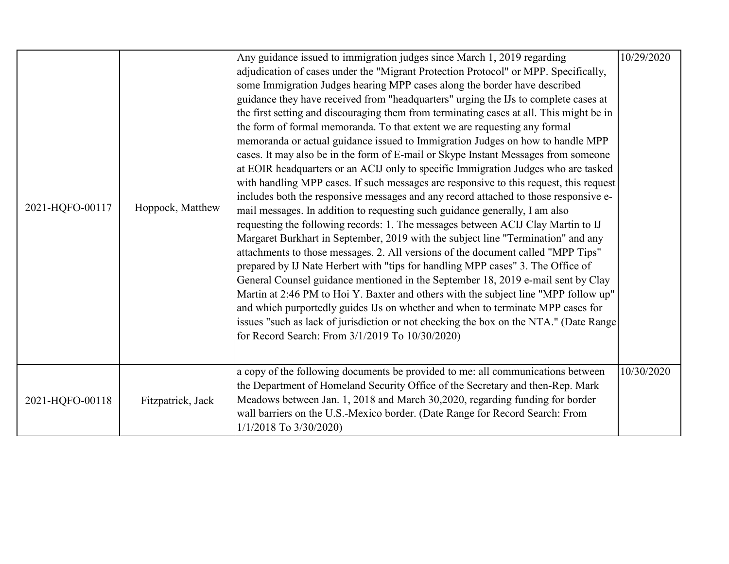|                 |                   | Any guidance issued to immigration judges since March 1, 2019 regarding                 | 10/29/2020 |
|-----------------|-------------------|-----------------------------------------------------------------------------------------|------------|
|                 |                   | adjudication of cases under the "Migrant Protection Protocol" or MPP. Specifically,     |            |
|                 |                   | some Immigration Judges hearing MPP cases along the border have described               |            |
|                 |                   | guidance they have received from "headquarters" urging the IJs to complete cases at     |            |
|                 |                   | the first setting and discouraging them from terminating cases at all. This might be in |            |
|                 |                   | the form of formal memoranda. To that extent we are requesting any formal               |            |
|                 |                   | memoranda or actual guidance issued to Immigration Judges on how to handle MPP          |            |
|                 |                   | cases. It may also be in the form of E-mail or Skype Instant Messages from someone      |            |
|                 |                   | at EOIR headquarters or an ACIJ only to specific Immigration Judges who are tasked      |            |
|                 |                   | with handling MPP cases. If such messages are responsive to this request, this request  |            |
|                 |                   | includes both the responsive messages and any record attached to those responsive e-    |            |
| 2021-HQFO-00117 | Hoppock, Matthew  | mail messages. In addition to requesting such guidance generally, I am also             |            |
|                 |                   | requesting the following records: 1. The messages between ACIJ Clay Martin to IJ        |            |
|                 |                   | Margaret Burkhart in September, 2019 with the subject line "Termination" and any        |            |
|                 |                   | attachments to those messages. 2. All versions of the document called "MPP Tips"        |            |
|                 |                   | prepared by IJ Nate Herbert with "tips for handling MPP cases" 3. The Office of         |            |
|                 |                   | General Counsel guidance mentioned in the September 18, 2019 e-mail sent by Clay        |            |
|                 |                   | Martin at 2:46 PM to Hoi Y. Baxter and others with the subject line "MPP follow up"     |            |
|                 |                   | and which purportedly guides IJs on whether and when to terminate MPP cases for         |            |
|                 |                   | issues "such as lack of jurisdiction or not checking the box on the NTA." (Date Range   |            |
|                 |                   | for Record Search: From 3/1/2019 To 10/30/2020)                                         |            |
|                 |                   |                                                                                         |            |
|                 |                   | a copy of the following documents be provided to me: all communications between         | 10/30/2020 |
| 2021-HQFO-00118 |                   | the Department of Homeland Security Office of the Secretary and then-Rep. Mark          |            |
|                 | Fitzpatrick, Jack | Meadows between Jan. 1, 2018 and March 30,2020, regarding funding for border            |            |
|                 |                   | wall barriers on the U.S.-Mexico border. (Date Range for Record Search: From            |            |
|                 |                   | 1/1/2018 To 3/30/2020)                                                                  |            |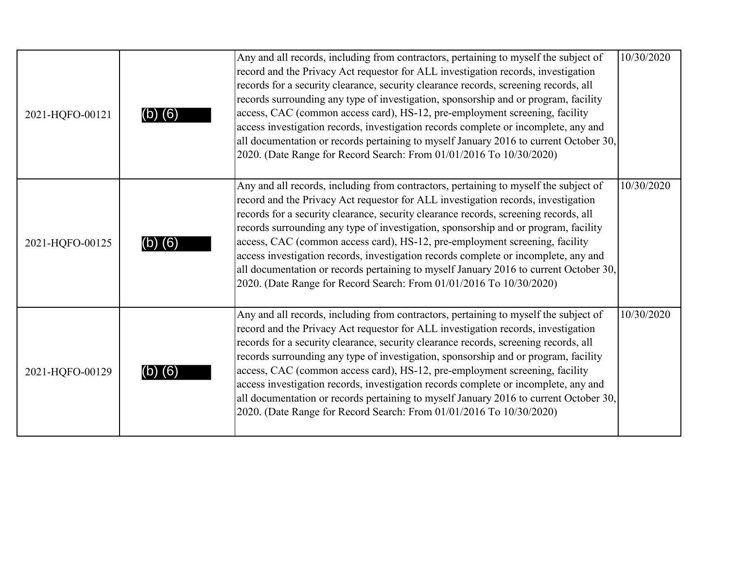| 2021-HQFO-00121 | (6)     | Any and all records, including from contractors, pertaining to myself the subject of<br>record and the Privacy Act requestor for ALL investigation records, investigation<br>records for a security clearance, security clearance records, screening records, all<br>records surrounding any type of investigation, sponsorship and or program, facility<br>access, CAC (common access card), HS-12, pre-employment screening, facility<br>access investigation records, investigation records complete or incomplete, any and<br>all documentation or records pertaining to myself January 2016 to current October 30,<br>2020. (Date Range for Record Search: From 01/01/2016 To 10/30/2020) | 10/30/2020 |
|-----------------|---------|------------------------------------------------------------------------------------------------------------------------------------------------------------------------------------------------------------------------------------------------------------------------------------------------------------------------------------------------------------------------------------------------------------------------------------------------------------------------------------------------------------------------------------------------------------------------------------------------------------------------------------------------------------------------------------------------|------------|
| 2021-HQFO-00125 | (b) (6) | Any and all records, including from contractors, pertaining to myself the subject of<br>record and the Privacy Act requestor for ALL investigation records, investigation<br>records for a security clearance, security clearance records, screening records, all<br>records surrounding any type of investigation, sponsorship and or program, facility<br>access, CAC (common access card), HS-12, pre-employment screening, facility<br>access investigation records, investigation records complete or incomplete, any and<br>all documentation or records pertaining to myself January 2016 to current October 30,<br>2020. (Date Range for Record Search: From 01/01/2016 To 10/30/2020) | 10/30/2020 |
| 2021-HQFO-00129 |         | Any and all records, including from contractors, pertaining to myself the subject of<br>record and the Privacy Act requestor for ALL investigation records, investigation<br>records for a security clearance, security clearance records, screening records, all<br>records surrounding any type of investigation, sponsorship and or program, facility<br>access, CAC (common access card), HS-12, pre-employment screening, facility<br>access investigation records, investigation records complete or incomplete, any and<br>all documentation or records pertaining to myself January 2016 to current October 30,<br>2020. (Date Range for Record Search: From 01/01/2016 To 10/30/2020) | 10/30/2020 |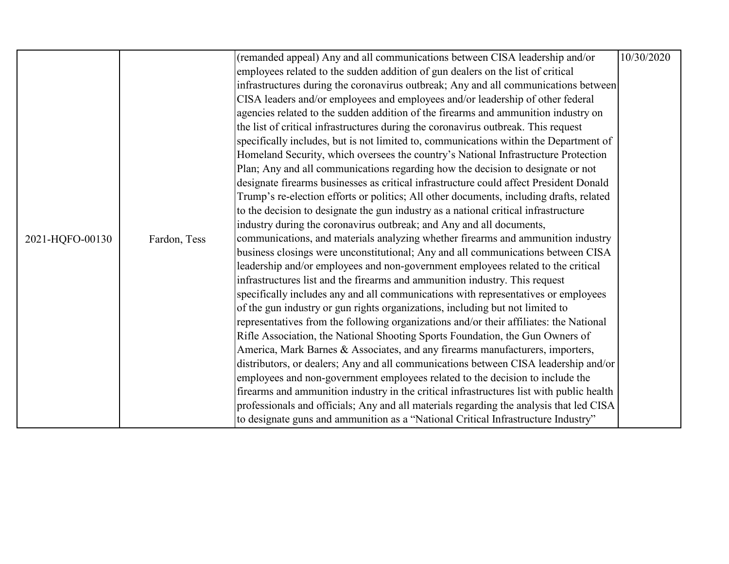|                 |              | (remanded appeal) Any and all communications between CISA leadership and/or              | 10/30/2020 |
|-----------------|--------------|------------------------------------------------------------------------------------------|------------|
|                 |              | employees related to the sudden addition of gun dealers on the list of critical          |            |
|                 |              | infrastructures during the coronavirus outbreak; Any and all communications between      |            |
|                 |              | CISA leaders and/or employees and employees and/or leadership of other federal           |            |
|                 |              | agencies related to the sudden addition of the firearms and ammunition industry on       |            |
|                 |              | the list of critical infrastructures during the coronavirus outbreak. This request       |            |
|                 |              | specifically includes, but is not limited to, communications within the Department of    |            |
|                 |              | Homeland Security, which oversees the country's National Infrastructure Protection       |            |
|                 |              | Plan; Any and all communications regarding how the decision to designate or not          |            |
|                 |              | designate firearms businesses as critical infrastructure could affect President Donald   |            |
|                 |              | Trump's re-election efforts or politics; All other documents, including drafts, related  |            |
|                 |              | to the decision to designate the gun industry as a national critical infrastructure      |            |
|                 |              | industry during the coronavirus outbreak; and Any and all documents,                     |            |
| 2021-HQFO-00130 | Fardon, Tess | communications, and materials analyzing whether firearms and ammunition industry         |            |
|                 |              | business closings were unconstitutional; Any and all communications between CISA         |            |
|                 |              | leadership and/or employees and non-government employees related to the critical         |            |
|                 |              | infrastructures list and the firearms and ammunition industry. This request              |            |
|                 |              | specifically includes any and all communications with representatives or employees       |            |
|                 |              | of the gun industry or gun rights organizations, including but not limited to            |            |
|                 |              | representatives from the following organizations and/or their affiliates: the National   |            |
|                 |              | Rifle Association, the National Shooting Sports Foundation, the Gun Owners of            |            |
|                 |              | America, Mark Barnes & Associates, and any firearms manufacturers, importers,            |            |
|                 |              | distributors, or dealers; Any and all communications between CISA leadership and/or      |            |
|                 |              | employees and non-government employees related to the decision to include the            |            |
|                 |              | firearms and ammunition industry in the critical infrastructures list with public health |            |
|                 |              | professionals and officials; Any and all materials regarding the analysis that led CISA  |            |
|                 |              | to designate guns and ammunition as a "National Critical Infrastructure Industry"        |            |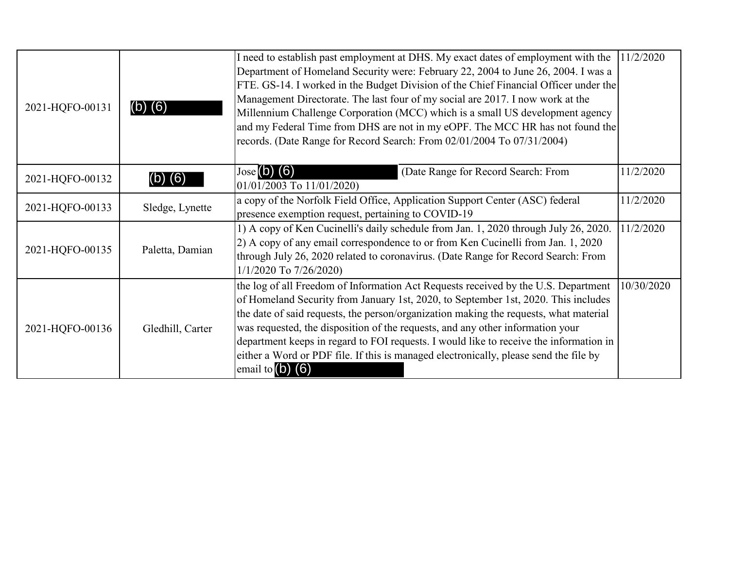| 2021-HQFO-00131 | (b) (6)          | I need to establish past employment at DHS. My exact dates of employment with the<br>Department of Homeland Security were: February 22, 2004 to June 26, 2004. I was a<br>FTE. GS-14. I worked in the Budget Division of the Chief Financial Officer under the<br>Management Directorate. The last four of my social are 2017. I now work at the<br>Millennium Challenge Corporation (MCC) which is a small US development agency<br>and my Federal Time from DHS are not in my eOPF. The MCC HR has not found the<br>records. (Date Range for Record Search: From 02/01/2004 To 07/31/2004) | 11/2/2020  |
|-----------------|------------------|----------------------------------------------------------------------------------------------------------------------------------------------------------------------------------------------------------------------------------------------------------------------------------------------------------------------------------------------------------------------------------------------------------------------------------------------------------------------------------------------------------------------------------------------------------------------------------------------|------------|
| 2021-HQFO-00132 | (6)              | $Jose(D)$ (6)<br>(Date Range for Record Search: From<br>01/01/2003 To 11/01/2020)                                                                                                                                                                                                                                                                                                                                                                                                                                                                                                            | 11/2/2020  |
| 2021-HQFO-00133 | Sledge, Lynette  | a copy of the Norfolk Field Office, Application Support Center (ASC) federal<br>presence exemption request, pertaining to COVID-19                                                                                                                                                                                                                                                                                                                                                                                                                                                           | 11/2/2020  |
| 2021-HQFO-00135 | Paletta, Damian  | 1) A copy of Ken Cucinelli's daily schedule from Jan. 1, 2020 through July 26, 2020.<br>2) A copy of any email correspondence to or from Ken Cucinelli from Jan. 1, 2020<br>through July 26, 2020 related to coronavirus. (Date Range for Record Search: From<br>$1/1/2020$ To $7/26/2020$                                                                                                                                                                                                                                                                                                   | 11/2/2020  |
| 2021-HQFO-00136 | Gledhill, Carter | the log of all Freedom of Information Act Requests received by the U.S. Department<br>of Homeland Security from January 1st, 2020, to September 1st, 2020. This includes<br>the date of said requests, the person/organization making the requests, what material<br>was requested, the disposition of the requests, and any other information your<br>department keeps in regard to FOI requests. I would like to receive the information in<br>either a Word or PDF file. If this is managed electronically, please send the file by<br>email to $(b)$ $(6)$                               | 10/30/2020 |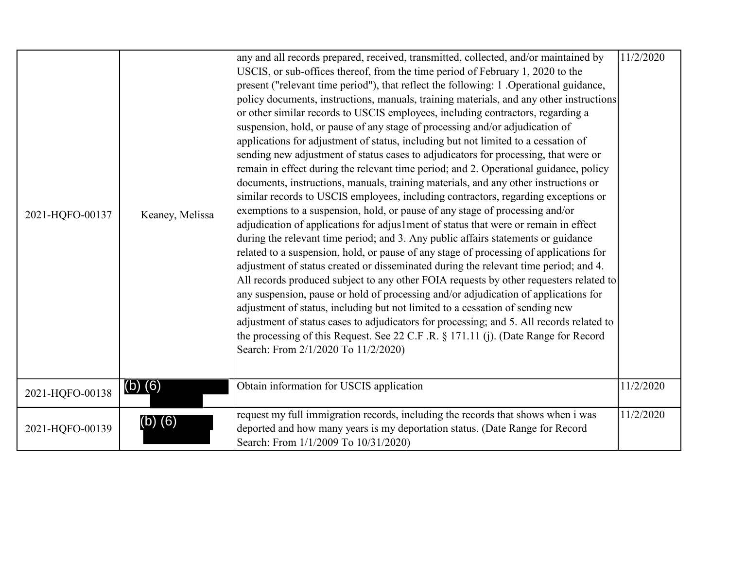|                 |                 | any and all records prepared, received, transmitted, collected, and/or maintained by     | 11/2/2020 |
|-----------------|-----------------|------------------------------------------------------------------------------------------|-----------|
|                 |                 | USCIS, or sub-offices thereof, from the time period of February 1, 2020 to the           |           |
|                 |                 | present ("relevant time period"), that reflect the following: 1. Operational guidance,   |           |
|                 |                 | policy documents, instructions, manuals, training materials, and any other instructions  |           |
|                 |                 | or other similar records to USCIS employees, including contractors, regarding a          |           |
|                 |                 | suspension, hold, or pause of any stage of processing and/or adjudication of             |           |
|                 |                 | applications for adjustment of status, including but not limited to a cessation of       |           |
|                 |                 | sending new adjustment of status cases to adjudicators for processing, that were or      |           |
|                 |                 | remain in effect during the relevant time period; and 2. Operational guidance, policy    |           |
|                 |                 | documents, instructions, manuals, training materials, and any other instructions or      |           |
|                 |                 | similar records to USCIS employees, including contractors, regarding exceptions or       |           |
| 2021-HQFO-00137 | Keaney, Melissa | exemptions to a suspension, hold, or pause of any stage of processing and/or             |           |
|                 |                 | adjudication of applications for adjus1ment of status that were or remain in effect      |           |
|                 |                 | during the relevant time period; and 3. Any public affairs statements or guidance        |           |
|                 |                 | related to a suspension, hold, or pause of any stage of processing of applications for   |           |
|                 |                 | adjustment of status created or disseminated during the relevant time period; and 4.     |           |
|                 |                 | All records produced subject to any other FOIA requests by other requesters related to   |           |
|                 |                 | any suspension, pause or hold of processing and/or adjudication of applications for      |           |
|                 |                 | adjustment of status, including but not limited to a cessation of sending new            |           |
|                 |                 | adjustment of status cases to adjudicators for processing; and 5. All records related to |           |
|                 |                 | the processing of this Request. See 22 C.F.R. § 171.11 (j). (Date Range for Record       |           |
|                 |                 | Search: From 2/1/2020 To 11/2/2020)                                                      |           |
|                 |                 |                                                                                          |           |
|                 | $(b)$ $(6)$     | Obtain information for USCIS application                                                 | 11/2/2020 |
| 2021-HQFO-00138 |                 |                                                                                          |           |
|                 |                 | request my full immigration records, including the records that shows when i was         | 11/2/2020 |
| 2021-HQFO-00139 | $(b)$ $(6)$     | deported and how many years is my deportation status. (Date Range for Record             |           |
|                 |                 | Search: From 1/1/2009 To 10/31/2020)                                                     |           |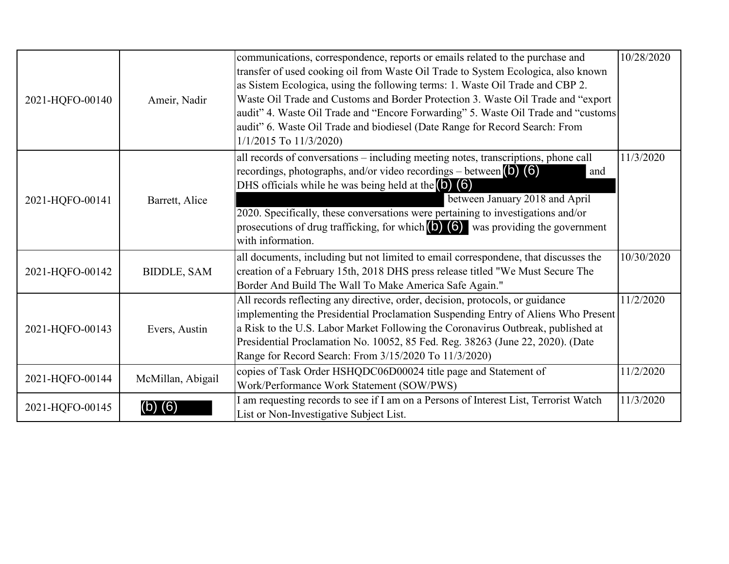| 2021-HQFO-00140 | Ameir, Nadir       | communications, correspondence, reports or emails related to the purchase and<br>transfer of used cooking oil from Waste Oil Trade to System Ecologica, also known<br>as Sistem Ecologica, using the following terms: 1. Waste Oil Trade and CBP 2.<br>Waste Oil Trade and Customs and Border Protection 3. Waste Oil Trade and "export<br>audit" 4. Waste Oil Trade and "Encore Forwarding" 5. Waste Oil Trade and "customs<br>audit" 6. Waste Oil Trade and biodiesel (Date Range for Record Search: From<br>$1/1/2015$ To $11/3/2020$ ) | 10/28/2020 |
|-----------------|--------------------|--------------------------------------------------------------------------------------------------------------------------------------------------------------------------------------------------------------------------------------------------------------------------------------------------------------------------------------------------------------------------------------------------------------------------------------------------------------------------------------------------------------------------------------------|------------|
| 2021-HQFO-00141 | Barrett, Alice     | all records of conversations - including meeting notes, transcriptions, phone call<br>recordings, photographs, and/or video recordings – between $(6)$ (6)<br>and<br>DHS officials while he was being held at the $(6)$ $(6)$<br>between January 2018 and April<br>2020. Specifically, these conversations were pertaining to investigations and/or<br>prosecutions of drug trafficking, for which $(6)$ (6) was providing the government<br>with information.                                                                             | 11/3/2020  |
| 2021-HQFO-00142 | <b>BIDDLE, SAM</b> | all documents, including but not limited to email correspondene, that discusses the<br>creation of a February 15th, 2018 DHS press release titled "We Must Secure The<br>Border And Build The Wall To Make America Safe Again."                                                                                                                                                                                                                                                                                                            | 10/30/2020 |
| 2021-HQFO-00143 | Evers, Austin      | All records reflecting any directive, order, decision, protocols, or guidance<br>implementing the Presidential Proclamation Suspending Entry of Aliens Who Present<br>a Risk to the U.S. Labor Market Following the Coronavirus Outbreak, published at<br>Presidential Proclamation No. 10052, 85 Fed. Reg. 38263 (June 22, 2020). (Date<br>Range for Record Search: From 3/15/2020 To 11/3/2020)                                                                                                                                          | 11/2/2020  |
| 2021-HQFO-00144 | McMillan, Abigail  | copies of Task Order HSHQDC06D00024 title page and Statement of<br>Work/Performance Work Statement (SOW/PWS)                                                                                                                                                                                                                                                                                                                                                                                                                               | 11/2/2020  |
| 2021-HQFO-00145 | (6)                | I am requesting records to see if I am on a Persons of Interest List, Terrorist Watch<br>List or Non-Investigative Subject List.                                                                                                                                                                                                                                                                                                                                                                                                           | 11/3/2020  |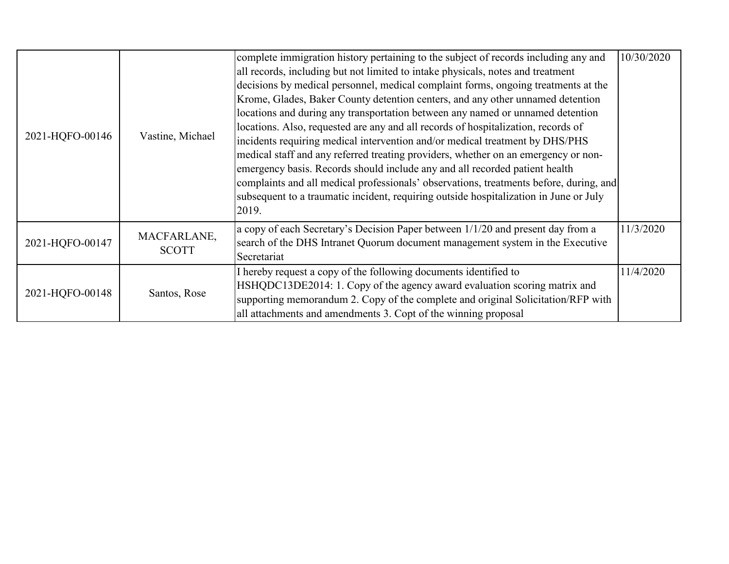| 2021-HQFO-00146 | Vastine, Michael            | complete immigration history pertaining to the subject of records including any and<br>all records, including but not limited to intake physicals, notes and treatment<br>decisions by medical personnel, medical complaint forms, ongoing treatments at the<br>Krome, Glades, Baker County detention centers, and any other unnamed detention<br>locations and during any transportation between any named or unnamed detention<br>locations. Also, requested are any and all records of hospitalization, records of<br>incidents requiring medical intervention and/or medical treatment by DHS/PHS<br>medical staff and any referred treating providers, whether on an emergency or non-<br>emergency basis. Records should include any and all recorded patient health<br>complaints and all medical professionals' observations, treatments before, during, and<br>subsequent to a traumatic incident, requiring outside hospitalization in June or July<br>2019. | 10/30/2020 |
|-----------------|-----------------------------|------------------------------------------------------------------------------------------------------------------------------------------------------------------------------------------------------------------------------------------------------------------------------------------------------------------------------------------------------------------------------------------------------------------------------------------------------------------------------------------------------------------------------------------------------------------------------------------------------------------------------------------------------------------------------------------------------------------------------------------------------------------------------------------------------------------------------------------------------------------------------------------------------------------------------------------------------------------------|------------|
| 2021-HQFO-00147 | MACFARLANE,<br><b>SCOTT</b> | a copy of each Secretary's Decision Paper between 1/1/20 and present day from a<br>search of the DHS Intranet Quorum document management system in the Executive<br>Secretariat                                                                                                                                                                                                                                                                                                                                                                                                                                                                                                                                                                                                                                                                                                                                                                                        | 11/3/2020  |
| 2021-HQFO-00148 | Santos, Rose                | I hereby request a copy of the following documents identified to<br>HSHQDC13DE2014: 1. Copy of the agency award evaluation scoring matrix and<br>supporting memorandum 2. Copy of the complete and original Solicitation/RFP with<br>all attachments and amendments 3. Copt of the winning proposal                                                                                                                                                                                                                                                                                                                                                                                                                                                                                                                                                                                                                                                                    | 11/4/2020  |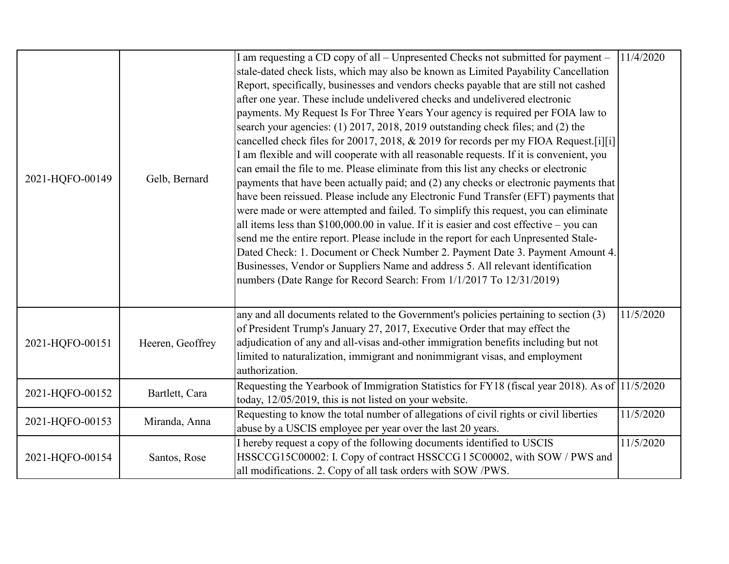| 2021-HQFO-00149 | Gelb, Bernard    | I am requesting a CD copy of all - Unpresented Checks not submitted for payment -<br>stale-dated check lists, which may also be known as Limited Payability Cancellation<br>Report, specifically, businesses and vendors checks payable that are still not cashed<br>after one year. These include undelivered checks and undelivered electronic<br>payments. My Request Is For Three Years Your agency is required per FOIA law to<br>search your agencies: (1) 2017, 2018, 2019 outstanding check files; and (2) the<br>cancelled check files for 20017, 2018, $& 2019$ for records per my FIOA Request. [i] [i]<br>I am flexible and will cooperate with all reasonable requests. If it is convenient, you<br>can email the file to me. Please eliminate from this list any checks or electronic<br>payments that have been actually paid; and (2) any checks or electronic payments that<br>have been reissued. Please include any Electronic Fund Transfer (EFT) payments that<br>were made or were attempted and failed. To simplify this request, you can eliminate<br>all items less than $$100,000.00$ in value. If it is easier and cost effective – you can<br>send me the entire report. Please include in the report for each Unpresented Stale-<br>Dated Check: 1. Document or Check Number 2. Payment Date 3. Payment Amount 4.<br>Businesses, Vendor or Suppliers Name and address 5. All relevant identification<br>numbers (Date Range for Record Search: From 1/1/2017 To 12/31/2019) | 11/4/2020 |
|-----------------|------------------|----------------------------------------------------------------------------------------------------------------------------------------------------------------------------------------------------------------------------------------------------------------------------------------------------------------------------------------------------------------------------------------------------------------------------------------------------------------------------------------------------------------------------------------------------------------------------------------------------------------------------------------------------------------------------------------------------------------------------------------------------------------------------------------------------------------------------------------------------------------------------------------------------------------------------------------------------------------------------------------------------------------------------------------------------------------------------------------------------------------------------------------------------------------------------------------------------------------------------------------------------------------------------------------------------------------------------------------------------------------------------------------------------------------------------------------------------------------------------------------------------------|-----------|
| 2021-HQFO-00151 | Heeren, Geoffrey | any and all documents related to the Government's policies pertaining to section (3)<br>of President Trump's January 27, 2017, Executive Order that may effect the<br>adjudication of any and all-visas and-other immigration benefits including but not<br>limited to naturalization, immigrant and nonimmigrant visas, and employment<br>authorization.                                                                                                                                                                                                                                                                                                                                                                                                                                                                                                                                                                                                                                                                                                                                                                                                                                                                                                                                                                                                                                                                                                                                                | 11/5/2020 |
| 2021-HQFO-00152 | Bartlett, Cara   | Requesting the Yearbook of Immigration Statistics for FY18 (fiscal year 2018). As of 11/5/2020<br>today, 12/05/2019, this is not listed on your website.                                                                                                                                                                                                                                                                                                                                                                                                                                                                                                                                                                                                                                                                                                                                                                                                                                                                                                                                                                                                                                                                                                                                                                                                                                                                                                                                                 |           |
| 2021-HQFO-00153 | Miranda, Anna    | Requesting to know the total number of allegations of civil rights or civil liberties<br>abuse by a USCIS employee per year over the last 20 years.                                                                                                                                                                                                                                                                                                                                                                                                                                                                                                                                                                                                                                                                                                                                                                                                                                                                                                                                                                                                                                                                                                                                                                                                                                                                                                                                                      | 11/5/2020 |
| 2021-HQFO-00154 | Santos, Rose     | I hereby request a copy of the following documents identified to USCIS<br>HSSCCG15C00002: I. Copy of contract HSSCCG 1 5C00002, with SOW / PWS and<br>all modifications. 2. Copy of all task orders with SOW /PWS.                                                                                                                                                                                                                                                                                                                                                                                                                                                                                                                                                                                                                                                                                                                                                                                                                                                                                                                                                                                                                                                                                                                                                                                                                                                                                       | 11/5/2020 |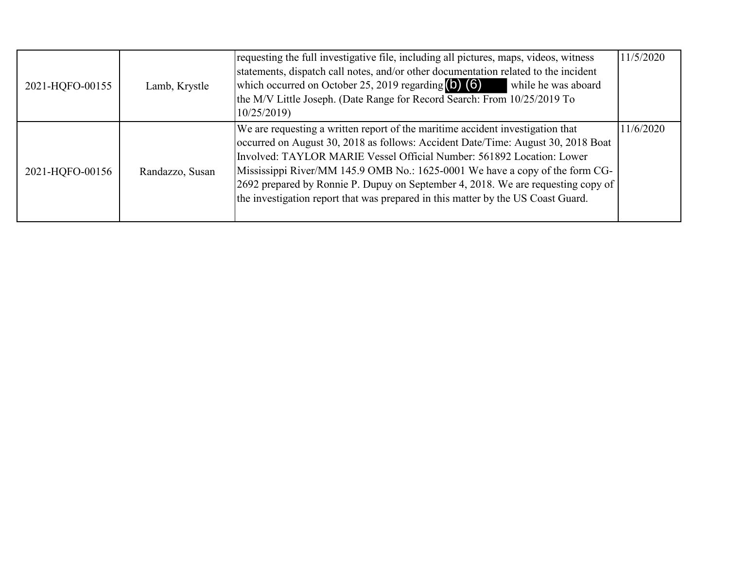| 2021-HQFO-00155 | Lamb, Krystle   | requesting the full investigative file, including all pictures, maps, videos, witness<br>statements, dispatch call notes, and/or other documentation related to the incident<br>which occurred on October 25, 2019 regarding $\left(\bullet\right)$ (6)<br>while he was aboard<br>the M/V Little Joseph. (Date Range for Record Search: From 10/25/2019 To<br>10/25/2019                                                                                                                             | 11/5/2020 |
|-----------------|-----------------|------------------------------------------------------------------------------------------------------------------------------------------------------------------------------------------------------------------------------------------------------------------------------------------------------------------------------------------------------------------------------------------------------------------------------------------------------------------------------------------------------|-----------|
| 2021-HQFO-00156 | Randazzo, Susan | We are requesting a written report of the maritime accident investigation that<br>occurred on August 30, 2018 as follows: Accident Date/Time: August 30, 2018 Boat<br>Involved: TAYLOR MARIE Vessel Official Number: 561892 Location: Lower<br>Mississippi River/MM 145.9 OMB No.: 1625-0001 We have a copy of the form CG-<br>[2692 prepared by Ronnie P. Dupuy on September 4, 2018. We are requesting copy of<br>the investigation report that was prepared in this matter by the US Coast Guard. | 11/6/2020 |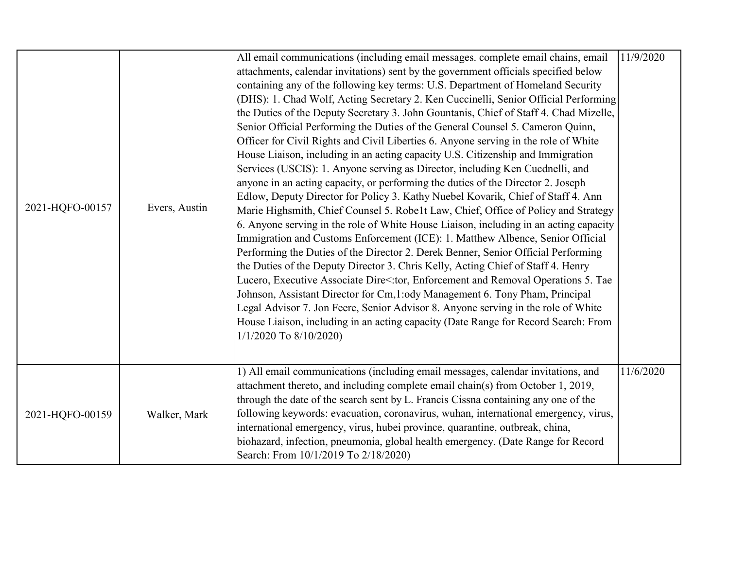| 2021-HQFO-00157 | Evers, Austin | All email communications (including email messages. complete email chains, email<br>attachments, calendar invitations) sent by the government officials specified below<br>containing any of the following key terms: U.S. Department of Homeland Security<br>(DHS): 1. Chad Wolf, Acting Secretary 2. Ken Cuccinelli, Senior Official Performing<br>the Duties of the Deputy Secretary 3. John Gountanis, Chief of Staff 4. Chad Mizelle,<br>Senior Official Performing the Duties of the General Counsel 5. Cameron Quinn,<br>Officer for Civil Rights and Civil Liberties 6. Anyone serving in the role of White<br>House Liaison, including in an acting capacity U.S. Citizenship and Immigration<br>Services (USCIS): 1. Anyone serving as Director, including Ken Cucdnelli, and<br>anyone in an acting capacity, or performing the duties of the Director 2. Joseph<br>Edlow, Deputy Director for Policy 3. Kathy Nuebel Kovarik, Chief of Staff 4. Ann<br>Marie Highsmith, Chief Counsel 5. Robe1t Law, Chief, Office of Policy and Strategy<br>6. Anyone serving in the role of White House Liaison, including in an acting capacity<br>Immigration and Customs Enforcement (ICE): 1. Matthew Albence, Senior Official<br>Performing the Duties of the Director 2. Derek Benner, Senior Official Performing<br>the Duties of the Deputy Director 3. Chris Kelly, Acting Chief of Staff 4. Henry<br>Lucero, Executive Associate Dire<:tor, Enforcement and Removal Operations 5. Tae<br>Johnson, Assistant Director for Cm, 1:ody Management 6. Tony Pham, Principal<br>Legal Advisor 7. Jon Feere, Senior Advisor 8. Anyone serving in the role of White<br>House Liaison, including in an acting capacity (Date Range for Record Search: From<br>1/1/2020 To 8/10/2020) | 11/9/2020 |
|-----------------|---------------|------------------------------------------------------------------------------------------------------------------------------------------------------------------------------------------------------------------------------------------------------------------------------------------------------------------------------------------------------------------------------------------------------------------------------------------------------------------------------------------------------------------------------------------------------------------------------------------------------------------------------------------------------------------------------------------------------------------------------------------------------------------------------------------------------------------------------------------------------------------------------------------------------------------------------------------------------------------------------------------------------------------------------------------------------------------------------------------------------------------------------------------------------------------------------------------------------------------------------------------------------------------------------------------------------------------------------------------------------------------------------------------------------------------------------------------------------------------------------------------------------------------------------------------------------------------------------------------------------------------------------------------------------------------------------------------------------------------------------------------------------------------------------------|-----------|
| 2021-HQFO-00159 | Walker, Mark  | 1) All email communications (including email messages, calendar invitations, and<br>attachment thereto, and including complete email chain(s) from October 1, 2019,<br>through the date of the search sent by L. Francis Cissna containing any one of the<br>following keywords: evacuation, coronavirus, wuhan, international emergency, virus,<br>international emergency, virus, hubei province, quarantine, outbreak, china,<br>biohazard, infection, pneumonia, global health emergency. (Date Range for Record<br>Search: From 10/1/2019 To 2/18/2020)                                                                                                                                                                                                                                                                                                                                                                                                                                                                                                                                                                                                                                                                                                                                                                                                                                                                                                                                                                                                                                                                                                                                                                                                                       | 11/6/2020 |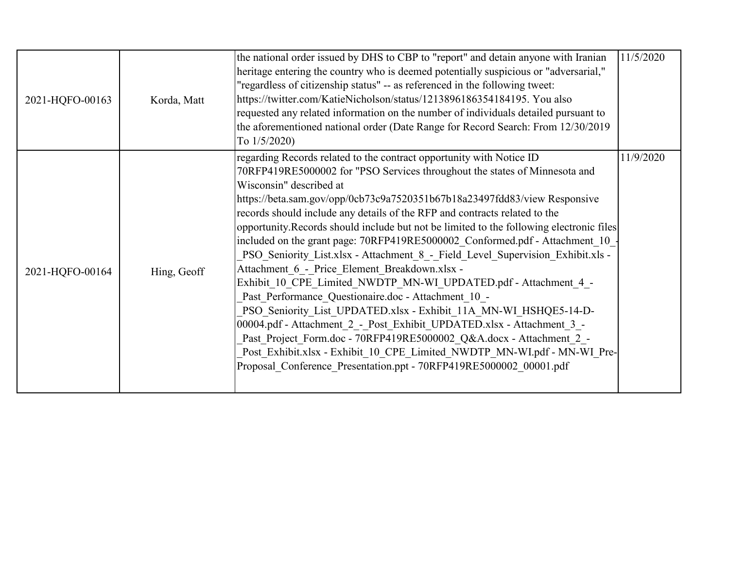| 2021-HQFO-00163 | Korda, Matt | the national order issued by DHS to CBP to "report" and detain anyone with Iranian<br>heritage entering the country who is deemed potentially suspicious or "adversarial,"<br>"regardless of citizenship status" -- as referenced in the following tweet:<br>https://twitter.com/KatieNicholson/status/1213896186354184195. You also<br>requested any related information on the number of individuals detailed pursuant to<br>the aforementioned national order (Date Range for Record Search: From 12/30/2019<br>To $1/5/2020$ )                                                                                                                                                                                                                                                                                                                                                                                                                                                                                                                                                                                                                    | 11/5/2020 |
|-----------------|-------------|-------------------------------------------------------------------------------------------------------------------------------------------------------------------------------------------------------------------------------------------------------------------------------------------------------------------------------------------------------------------------------------------------------------------------------------------------------------------------------------------------------------------------------------------------------------------------------------------------------------------------------------------------------------------------------------------------------------------------------------------------------------------------------------------------------------------------------------------------------------------------------------------------------------------------------------------------------------------------------------------------------------------------------------------------------------------------------------------------------------------------------------------------------|-----------|
| 2021-HQFO-00164 | Hing, Geoff | regarding Records related to the contract opportunity with Notice ID<br>70RFP419RE5000002 for "PSO Services throughout the states of Minnesota and<br>Wisconsin" described at<br>https://beta.sam.gov/opp/0cb73c9a7520351b67b18a23497fdd83/view Responsive<br>records should include any details of the RFP and contracts related to the<br>opportunity. Records should include but not be limited to the following electronic files<br>included on the grant page: 70RFP419RE5000002 Conformed.pdf - Attachment 10<br>PSO Seniority List.xlsx - Attachment 8 - Field Level Supervision Exhibit.xls -<br>Attachment 6 - Price Element Breakdown.xlsx -<br>Exhibit 10 CPE Limited NWDTP MN-WI UPDATED.pdf - Attachment 4 -<br>Past Performance Questionaire.doc - Attachment 10 -<br>PSO Seniority List UPDATED.xlsx - Exhibit 11A MN-WI HSHQE5-14-D-<br>00004.pdf - Attachment 2 - Post Exhibit UPDATED.xlsx - Attachment 3 -<br>Past Project Form.doc - 70RFP419RE5000002 Q&A.docx - Attachment 2 -<br>Post Exhibit.xlsx - Exhibit 10 CPE Limited NWDTP MN-WI.pdf - MN-WI Pre-<br>Proposal Conference Presentation.ppt - 70RFP419RE5000002 00001.pdf | 11/9/2020 |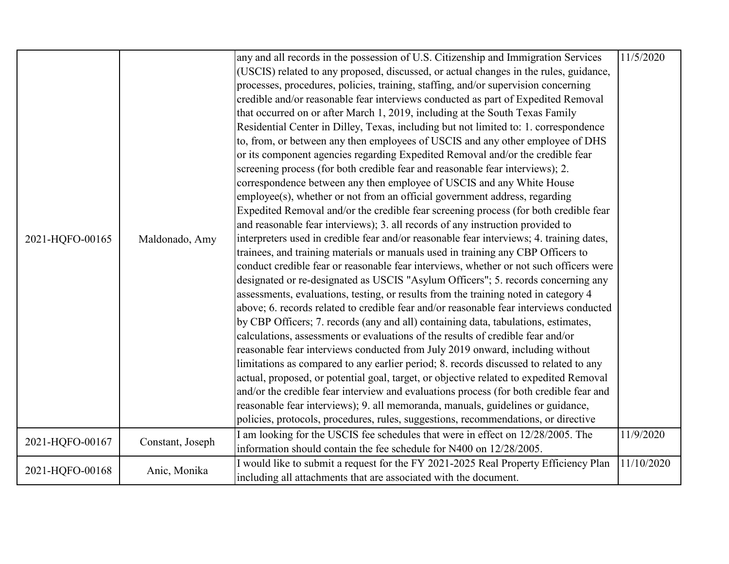|                 |                  | any and all records in the possession of U.S. Citizenship and Immigration Services       | 11/5/2020  |
|-----------------|------------------|------------------------------------------------------------------------------------------|------------|
|                 |                  |                                                                                          |            |
|                 |                  | (USCIS) related to any proposed, discussed, or actual changes in the rules, guidance,    |            |
|                 |                  | processes, procedures, policies, training, staffing, and/or supervision concerning       |            |
|                 |                  | credible and/or reasonable fear interviews conducted as part of Expedited Removal        |            |
|                 |                  | that occurred on or after March 1, 2019, including at the South Texas Family             |            |
|                 |                  | Residential Center in Dilley, Texas, including but not limited to: 1. correspondence     |            |
|                 |                  | to, from, or between any then employees of USCIS and any other employee of DHS           |            |
|                 |                  | or its component agencies regarding Expedited Removal and/or the credible fear           |            |
|                 |                  | screening process (for both credible fear and reasonable fear interviews); 2.            |            |
|                 |                  | correspondence between any then employee of USCIS and any White House                    |            |
|                 |                  | employee(s), whether or not from an official government address, regarding               |            |
|                 |                  | Expedited Removal and/or the credible fear screening process (for both credible fear     |            |
|                 |                  | and reasonable fear interviews); 3. all records of any instruction provided to           |            |
| 2021-HQFO-00165 | Maldonado, Amy   | interpreters used in credible fear and/or reasonable fear interviews; 4. training dates, |            |
|                 |                  | trainees, and training materials or manuals used in training any CBP Officers to         |            |
|                 |                  | conduct credible fear or reasonable fear interviews, whether or not such officers were   |            |
|                 |                  | designated or re-designated as USCIS "Asylum Officers"; 5. records concerning any        |            |
|                 |                  |                                                                                          |            |
|                 |                  | assessments, evaluations, testing, or results from the training noted in category 4      |            |
|                 |                  | above; 6. records related to credible fear and/or reasonable fear interviews conducted   |            |
|                 |                  | by CBP Officers; 7. records (any and all) containing data, tabulations, estimates,       |            |
|                 |                  | calculations, assessments or evaluations of the results of credible fear and/or          |            |
|                 |                  | reasonable fear interviews conducted from July 2019 onward, including without            |            |
|                 |                  | limitations as compared to any earlier period; 8. records discussed to related to any    |            |
|                 |                  | actual, proposed, or potential goal, target, or objective related to expedited Removal   |            |
|                 |                  | and/or the credible fear interview and evaluations process (for both credible fear and   |            |
|                 |                  | reasonable fear interviews); 9. all memoranda, manuals, guidelines or guidance,          |            |
|                 |                  | policies, protocols, procedures, rules, suggestions, recommendations, or directive       |            |
|                 |                  | I am looking for the USCIS fee schedules that were in effect on 12/28/2005. The          | 11/9/2020  |
| 2021-HQFO-00167 | Constant, Joseph | information should contain the fee schedule for N400 on 12/28/2005.                      |            |
|                 |                  | I would like to submit a request for the FY 2021-2025 Real Property Efficiency Plan      | 11/10/2020 |
| 2021-HQFO-00168 | Anic, Monika     | including all attachments that are associated with the document.                         |            |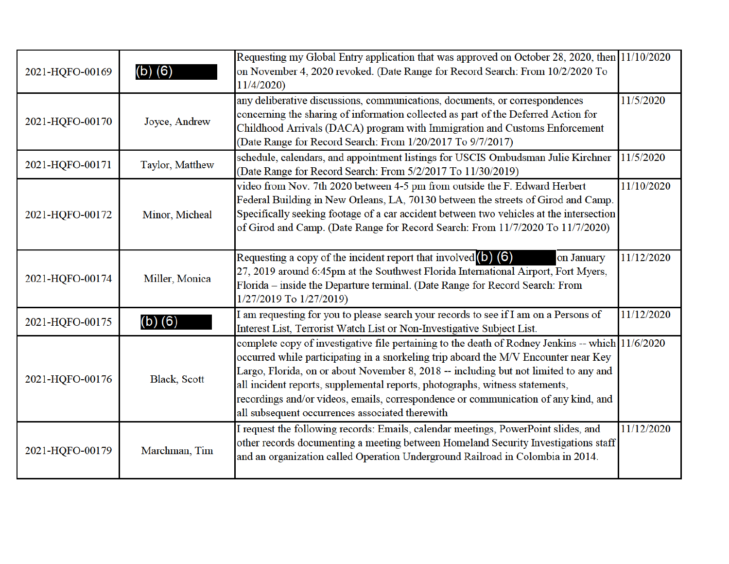| 2021-HQFO-00169 | $(b)$ $(6)$         | Requesting my Global Entry application that was approved on October 28, 2020, then 11/10/2020<br>on November 4, 2020 revoked. (Date Range for Record Search: From 10/2/2020 To<br>11/4/2020                                                                                                                                                                                                                                                                                                              |            |
|-----------------|---------------------|----------------------------------------------------------------------------------------------------------------------------------------------------------------------------------------------------------------------------------------------------------------------------------------------------------------------------------------------------------------------------------------------------------------------------------------------------------------------------------------------------------|------------|
| 2021-HQFO-00170 | Joyce, Andrew       | any deliberative discussions, communications, documents, or correspondences<br>concerning the sharing of information collected as part of the Deferred Action for<br>Childhood Arrivals (DACA) program with Immigration and Customs Enforcement<br>(Date Range for Record Search: From 1/20/2017 To 9/7/2017)                                                                                                                                                                                            | 11/5/2020  |
| 2021-HQFO-00171 | Taylor, Matthew     | schedule, calendars, and appointment listings for USCIS Ombudsman Julie Kirchner<br>(Date Range for Record Search: From 5/2/2017 To 11/30/2019)                                                                                                                                                                                                                                                                                                                                                          | 11/5/2020  |
| 2021-HQFO-00172 | Minor, Micheal      | video from Nov. 7th 2020 between 4-5 pm from outside the F. Edward Herbert<br>Federal Building in New Orleans, LA, 70130 between the streets of Girod and Camp.<br>Specifically seeking footage of a car accident between two vehicles at the intersection<br>of Girod and Camp. (Date Range for Record Search: From 11/7/2020 To 11/7/2020)                                                                                                                                                             | 11/10/2020 |
| 2021-HQFO-00174 | Miller, Monica      | Requesting a copy of the incident report that involved $(6)$ $(6)$<br>on January<br>27, 2019 around 6:45pm at the Southwest Florida International Airport, Fort Myers,<br>Florida - inside the Departure terminal. (Date Range for Record Search: From<br>1/27/2019 To 1/27/2019)                                                                                                                                                                                                                        | 11/12/2020 |
| 2021-HQFO-00175 | $(b)$ $(6)$         | I am requesting for you to please search your records to see if I am on a Persons of<br>Interest List, Terrorist Watch List or Non-Investigative Subject List.                                                                                                                                                                                                                                                                                                                                           | 11/12/2020 |
| 2021-HQFO-00176 | <b>Black, Scott</b> | complete copy of investigative file pertaining to the death of Rodney Jenkins -- which 11/6/2020<br>occurred while participating in a snorkeling trip aboard the M/V Encounter near Key<br>Largo, Florida, on or about November 8, 2018 -- including but not limited to any and<br>all incident reports, supplemental reports, photographs, witness statements,<br>recordings and/or videos, emails, correspondence or communication of any kind, and<br>all subsequent occurrences associated therewith |            |
| 2021-HQFO-00179 | Marchman, Tim       | I request the following records: Emails, calendar meetings, PowerPoint slides, and<br>other records documenting a meeting between Homeland Security Investigations staff<br>and an organization called Operation Underground Railroad in Colombia in 2014.                                                                                                                                                                                                                                               | 11/12/2020 |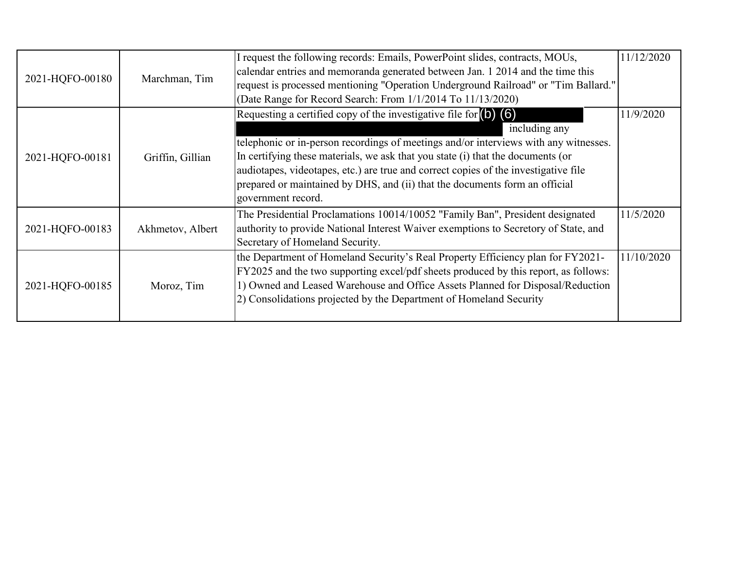| 2021-HQFO-00180 | Marchman, Tim    | I request the following records: Emails, PowerPoint slides, contracts, MOUs,<br>calendar entries and memoranda generated between Jan. 1 2014 and the time this<br>request is processed mentioning "Operation Underground Railroad" or "Tim Ballard."<br>(Date Range for Record Search: From 1/1/2014 To 11/13/2020)                                                                                                                                                                | 11/12/2020 |
|-----------------|------------------|------------------------------------------------------------------------------------------------------------------------------------------------------------------------------------------------------------------------------------------------------------------------------------------------------------------------------------------------------------------------------------------------------------------------------------------------------------------------------------|------------|
| 2021-HQFO-00181 | Griffin, Gillian | Requesting a certified copy of the investigative file for $\left( \frac{1}{2} \right)$ (6)<br>including any<br>telephonic or in-person recordings of meetings and/or interviews with any witnesses.<br>In certifying these materials, we ask that you state (i) that the documents (or<br>audiotapes, videotapes, etc.) are true and correct copies of the investigative file<br>prepared or maintained by DHS, and (ii) that the documents form an official<br>government record. | 11/9/2020  |
| 2021-HQFO-00183 | Akhmetov, Albert | The Presidential Proclamations 10014/10052 "Family Ban", President designated<br>authority to provide National Interest Waiver exemptions to Secretory of State, and<br>Secretary of Homeland Security.                                                                                                                                                                                                                                                                            | 11/5/2020  |
| 2021-HQFO-00185 | Moroz, Tim       | the Department of Homeland Security's Real Property Efficiency plan for FY2021-<br>FY2025 and the two supporting excel/pdf sheets produced by this report, as follows:<br>1) Owned and Leased Warehouse and Office Assets Planned for Disposal/Reduction<br>2) Consolidations projected by the Department of Homeland Security                                                                                                                                                     | 11/10/2020 |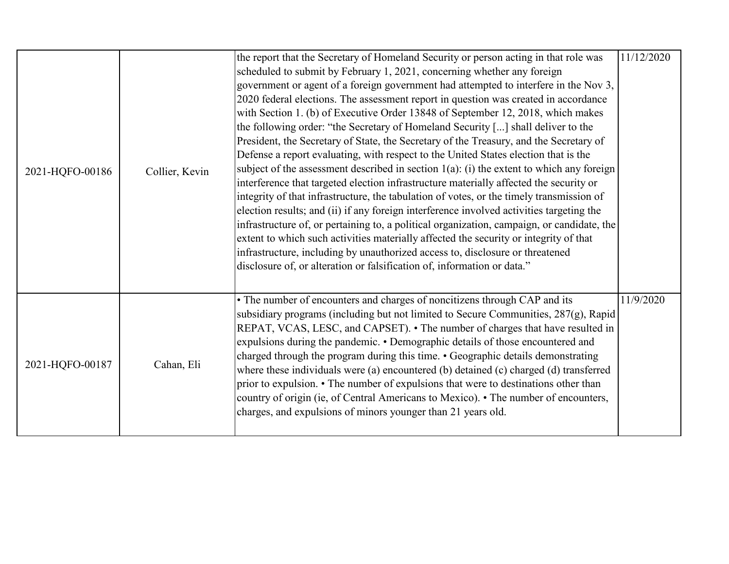| 2021-HQFO-00186 | Collier, Kevin | the report that the Secretary of Homeland Security or person acting in that role was<br>scheduled to submit by February 1, 2021, concerning whether any foreign<br>government or agent of a foreign government had attempted to interfere in the Nov 3,<br>2020 federal elections. The assessment report in question was created in accordance<br>with Section 1. (b) of Executive Order 13848 of September 12, 2018, which makes<br>the following order: "the Secretary of Homeland Security [] shall deliver to the<br>President, the Secretary of State, the Secretary of the Treasury, and the Secretary of<br>Defense a report evaluating, with respect to the United States election that is the<br>subject of the assessment described in section $1(a)$ : (i) the extent to which any foreign<br>interference that targeted election infrastructure materially affected the security or<br>integrity of that infrastructure, the tabulation of votes, or the timely transmission of<br>election results; and (ii) if any foreign interference involved activities targeting the<br>infrastructure of, or pertaining to, a political organization, campaign, or candidate, the<br>extent to which such activities materially affected the security or integrity of that<br>infrastructure, including by unauthorized access to, disclosure or threatened<br>disclosure of, or alteration or falsification of, information or data." | 11/12/2020 |
|-----------------|----------------|--------------------------------------------------------------------------------------------------------------------------------------------------------------------------------------------------------------------------------------------------------------------------------------------------------------------------------------------------------------------------------------------------------------------------------------------------------------------------------------------------------------------------------------------------------------------------------------------------------------------------------------------------------------------------------------------------------------------------------------------------------------------------------------------------------------------------------------------------------------------------------------------------------------------------------------------------------------------------------------------------------------------------------------------------------------------------------------------------------------------------------------------------------------------------------------------------------------------------------------------------------------------------------------------------------------------------------------------------------------------------------------------------------------------------------------------|------------|
| 2021-HQFO-00187 | Cahan, Eli     | • The number of encounters and charges of noncitizens through CAP and its<br>subsidiary programs (including but not limited to Secure Communities, 287(g), Rapid<br>REPAT, VCAS, LESC, and CAPSET). • The number of charges that have resulted in<br>expulsions during the pandemic. • Demographic details of those encountered and<br>charged through the program during this time. • Geographic details demonstrating<br>where these individuals were (a) encountered (b) detained (c) charged (d) transferred<br>prior to expulsion. • The number of expulsions that were to destinations other than<br>country of origin (ie, of Central Americans to Mexico). • The number of encounters,<br>charges, and expulsions of minors younger than 21 years old.                                                                                                                                                                                                                                                                                                                                                                                                                                                                                                                                                                                                                                                                             | 11/9/2020  |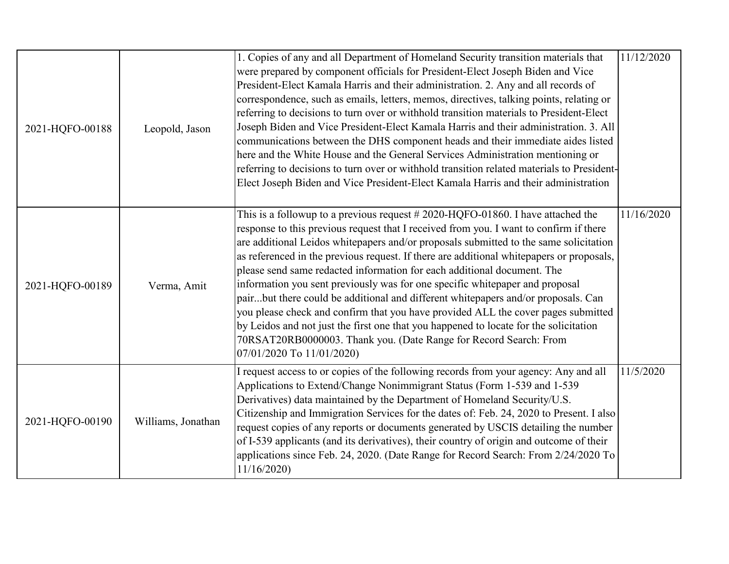| 2021-HQFO-00188 | Leopold, Jason     | 1. Copies of any and all Department of Homeland Security transition materials that<br>were prepared by component officials for President-Elect Joseph Biden and Vice<br>President-Elect Kamala Harris and their administration. 2. Any and all records of<br>correspondence, such as emails, letters, memos, directives, talking points, relating or<br>referring to decisions to turn over or withhold transition materials to President-Elect<br>Joseph Biden and Vice President-Elect Kamala Harris and their administration. 3. All<br>communications between the DHS component heads and their immediate aides listed<br>here and the White House and the General Services Administration mentioning or<br>referring to decisions to turn over or withhold transition related materials to President-<br>Elect Joseph Biden and Vice President-Elect Kamala Harris and their administration | 11/12/2020 |
|-----------------|--------------------|--------------------------------------------------------------------------------------------------------------------------------------------------------------------------------------------------------------------------------------------------------------------------------------------------------------------------------------------------------------------------------------------------------------------------------------------------------------------------------------------------------------------------------------------------------------------------------------------------------------------------------------------------------------------------------------------------------------------------------------------------------------------------------------------------------------------------------------------------------------------------------------------------|------------|
| 2021-HQFO-00189 | Verma, Amit        | This is a followup to a previous request $#2020$ -HQFO-01860. I have attached the<br>response to this previous request that I received from you. I want to confirm if there<br>are additional Leidos whitepapers and/or proposals submitted to the same solicitation<br>as referenced in the previous request. If there are additional whitepapers or proposals,<br>please send same redacted information for each additional document. The<br>information you sent previously was for one specific whitepaper and proposal<br>pairbut there could be additional and different whitepapers and/or proposals. Can<br>you please check and confirm that you have provided ALL the cover pages submitted<br>by Leidos and not just the first one that you happened to locate for the solicitation<br>70RSAT20RB0000003. Thank you. (Date Range for Record Search: From<br>07/01/2020 To 11/01/2020) | 11/16/2020 |
| 2021-HQFO-00190 | Williams, Jonathan | I request access to or copies of the following records from your agency: Any and all<br>Applications to Extend/Change Nonimmigrant Status (Form 1-539 and 1-539<br>Derivatives) data maintained by the Department of Homeland Security/U.S.<br>Citizenship and Immigration Services for the dates of: Feb. 24, 2020 to Present. I also<br>request copies of any reports or documents generated by USCIS detailing the number<br>of I-539 applicants (and its derivatives), their country of origin and outcome of their<br>applications since Feb. 24, 2020. (Date Range for Record Search: From 2/24/2020 To<br>11/16/2020                                                                                                                                                                                                                                                                      | 11/5/2020  |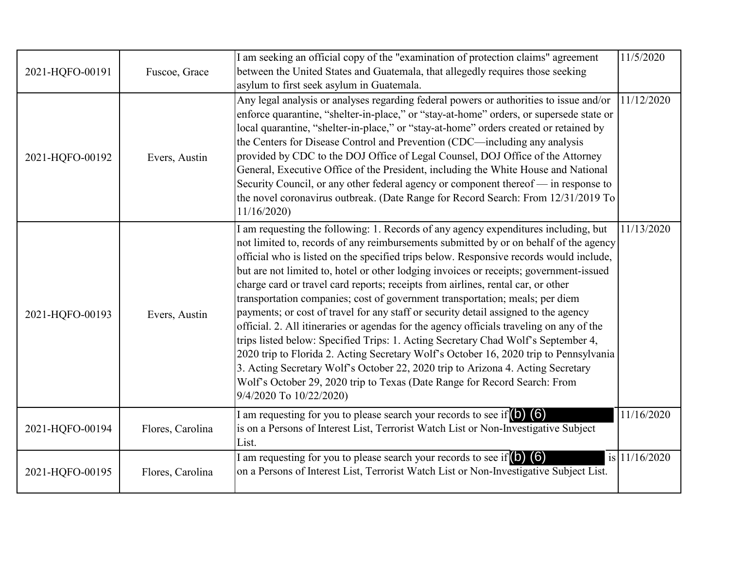| 2021-HQFO-00191 | Fuscoe, Grace    | I am seeking an official copy of the "examination of protection claims" agreement<br>between the United States and Guatemala, that allegedly requires those seeking<br>asylum to first seek asylum in Guatemala.                                                                                                                                                                                                                                                                                                                                                                                                                                                                                                                                                                                                                                                                                                                                                                                                                                                                                 | 11/5/2020     |
|-----------------|------------------|--------------------------------------------------------------------------------------------------------------------------------------------------------------------------------------------------------------------------------------------------------------------------------------------------------------------------------------------------------------------------------------------------------------------------------------------------------------------------------------------------------------------------------------------------------------------------------------------------------------------------------------------------------------------------------------------------------------------------------------------------------------------------------------------------------------------------------------------------------------------------------------------------------------------------------------------------------------------------------------------------------------------------------------------------------------------------------------------------|---------------|
| 2021-HQFO-00192 | Evers, Austin    | Any legal analysis or analyses regarding federal powers or authorities to issue and/or<br>enforce quarantine, "shelter-in-place," or "stay-at-home" orders, or supersede state or<br>local quarantine, "shelter-in-place," or "stay-at-home" orders created or retained by<br>the Centers for Disease Control and Prevention (CDC—including any analysis<br>provided by CDC to the DOJ Office of Legal Counsel, DOJ Office of the Attorney<br>General, Executive Office of the President, including the White House and National<br>Security Council, or any other federal agency or component thereof — in response to<br>the novel coronavirus outbreak. (Date Range for Record Search: From 12/31/2019 To<br>11/16/2020                                                                                                                                                                                                                                                                                                                                                                       | 11/12/2020    |
| 2021-HQFO-00193 | Evers, Austin    | I am requesting the following: 1. Records of any agency expenditures including, but<br>not limited to, records of any reimbursements submitted by or on behalf of the agency<br>official who is listed on the specified trips below. Responsive records would include,<br>but are not limited to, hotel or other lodging invoices or receipts; government-issued<br>charge card or travel card reports; receipts from airlines, rental car, or other<br>transportation companies; cost of government transportation; meals; per diem<br>payments; or cost of travel for any staff or security detail assigned to the agency<br>official. 2. All itineraries or agendas for the agency officials traveling on any of the<br>trips listed below: Specified Trips: 1. Acting Secretary Chad Wolf's September 4,<br>2020 trip to Florida 2. Acting Secretary Wolf's October 16, 2020 trip to Pennsylvania<br>3. Acting Secretary Wolf's October 22, 2020 trip to Arizona 4. Acting Secretary<br>Wolf's October 29, 2020 trip to Texas (Date Range for Record Search: From<br>9/4/2020 To 10/22/2020) | 11/13/2020    |
| 2021-HQFO-00194 | Flores, Carolina | I am requesting for you to please search your records to see if $\left(0\right)\left(6\right)$<br>is on a Persons of Interest List, Terrorist Watch List or Non-Investigative Subject<br>List.                                                                                                                                                                                                                                                                                                                                                                                                                                                                                                                                                                                                                                                                                                                                                                                                                                                                                                   | 11/16/2020    |
| 2021-HQFO-00195 | Flores, Carolina | I am requesting for you to please search your records to see if $\begin{pmatrix} 0 \\ 0 \end{pmatrix}$<br>on a Persons of Interest List, Terrorist Watch List or Non-Investigative Subject List.                                                                                                                                                                                                                                                                                                                                                                                                                                                                                                                                                                                                                                                                                                                                                                                                                                                                                                 | is 11/16/2020 |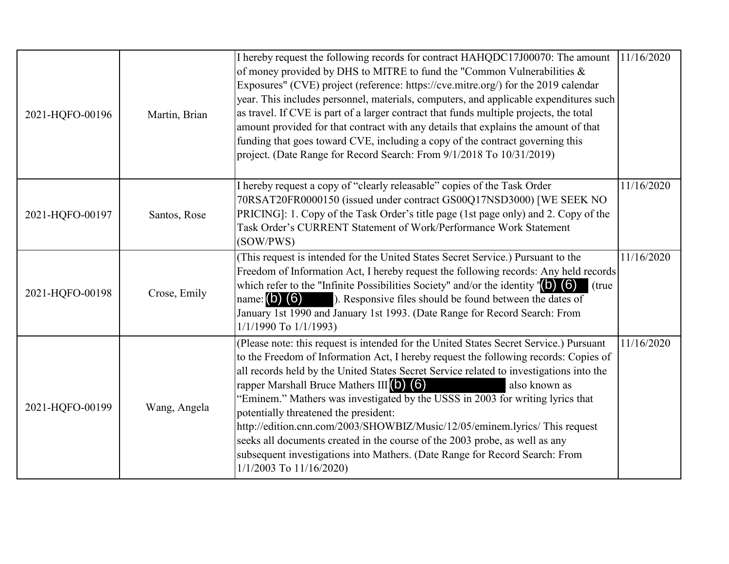| 2021-HQFO-00196 | Martin, Brian | I hereby request the following records for contract HAHQDC17J00070: The amount<br>of money provided by DHS to MITRE to fund the "Common Vulnerabilities &<br>Exposures" (CVE) project (reference: https://cve.mitre.org/) for the 2019 calendar<br>year. This includes personnel, materials, computers, and applicable expenditures such<br>as travel. If CVE is part of a larger contract that funds multiple projects, the total<br>amount provided for that contract with any details that explains the amount of that<br>funding that goes toward CVE, including a copy of the contract governing this<br>project. (Date Range for Record Search: From 9/1/2018 To 10/31/2019)                                                               | 11/16/2020 |
|-----------------|---------------|--------------------------------------------------------------------------------------------------------------------------------------------------------------------------------------------------------------------------------------------------------------------------------------------------------------------------------------------------------------------------------------------------------------------------------------------------------------------------------------------------------------------------------------------------------------------------------------------------------------------------------------------------------------------------------------------------------------------------------------------------|------------|
| 2021-HQFO-00197 | Santos, Rose  | I hereby request a copy of "clearly releasable" copies of the Task Order<br>70RSAT20FR0000150 (issued under contract GS00Q17NSD3000) [WE SEEK NO<br>PRICING]: 1. Copy of the Task Order's title page (1st page only) and 2. Copy of the<br>Task Order's CURRENT Statement of Work/Performance Work Statement<br>(SOW/PWS)                                                                                                                                                                                                                                                                                                                                                                                                                        | 11/16/2020 |
| 2021-HQFO-00198 | Crose, Emily  | (This request is intended for the United States Secret Service.) Pursuant to the<br>Freedom of Information Act, I hereby request the following records: Any held records<br>which refer to the "Infinite Possibilities Society" and/or the identity $\langle 6 \rangle$ (6)<br>(true)<br>name: $(b)$ $(6)$<br>). Responsive files should be found between the dates of<br>January 1st 1990 and January 1st 1993. (Date Range for Record Search: From<br>$1/1/1990$ To $1/1/1993$                                                                                                                                                                                                                                                                 | 11/16/2020 |
| 2021-HQFO-00199 | Wang, Angela  | (Please note: this request is intended for the United States Secret Service.) Pursuant<br>to the Freedom of Information Act, I hereby request the following records: Copies of<br>all records held by the United States Secret Service related to investigations into the<br>rapper Marshall Bruce Mathers $III(0)$ (6)<br>also known as<br>"Eminem." Mathers was investigated by the USSS in 2003 for writing lyrics that<br>potentially threatened the president:<br>http://edition.cnn.com/2003/SHOWBIZ/Music/12/05/eminem.lyrics/ This request<br>seeks all documents created in the course of the 2003 probe, as well as any<br>subsequent investigations into Mathers. (Date Range for Record Search: From<br>$1/1/2003$ To $11/16/2020$ ) | 11/16/2020 |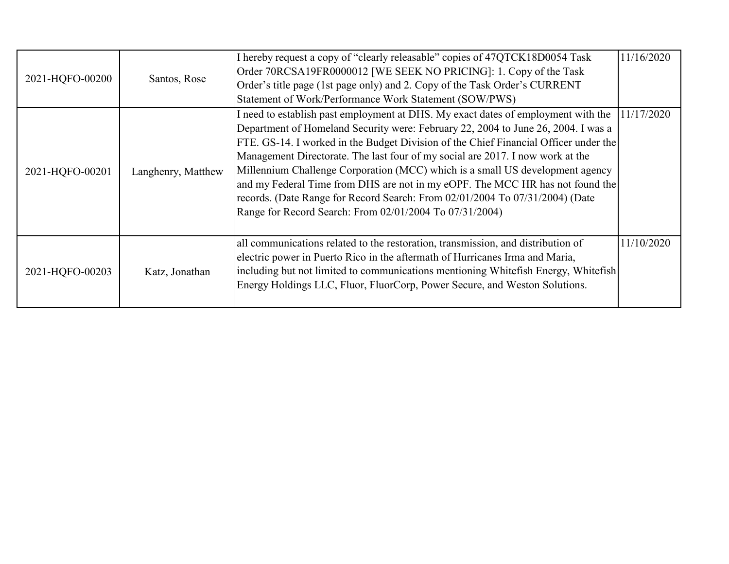| 2021-HQFO-00200 | Santos, Rose       | I hereby request a copy of "clearly releasable" copies of 47QTCK18D0054 Task<br>Order 70RCSA19FR0000012 [WE SEEK NO PRICING]: 1. Copy of the Task<br>Order's title page (1st page only) and 2. Copy of the Task Order's CURRENT<br>Statement of Work/Performance Work Statement (SOW/PWS)                                                                                                                                                                                                                                                                                                                                                                     | 11/16/2020 |
|-----------------|--------------------|---------------------------------------------------------------------------------------------------------------------------------------------------------------------------------------------------------------------------------------------------------------------------------------------------------------------------------------------------------------------------------------------------------------------------------------------------------------------------------------------------------------------------------------------------------------------------------------------------------------------------------------------------------------|------------|
| 2021-HQFO-00201 | Langhenry, Matthew | I need to establish past employment at DHS. My exact dates of employment with the<br>Department of Homeland Security were: February 22, 2004 to June 26, 2004. I was a<br>FTE. GS-14. I worked in the Budget Division of the Chief Financial Officer under the<br>Management Directorate. The last four of my social are 2017. I now work at the<br>Millennium Challenge Corporation (MCC) which is a small US development agency<br>and my Federal Time from DHS are not in my eOPF. The MCC HR has not found the<br>records. (Date Range for Record Search: From 02/01/2004 To 07/31/2004) (Date<br>Range for Record Search: From 02/01/2004 To 07/31/2004) | 11/17/2020 |
| 2021-HQFO-00203 | Katz, Jonathan     | all communications related to the restoration, transmission, and distribution of<br>electric power in Puerto Rico in the aftermath of Hurricanes Irma and Maria,<br>including but not limited to communications mentioning Whitefish Energy, Whitefish<br>Energy Holdings LLC, Fluor, FluorCorp, Power Secure, and Weston Solutions.                                                                                                                                                                                                                                                                                                                          | 11/10/2020 |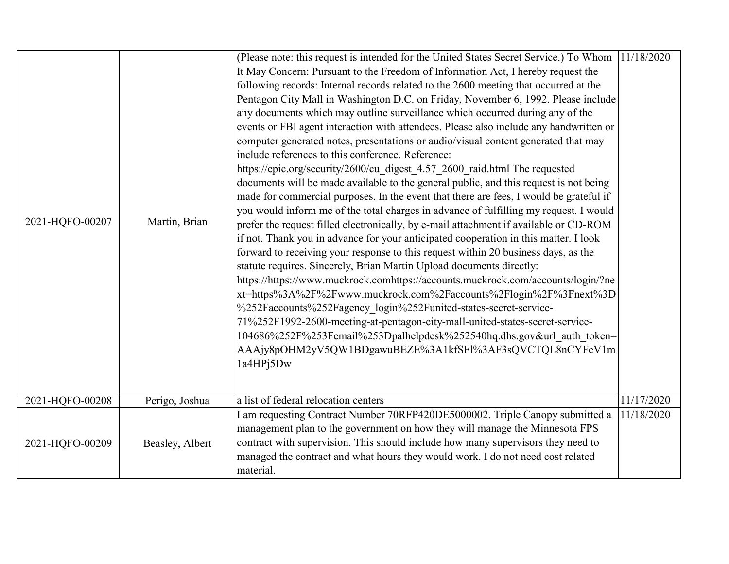| 2021-HQFO-00207 | Martin, Brian   | (Please note: this request is intended for the United States Secret Service.) To Whom<br>It May Concern: Pursuant to the Freedom of Information Act, I hereby request the<br>following records: Internal records related to the 2600 meeting that occurred at the<br>Pentagon City Mall in Washington D.C. on Friday, November 6, 1992. Please include<br>any documents which may outline surveillance which occurred during any of the<br>events or FBI agent interaction with attendees. Please also include any handwritten or<br>computer generated notes, presentations or audio/visual content generated that may<br>include references to this conference. Reference:<br>https://epic.org/security/2600/cu digest 4.57 2600 raid.html The requested<br>documents will be made available to the general public, and this request is not being<br>made for commercial purposes. In the event that there are fees, I would be grateful if<br>you would inform me of the total charges in advance of fulfilling my request. I would<br>prefer the request filled electronically, by e-mail attachment if available or CD-ROM<br>if not. Thank you in advance for your anticipated cooperation in this matter. I look<br>forward to receiving your response to this request within 20 business days, as the<br>statute requires. Sincerely, Brian Martin Upload documents directly:<br>https://https://www.muckrock.comhttps://accounts.muckrock.com/accounts/login/?ne<br>xt=https%3A%2F%2Fwww.muckrock.com%2Faccounts%2Flogin%2F%3Fnext%3D<br>%252Faccounts%252Fagency login%252Funited-states-secret-service-<br>71%252F1992-2600-meeting-at-pentagon-city-mall-united-states-secret-service-<br>104686%252F%253Femail%253Dpalhelpdesk%252540hq.dhs.gov&url auth token=<br>AAAjy8pOHM2yV5QW1BDgawuBEZE%3A1kfSFl%3AF3sQVCTQL8nCYFeV1m<br>1a4HPj5Dw | 11/18/2020 |
|-----------------|-----------------|--------------------------------------------------------------------------------------------------------------------------------------------------------------------------------------------------------------------------------------------------------------------------------------------------------------------------------------------------------------------------------------------------------------------------------------------------------------------------------------------------------------------------------------------------------------------------------------------------------------------------------------------------------------------------------------------------------------------------------------------------------------------------------------------------------------------------------------------------------------------------------------------------------------------------------------------------------------------------------------------------------------------------------------------------------------------------------------------------------------------------------------------------------------------------------------------------------------------------------------------------------------------------------------------------------------------------------------------------------------------------------------------------------------------------------------------------------------------------------------------------------------------------------------------------------------------------------------------------------------------------------------------------------------------------------------------------------------------------------------------------------------------------------------------------------------------------------------------------------|------------|
| 2021-HQFO-00208 | Perigo, Joshua  | a list of federal relocation centers                                                                                                                                                                                                                                                                                                                                                                                                                                                                                                                                                                                                                                                                                                                                                                                                                                                                                                                                                                                                                                                                                                                                                                                                                                                                                                                                                                                                                                                                                                                                                                                                                                                                                                                                                                                                                   | 11/17/2020 |
| 2021-HQFO-00209 | Beasley, Albert | I am requesting Contract Number 70RFP420DE5000002. Triple Canopy submitted a<br>management plan to the government on how they will manage the Minnesota FPS<br>contract with supervision. This should include how many supervisors they need to<br>managed the contract and what hours they would work. I do not need cost related<br>material.                                                                                                                                                                                                                                                                                                                                                                                                                                                                                                                                                                                                                                                                                                                                                                                                                                                                                                                                                                                                                                                                                                                                                                                                                                                                                                                                                                                                                                                                                                        | 11/18/2020 |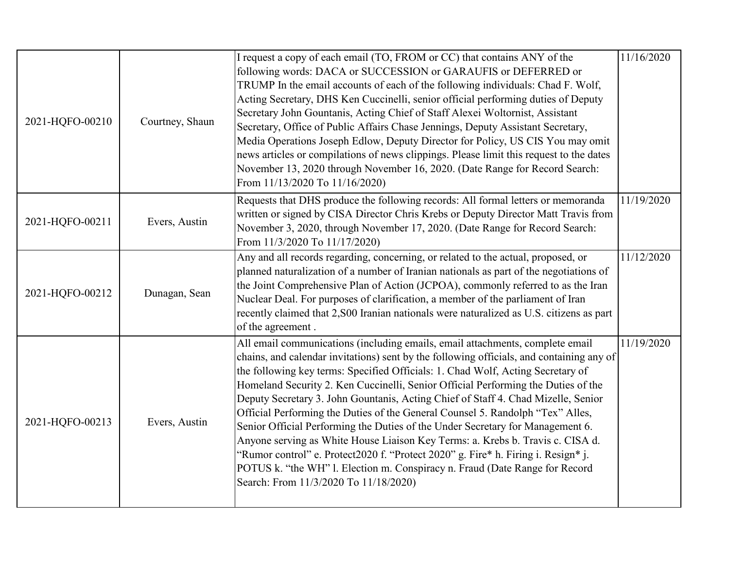| 2021-HQFO-00210 | Courtney, Shaun | I request a copy of each email (TO, FROM or CC) that contains ANY of the<br>following words: DACA or SUCCESSION or GARAUFIS or DEFERRED or<br>TRUMP In the email accounts of each of the following individuals: Chad F. Wolf,<br>Acting Secretary, DHS Ken Cuccinelli, senior official performing duties of Deputy<br>Secretary John Gountanis, Acting Chief of Staff Alexei Woltornist, Assistant<br>Secretary, Office of Public Affairs Chase Jennings, Deputy Assistant Secretary,<br>Media Operations Joseph Edlow, Deputy Director for Policy, US CIS You may omit<br>news articles or compilations of news clippings. Please limit this request to the dates<br>November 13, 2020 through November 16, 2020. (Date Range for Record Search:<br>From 11/13/2020 To 11/16/2020)                                                                                                                        | 11/16/2020 |
|-----------------|-----------------|------------------------------------------------------------------------------------------------------------------------------------------------------------------------------------------------------------------------------------------------------------------------------------------------------------------------------------------------------------------------------------------------------------------------------------------------------------------------------------------------------------------------------------------------------------------------------------------------------------------------------------------------------------------------------------------------------------------------------------------------------------------------------------------------------------------------------------------------------------------------------------------------------------|------------|
| 2021-HQFO-00211 | Evers, Austin   | Requests that DHS produce the following records: All formal letters or memoranda<br>written or signed by CISA Director Chris Krebs or Deputy Director Matt Travis from<br>November 3, 2020, through November 17, 2020. (Date Range for Record Search:<br>From 11/3/2020 To 11/17/2020)                                                                                                                                                                                                                                                                                                                                                                                                                                                                                                                                                                                                                     | 11/19/2020 |
| 2021-HQFO-00212 | Dunagan, Sean   | Any and all records regarding, concerning, or related to the actual, proposed, or<br>planned naturalization of a number of Iranian nationals as part of the negotiations of<br>the Joint Comprehensive Plan of Action (JCPOA), commonly referred to as the Iran<br>Nuclear Deal. For purposes of clarification, a member of the parliament of Iran<br>recently claimed that 2, S00 Iranian nationals were naturalized as U.S. citizens as part<br>of the agreement.                                                                                                                                                                                                                                                                                                                                                                                                                                        | 11/12/2020 |
| 2021-HQFO-00213 | Evers, Austin   | All email communications (including emails, email attachments, complete email<br>chains, and calendar invitations) sent by the following officials, and containing any of<br>the following key terms: Specified Officials: 1. Chad Wolf, Acting Secretary of<br>Homeland Security 2. Ken Cuccinelli, Senior Official Performing the Duties of the<br>Deputy Secretary 3. John Gountanis, Acting Chief of Staff 4. Chad Mizelle, Senior<br>Official Performing the Duties of the General Counsel 5. Randolph "Tex" Alles,<br>Senior Official Performing the Duties of the Under Secretary for Management 6.<br>Anyone serving as White House Liaison Key Terms: a. Krebs b. Travis c. CISA d.<br>'Rumor control'' e. Protect2020 f. "Protect 2020" g. Fire* h. Firing i. Resign* j.<br>POTUS k. "the WH" 1. Election m. Conspiracy n. Fraud (Date Range for Record<br>Search: From 11/3/2020 To 11/18/2020) | 11/19/2020 |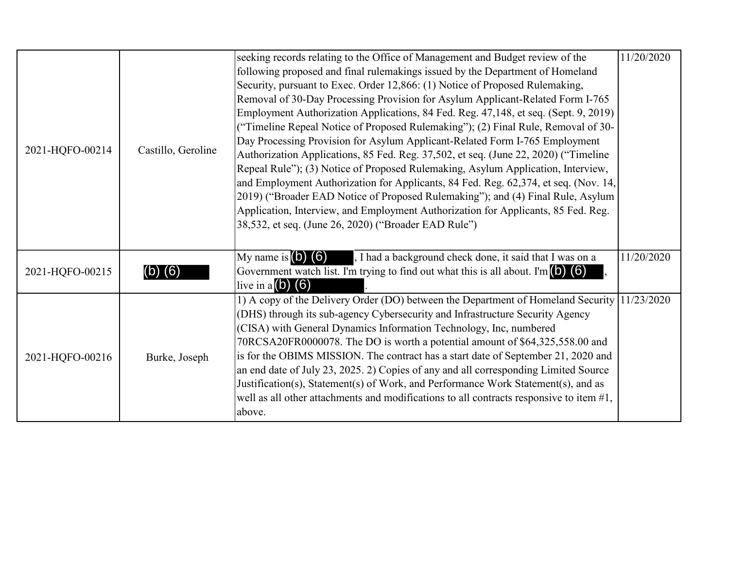| 2021-HQFO-00214 | Castillo, Geroline | seeking records relating to the Office of Management and Budget review of the<br>following proposed and final rulemakings issued by the Department of Homeland<br>Security, pursuant to Exec. Order 12,866: (1) Notice of Proposed Rulemaking,<br>Removal of 30-Day Processing Provision for Asylum Applicant-Related Form I-765<br>Employment Authorization Applications, 84 Fed. Reg. 47,148, et seq. (Sept. 9, 2019)<br>("Timeline Repeal Notice of Proposed Rulemaking"); (2) Final Rule, Removal of 30-<br>Day Processing Provision for Asylum Applicant-Related Form I-765 Employment<br>Authorization Applications, 85 Fed. Reg. 37,502, et seq. (June 22, 2020) ("Timeline<br>Repeal Rule"); (3) Notice of Proposed Rulemaking, Asylum Application, Interview,<br>and Employment Authorization for Applicants, 84 Fed. Reg. 62,374, et seq. (Nov. 14,<br>2019) ("Broader EAD Notice of Proposed Rulemaking"); and (4) Final Rule, Asylum<br>Application, Interview, and Employment Authorization for Applicants, 85 Fed. Reg.<br>38,532, et seq. (June 26, 2020) ("Broader EAD Rule") | 11/20/2020 |
|-----------------|--------------------|-----------------------------------------------------------------------------------------------------------------------------------------------------------------------------------------------------------------------------------------------------------------------------------------------------------------------------------------------------------------------------------------------------------------------------------------------------------------------------------------------------------------------------------------------------------------------------------------------------------------------------------------------------------------------------------------------------------------------------------------------------------------------------------------------------------------------------------------------------------------------------------------------------------------------------------------------------------------------------------------------------------------------------------------------------------------------------------------------|------------|
| 2021-HQFO-00215 | (6)                | My name is $(0)$ $(6)$<br>, I had a background check done, it said that I was on a<br>Government watch list. I'm trying to find out what this is all about. I'm $(6)$<br>live in a $(b)$ $(6)$                                                                                                                                                                                                                                                                                                                                                                                                                                                                                                                                                                                                                                                                                                                                                                                                                                                                                                | 11/20/2020 |
| 2021-HQFO-00216 | Burke, Joseph      | 1) A copy of the Delivery Order (DO) between the Department of Homeland Security 11/23/2020<br>(DHS) through its sub-agency Cybersecurity and Infrastructure Security Agency<br>(CISA) with General Dynamics Information Technology, Inc, numbered<br>70RCSA20FR0000078. The DO is worth a potential amount of \$64,325,558.00 and<br>is for the OBIMS MISSION. The contract has a start date of September 21, 2020 and<br>an end date of July 23, 2025. 2) Copies of any and all corresponding Limited Source<br>Justification(s), Statement(s) of Work, and Performance Work Statement(s), and as<br>well as all other attachments and modifications to all contracts responsive to item $#1$ ,<br>above.                                                                                                                                                                                                                                                                                                                                                                                   |            |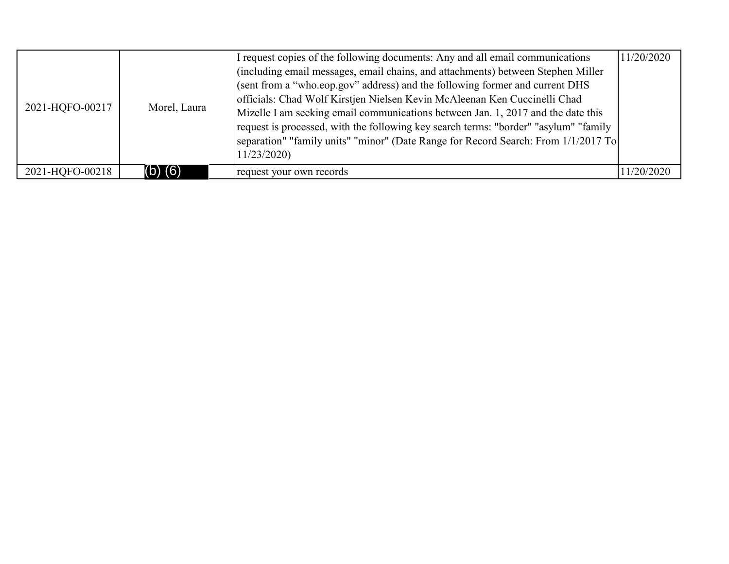| 2021-HQFO-00217 | Morel, Laura | I request copies of the following documents: Any and all email communications<br>(including email messages, email chains, and attachments) between Stephen Miller<br>(sent from a "who.eop.gov" address) and the following former and current DHS<br>officials: Chad Wolf Kirstjen Nielsen Kevin McAleenan Ken Cuccinelli Chad<br>Mizelle I am seeking email communications between Jan. 1, 2017 and the date this<br>request is processed, with the following key search terms: "border" "asylum" "family<br>separation" "family units" "minor" (Date Range for Record Search: From 1/1/2017 To<br>11/23/2020 | 11/20/2020 |
|-----------------|--------------|----------------------------------------------------------------------------------------------------------------------------------------------------------------------------------------------------------------------------------------------------------------------------------------------------------------------------------------------------------------------------------------------------------------------------------------------------------------------------------------------------------------------------------------------------------------------------------------------------------------|------------|
| 2021-HQFO-00218 | $(b)$ $(6)$  | request your own records                                                                                                                                                                                                                                                                                                                                                                                                                                                                                                                                                                                       | 11/20/2020 |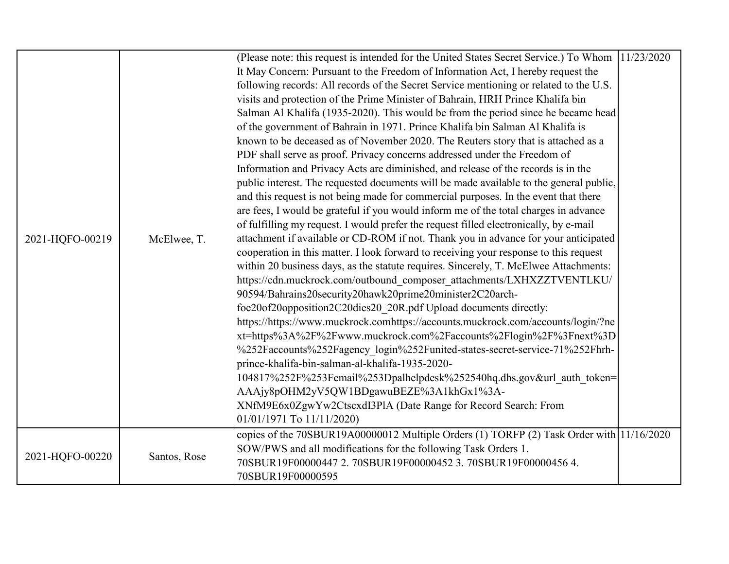|                 |              | (Please note: this request is intended for the United States Secret Service.) To Whom 11/23/2020 |  |
|-----------------|--------------|--------------------------------------------------------------------------------------------------|--|
|                 |              | It May Concern: Pursuant to the Freedom of Information Act, I hereby request the                 |  |
|                 |              | following records: All records of the Secret Service mentioning or related to the U.S.           |  |
|                 |              | visits and protection of the Prime Minister of Bahrain, HRH Prince Khalifa bin                   |  |
|                 |              | Salman Al Khalifa (1935-2020). This would be from the period since he became head                |  |
|                 |              | of the government of Bahrain in 1971. Prince Khalifa bin Salman Al Khalifa is                    |  |
|                 |              | known to be deceased as of November 2020. The Reuters story that is attached as a                |  |
|                 |              | PDF shall serve as proof. Privacy concerns addressed under the Freedom of                        |  |
|                 |              | Information and Privacy Acts are diminished, and release of the records is in the                |  |
|                 |              | public interest. The requested documents will be made available to the general public,           |  |
|                 |              | and this request is not being made for commercial purposes. In the event that there              |  |
|                 |              | are fees, I would be grateful if you would inform me of the total charges in advance             |  |
|                 |              | of fulfilling my request. I would prefer the request filled electronically, by e-mail            |  |
| 2021-HQFO-00219 | McElwee, T.  | attachment if available or CD-ROM if not. Thank you in advance for your anticipated              |  |
|                 |              | cooperation in this matter. I look forward to receiving your response to this request            |  |
|                 |              | within 20 business days, as the statute requires. Sincerely, T. McElwee Attachments:             |  |
|                 |              | https://cdn.muckrock.com/outbound composer attachments/LXHXZZTVENTLKU/                           |  |
|                 |              | 90594/Bahrains20security20hawk20prime20minister2C20arch-                                         |  |
|                 |              | foe20of20opposition2C20dies20 20R.pdf Upload documents directly:                                 |  |
|                 |              | https://https://www.muckrock.comhttps://accounts.muckrock.com/accounts/login/?ne                 |  |
|                 |              | xt=https%3A%2F%2Fwww.muckrock.com%2Faccounts%2Flogin%2F%3Fnext%3D                                |  |
|                 |              | %252Faccounts%252Fagency login%252Funited-states-secret-service-71%252Fhrh-                      |  |
|                 |              | prince-khalifa-bin-salman-al-khalifa-1935-2020-                                                  |  |
|                 |              | 104817%252F%253Femail%253Dpalhelpdesk%252540hq.dhs.gov&url auth token=                           |  |
|                 |              | AAAjy8pOHM2yV5QW1BDgawuBEZE%3A1khGx1%3A-                                                         |  |
|                 |              | XNfM9E6x0ZgwYw2CtscxdI3PlA (Date Range for Record Search: From                                   |  |
|                 |              | 01/01/1971 To 11/11/2020)                                                                        |  |
|                 |              | copies of the 70SBUR19A00000012 Multiple Orders (1) TORFP (2) Task Order with 11/16/2020         |  |
|                 |              | SOW/PWS and all modifications for the following Task Orders 1.                                   |  |
| 2021-HQFO-00220 | Santos, Rose | 70SBUR19F00000447 2.70SBUR19F00000452 3.70SBUR19F00000456 4.                                     |  |
|                 |              | 70SBUR19F00000595                                                                                |  |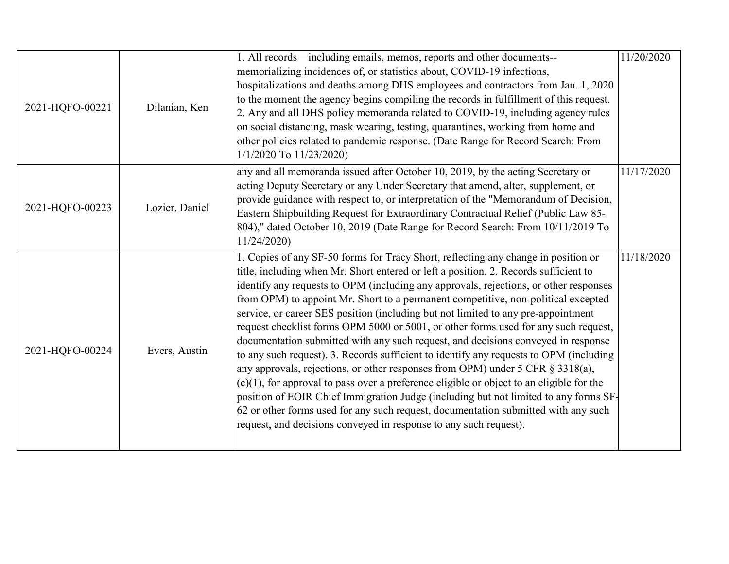| 2021-HQFO-00221 | Dilanian, Ken  | 1. All records—including emails, memos, reports and other documents--<br>memorializing incidences of, or statistics about, COVID-19 infections,<br>hospitalizations and deaths among DHS employees and contractors from Jan. 1, 2020<br>to the moment the agency begins compiling the records in fulfillment of this request.<br>2. Any and all DHS policy memoranda related to COVID-19, including agency rules<br>on social distancing, mask wearing, testing, quarantines, working from home and<br>other policies related to pandemic response. (Date Range for Record Search: From<br>1/1/2020 To 11/23/2020)                                                                                                                                                                                                                                                                                                                                                                                                                                                                                                                                      | 11/20/2020 |
|-----------------|----------------|---------------------------------------------------------------------------------------------------------------------------------------------------------------------------------------------------------------------------------------------------------------------------------------------------------------------------------------------------------------------------------------------------------------------------------------------------------------------------------------------------------------------------------------------------------------------------------------------------------------------------------------------------------------------------------------------------------------------------------------------------------------------------------------------------------------------------------------------------------------------------------------------------------------------------------------------------------------------------------------------------------------------------------------------------------------------------------------------------------------------------------------------------------|------------|
| 2021-HQFO-00223 | Lozier, Daniel | any and all memoranda issued after October 10, 2019, by the acting Secretary or<br>acting Deputy Secretary or any Under Secretary that amend, alter, supplement, or<br>provide guidance with respect to, or interpretation of the "Memorandum of Decision,<br>Eastern Shipbuilding Request for Extraordinary Contractual Relief (Public Law 85-<br>804)," dated October 10, 2019 (Date Range for Record Search: From 10/11/2019 To<br>11/24/2020)                                                                                                                                                                                                                                                                                                                                                                                                                                                                                                                                                                                                                                                                                                       | 11/17/2020 |
| 2021-HQFO-00224 | Evers, Austin  | 1. Copies of any SF-50 forms for Tracy Short, reflecting any change in position or<br>title, including when Mr. Short entered or left a position. 2. Records sufficient to<br>identify any requests to OPM (including any approvals, rejections, or other responses<br>from OPM) to appoint Mr. Short to a permanent competitive, non-political excepted<br>service, or career SES position (including but not limited to any pre-appointment<br>request checklist forms OPM 5000 or 5001, or other forms used for any such request,<br>documentation submitted with any such request, and decisions conveyed in response<br>to any such request). 3. Records sufficient to identify any requests to OPM (including<br>any approvals, rejections, or other responses from OPM) under 5 CFR § 3318(a),<br>$(c)(1)$ , for approval to pass over a preference eligible or object to an eligible for the<br>position of EOIR Chief Immigration Judge (including but not limited to any forms SF-<br>62 or other forms used for any such request, documentation submitted with any such<br>request, and decisions conveyed in response to any such request). | 11/18/2020 |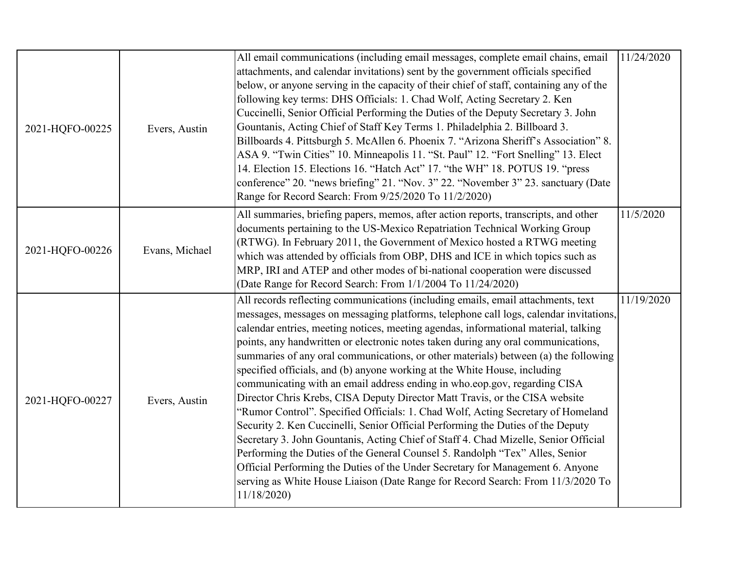| 2021-HQFO-00225 | Evers, Austin  | All email communications (including email messages, complete email chains, email<br>attachments, and calendar invitations) sent by the government officials specified<br>below, or anyone serving in the capacity of their chief of staff, containing any of the<br>following key terms: DHS Officials: 1. Chad Wolf, Acting Secretary 2. Ken<br>Cuccinelli, Senior Official Performing the Duties of the Deputy Secretary 3. John<br>Gountanis, Acting Chief of Staff Key Terms 1. Philadelphia 2. Billboard 3.<br>Billboards 4. Pittsburgh 5. McAllen 6. Phoenix 7. "Arizona Sheriff's Association" 8.<br>ASA 9. "Twin Cities" 10. Minneapolis 11. "St. Paul" 12. "Fort Snelling" 13. Elect<br>14. Election 15. Elections 16. "Hatch Act" 17. "the WH" 18. POTUS 19. "press<br>conference" 20. "news briefing" 21. "Nov. 3" 22. "November 3" 23. sanctuary (Date<br>Range for Record Search: From 9/25/2020 To 11/2/2020)                                                                                                                                                                                                                                                                                             | 11/24/2020 |
|-----------------|----------------|-------------------------------------------------------------------------------------------------------------------------------------------------------------------------------------------------------------------------------------------------------------------------------------------------------------------------------------------------------------------------------------------------------------------------------------------------------------------------------------------------------------------------------------------------------------------------------------------------------------------------------------------------------------------------------------------------------------------------------------------------------------------------------------------------------------------------------------------------------------------------------------------------------------------------------------------------------------------------------------------------------------------------------------------------------------------------------------------------------------------------------------------------------------------------------------------------------------------------|------------|
| 2021-HQFO-00226 | Evans, Michael | All summaries, briefing papers, memos, after action reports, transcripts, and other<br>documents pertaining to the US-Mexico Repatriation Technical Working Group<br>(RTWG). In February 2011, the Government of Mexico hosted a RTWG meeting<br>which was attended by officials from OBP, DHS and ICE in which topics such as<br>MRP, IRI and ATEP and other modes of bi-national cooperation were discussed<br>(Date Range for Record Search: From 1/1/2004 To 11/24/2020)                                                                                                                                                                                                                                                                                                                                                                                                                                                                                                                                                                                                                                                                                                                                            | 11/5/2020  |
| 2021-HQFO-00227 | Evers, Austin  | All records reflecting communications (including emails, email attachments, text<br>messages, messages on messaging platforms, telephone call logs, calendar invitations,<br>calendar entries, meeting notices, meeting agendas, informational material, talking<br>points, any handwritten or electronic notes taken during any oral communications,<br>summaries of any oral communications, or other materials) between (a) the following<br>specified officials, and (b) anyone working at the White House, including<br>communicating with an email address ending in who.eop.gov, regarding CISA<br>Director Chris Krebs, CISA Deputy Director Matt Travis, or the CISA website<br>"Rumor Control". Specified Officials: 1. Chad Wolf, Acting Secretary of Homeland<br>Security 2. Ken Cuccinelli, Senior Official Performing the Duties of the Deputy<br>Secretary 3. John Gountanis, Acting Chief of Staff 4. Chad Mizelle, Senior Official<br>Performing the Duties of the General Counsel 5. Randolph "Tex" Alles, Senior<br>Official Performing the Duties of the Under Secretary for Management 6. Anyone<br>serving as White House Liaison (Date Range for Record Search: From 11/3/2020 To<br>11/18/2020) | 11/19/2020 |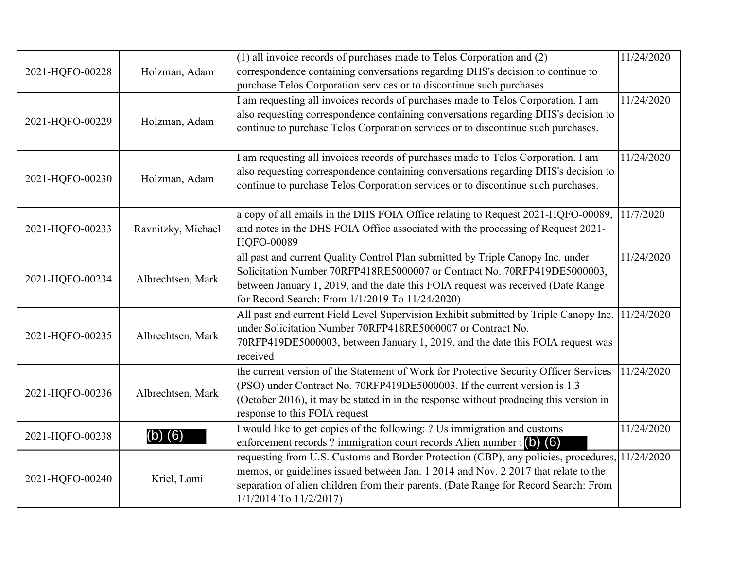| 2021-HQFO-00228 | Holzman, Adam      | (1) all invoice records of purchases made to Telos Corporation and (2)<br>correspondence containing conversations regarding DHS's decision to continue to<br>purchase Telos Corporation services or to discontinue such purchases                                                                           | 11/24/2020 |
|-----------------|--------------------|-------------------------------------------------------------------------------------------------------------------------------------------------------------------------------------------------------------------------------------------------------------------------------------------------------------|------------|
| 2021-HQFO-00229 | Holzman, Adam      | I am requesting all invoices records of purchases made to Telos Corporation. I am<br>also requesting correspondence containing conversations regarding DHS's decision to<br>continue to purchase Telos Corporation services or to discontinue such purchases.                                               | 11/24/2020 |
| 2021-HQFO-00230 | Holzman, Adam      | I am requesting all invoices records of purchases made to Telos Corporation. I am<br>also requesting correspondence containing conversations regarding DHS's decision to<br>continue to purchase Telos Corporation services or to discontinue such purchases.                                               | 11/24/2020 |
| 2021-HQFO-00233 | Ravnitzky, Michael | a copy of all emails in the DHS FOIA Office relating to Request 2021-HQFO-00089,<br>and notes in the DHS FOIA Office associated with the processing of Request 2021-<br>HQFO-00089                                                                                                                          | 11/7/2020  |
| 2021-HQFO-00234 | Albrechtsen, Mark  | all past and current Quality Control Plan submitted by Triple Canopy Inc. under<br>Solicitation Number 70RFP418RE5000007 or Contract No. 70RFP419DE5000003,<br>between January 1, 2019, and the date this FOIA request was received (Date Range<br>for Record Search: From 1/1/2019 To 11/24/2020)          | 11/24/2020 |
| 2021-HQFO-00235 | Albrechtsen, Mark  | All past and current Field Level Supervision Exhibit submitted by Triple Canopy Inc.<br>under Solicitation Number 70RFP418RE5000007 or Contract No.<br>70RFP419DE5000003, between January 1, 2019, and the date this FOIA request was<br>received                                                           | 11/24/2020 |
| 2021-HQFO-00236 | Albrechtsen, Mark  | the current version of the Statement of Work for Protective Security Officer Services<br>(PSO) under Contract No. 70RFP419DE5000003. If the current version is 1.3<br>(October 2016), it may be stated in in the response without producing this version in<br>response to this FOIA request                | 11/24/2020 |
| 2021-HQFO-00238 | $(b)$ $(6)$        | I would like to get copies of the following: ? Us immigration and customs<br>enforcement records ? immigration court records Alien number : $\begin{pmatrix} 0 \\ 0 \end{pmatrix}$ (6)                                                                                                                      | 11/24/2020 |
| 2021-HQFO-00240 | Kriel, Lomi        | requesting from U.S. Customs and Border Protection (CBP), any policies, procedures, 11/24/2020<br>memos, or guidelines issued between Jan. 1 2014 and Nov. 2 2017 that relate to the<br>separation of alien children from their parents. (Date Range for Record Search: From<br>$1/1/2014$ To $11/2/2017$ ) |            |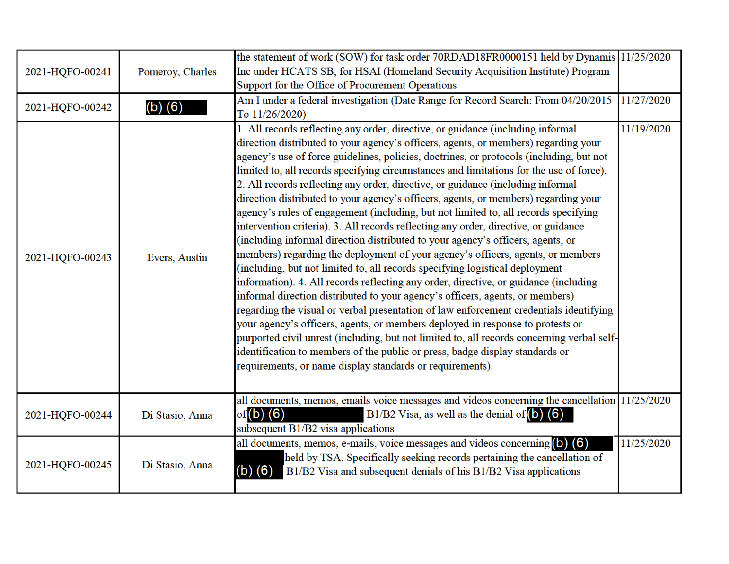| 2021-HQFO-00241 | Pomeroy, Charles | the statement of work (SOW) for task order 70RDAD18FR0000151 held by Dynamis 11/25/2020<br>Inc under HCATS SB, for HSAI (Homeland Security Acquisition Institute) Program<br>Support for the Office of Procurement Operations                                                                                                                                                                                                                                                                                                                                                                                                                                                                                                                                                                                                                                                                                                                                                                                                                                                                                                                                                                                                                                                                                                                                                                                                                                                                                                                                              |            |
|-----------------|------------------|----------------------------------------------------------------------------------------------------------------------------------------------------------------------------------------------------------------------------------------------------------------------------------------------------------------------------------------------------------------------------------------------------------------------------------------------------------------------------------------------------------------------------------------------------------------------------------------------------------------------------------------------------------------------------------------------------------------------------------------------------------------------------------------------------------------------------------------------------------------------------------------------------------------------------------------------------------------------------------------------------------------------------------------------------------------------------------------------------------------------------------------------------------------------------------------------------------------------------------------------------------------------------------------------------------------------------------------------------------------------------------------------------------------------------------------------------------------------------------------------------------------------------------------------------------------------------|------------|
| 2021-HQFO-00242 | $(b)$ $(6)$      | Am I under a federal investigation (Date Range for Record Search: From 04/20/2015<br>To 11/26/2020)                                                                                                                                                                                                                                                                                                                                                                                                                                                                                                                                                                                                                                                                                                                                                                                                                                                                                                                                                                                                                                                                                                                                                                                                                                                                                                                                                                                                                                                                        | 11/27/2020 |
| 2021-HQFO-00243 | Evers, Austin    | 1. All records reflecting any order, directive, or guidance (including informal<br>direction distributed to your agency's officers, agents, or members) regarding your<br>agency's use of force guidelines, policies, doctrines, or protocols (including, but not<br>limited to, all records specifying circumstances and limitations for the use of force).<br>2. All records reflecting any order, directive, or guidance (including informal<br>direction distributed to your agency's officers, agents, or members) regarding your<br>agency's rules of engagement (including, but not limited to, all records specifying<br>intervention criteria). 3. All records reflecting any order, directive, or guidance<br>(including informal direction distributed to your agency's officers, agents, or<br>members) regarding the deployment of your agency's officers, agents, or members<br>(including, but not limited to, all records specifying logistical deployment<br>information). 4. All records reflecting any order, directive, or guidance (including<br>informal direction distributed to your agency's officers, agents, or members)<br>regarding the visual or verbal presentation of law enforcement credentials identifying<br>your agency's officers, agents, or members deployed in response to protests or<br>purported civil unrest (including, but not limited to, all records concerning verbal self-<br>identification to members of the public or press, badge display standards or<br>requirements, or name display standards or requirements). | 11/19/2020 |
| 2021-HQFO-00244 | Di Stasio, Anna  | all documents, memos, emails voice messages and videos concerning the cancellation 11/25/2020<br>of $(b)$ $(6)$<br>B1/B2 Visa, as well as the denial of $\left($ b $\right)$ $\left($ 6<br>subsequent B1/B2 visa applications                                                                                                                                                                                                                                                                                                                                                                                                                                                                                                                                                                                                                                                                                                                                                                                                                                                                                                                                                                                                                                                                                                                                                                                                                                                                                                                                              |            |
| 2021-HQFO-00245 | Di Stasio, Anna  | all documents, memos, e-mails, voice messages and videos concerning $(b)$ $(6)$<br>held by TSA. Specifically seeking records pertaining the cancellation of<br>$(b)$ $(6)$<br>B1/B2 Visa and subsequent denials of his B1/B2 Visa applications                                                                                                                                                                                                                                                                                                                                                                                                                                                                                                                                                                                                                                                                                                                                                                                                                                                                                                                                                                                                                                                                                                                                                                                                                                                                                                                             | 11/25/2020 |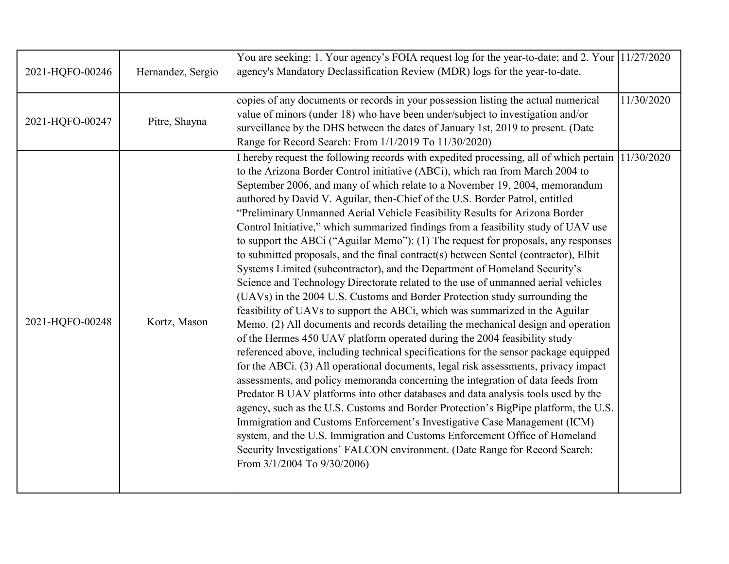| 2021-HQFO-00246 | Hernandez, Sergio | You are seeking: 1. Your agency's FOIA request log for the year-to-date; and 2. Your 11/27/2020<br>agency's Mandatory Declassification Review (MDR) logs for the year-to-date.                                                                                                                                                                                                                                                                                                                                                                                                                                                                                                                                                                                                                                                                                                                                                                                                                                                                                                                                                                                                                                                                                                                                                                                                                                                                                                                                                                                                                                                                                                                                                                                                                                                                                                                                                   |            |
|-----------------|-------------------|----------------------------------------------------------------------------------------------------------------------------------------------------------------------------------------------------------------------------------------------------------------------------------------------------------------------------------------------------------------------------------------------------------------------------------------------------------------------------------------------------------------------------------------------------------------------------------------------------------------------------------------------------------------------------------------------------------------------------------------------------------------------------------------------------------------------------------------------------------------------------------------------------------------------------------------------------------------------------------------------------------------------------------------------------------------------------------------------------------------------------------------------------------------------------------------------------------------------------------------------------------------------------------------------------------------------------------------------------------------------------------------------------------------------------------------------------------------------------------------------------------------------------------------------------------------------------------------------------------------------------------------------------------------------------------------------------------------------------------------------------------------------------------------------------------------------------------------------------------------------------------------------------------------------------------|------------|
| 2021-HQFO-00247 | Pitre, Shayna     | copies of any documents or records in your possession listing the actual numerical<br>value of minors (under 18) who have been under/subject to investigation and/or<br>surveillance by the DHS between the dates of January 1st, 2019 to present. (Date<br>Range for Record Search: From 1/1/2019 To 11/30/2020)                                                                                                                                                                                                                                                                                                                                                                                                                                                                                                                                                                                                                                                                                                                                                                                                                                                                                                                                                                                                                                                                                                                                                                                                                                                                                                                                                                                                                                                                                                                                                                                                                | 11/30/2020 |
| 2021-HQFO-00248 | Kortz, Mason      | I hereby request the following records with expedited processing, all of which pertain 11/30/2020<br>to the Arizona Border Control initiative (ABCi), which ran from March 2004 to<br>September 2006, and many of which relate to a November 19, 2004, memorandum<br>authored by David V. Aguilar, then-Chief of the U.S. Border Patrol, entitled<br>"Preliminary Unmanned Aerial Vehicle Feasibility Results for Arizona Border<br>Control Initiative," which summarized findings from a feasibility study of UAV use<br>to support the ABCi ("Aguilar Memo"): (1) The request for proposals, any responses<br>to submitted proposals, and the final contract(s) between Sentel (contractor), Elbit<br>Systems Limited (subcontractor), and the Department of Homeland Security's<br>Science and Technology Directorate related to the use of unmanned aerial vehicles<br>(UAVs) in the 2004 U.S. Customs and Border Protection study surrounding the<br>feasibility of UAVs to support the ABCi, which was summarized in the Aguilar<br>Memo. (2) All documents and records detailing the mechanical design and operation<br>of the Hermes 450 UAV platform operated during the 2004 feasibility study<br>referenced above, including technical specifications for the sensor package equipped<br>for the ABCi. (3) All operational documents, legal risk assessments, privacy impact<br>assessments, and policy memoranda concerning the integration of data feeds from<br>Predator B UAV platforms into other databases and data analysis tools used by the<br>agency, such as the U.S. Customs and Border Protection's BigPipe platform, the U.S.<br>Immigration and Customs Enforcement's Investigative Case Management (ICM)<br>system, and the U.S. Immigration and Customs Enforcement Office of Homeland<br>Security Investigations' FALCON environment. (Date Range for Record Search:<br>From 3/1/2004 To 9/30/2006) |            |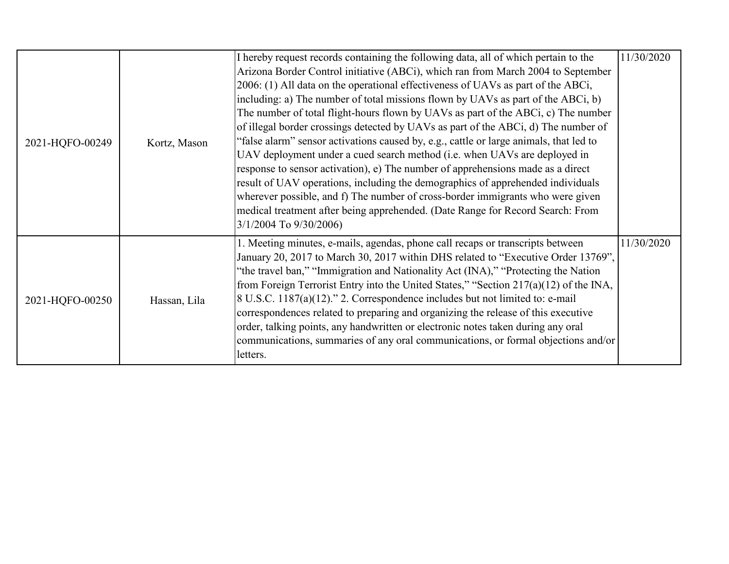| 2021-HQFO-00249 |              | I hereby request records containing the following data, all of which pertain to the    | 11/30/2020 |
|-----------------|--------------|----------------------------------------------------------------------------------------|------------|
|                 |              | Arizona Border Control initiative (ABCi), which ran from March 2004 to September       |            |
|                 |              | 2006: (1) All data on the operational effectiveness of UAVs as part of the ABCi,       |            |
|                 |              | including: a) The number of total missions flown by UAVs as part of the ABCi, b)       |            |
|                 |              | The number of total flight-hours flown by UAVs as part of the ABCi, c) The number      |            |
|                 |              | of illegal border crossings detected by UAVs as part of the ABCi, d) The number of     |            |
|                 | Kortz, Mason | "false alarm" sensor activations caused by, e.g., cattle or large animals, that led to |            |
|                 |              | UAV deployment under a cued search method (i.e. when UAVs are deployed in              |            |
|                 |              | response to sensor activation), e) The number of apprehensions made as a direct        |            |
|                 |              | result of UAV operations, including the demographics of apprehended individuals        |            |
|                 |              | wherever possible, and f) The number of cross-border immigrants who were given         |            |
|                 |              | medical treatment after being apprehended. (Date Range for Record Search: From         |            |
|                 |              | 3/1/2004 To 9/30/2006)                                                                 |            |
|                 |              | 1. Meeting minutes, e-mails, agendas, phone call recaps or transcripts between         | 11/30/2020 |
|                 |              | January 20, 2017 to March 30, 2017 within DHS related to "Executive Order 13769",      |            |
|                 |              | "the travel ban," "Immigration and Nationality Act (INA)," "Protecting the Nation      |            |
| 2021-HQFO-00250 |              | from Foreign Terrorist Entry into the United States," "Section 217(a)(12) of the INA,  |            |
|                 | Hassan, Lila | $8$ U.S.C. 1187(a)(12)." 2. Correspondence includes but not limited to: e-mail         |            |
|                 |              | correspondences related to preparing and organizing the release of this executive      |            |
|                 |              | order, talking points, any handwritten or electronic notes taken during any oral       |            |
|                 |              | communications, summaries of any oral communications, or formal objections and/or      |            |
|                 |              | letters.                                                                               |            |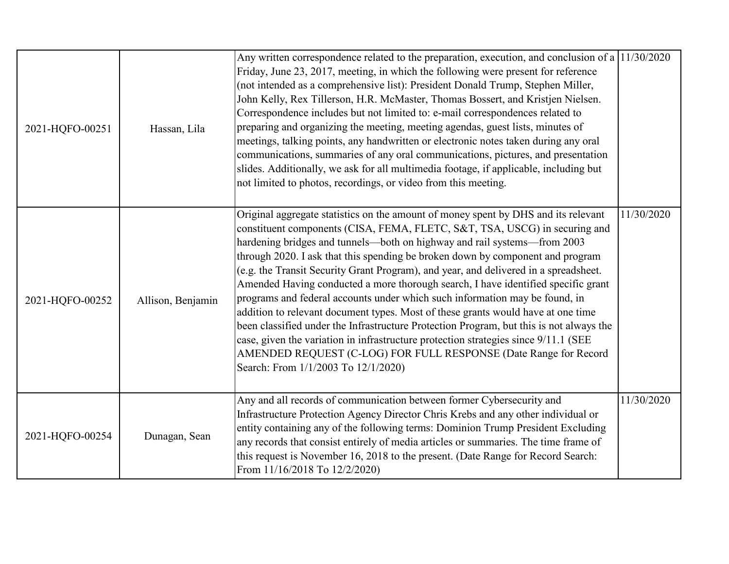| 2021-HQFO-00251 | Hassan, Lila      | Any written correspondence related to the preparation, execution, and conclusion of a $11/30/2020$<br>Friday, June 23, 2017, meeting, in which the following were present for reference<br>(not intended as a comprehensive list): President Donald Trump, Stephen Miller,<br>John Kelly, Rex Tillerson, H.R. McMaster, Thomas Bossert, and Kristjen Nielsen.<br>Correspondence includes but not limited to: e-mail correspondences related to<br>preparing and organizing the meeting, meeting agendas, guest lists, minutes of<br>meetings, talking points, any handwritten or electronic notes taken during any oral<br>communications, summaries of any oral communications, pictures, and presentation<br>slides. Additionally, we ask for all multimedia footage, if applicable, including but<br>not limited to photos, recordings, or video from this meeting.                                                                                                      |            |
|-----------------|-------------------|-----------------------------------------------------------------------------------------------------------------------------------------------------------------------------------------------------------------------------------------------------------------------------------------------------------------------------------------------------------------------------------------------------------------------------------------------------------------------------------------------------------------------------------------------------------------------------------------------------------------------------------------------------------------------------------------------------------------------------------------------------------------------------------------------------------------------------------------------------------------------------------------------------------------------------------------------------------------------------|------------|
| 2021-HQFO-00252 | Allison, Benjamin | Original aggregate statistics on the amount of money spent by DHS and its relevant<br>constituent components (CISA, FEMA, FLETC, S&T, TSA, USCG) in securing and<br>hardening bridges and tunnels—both on highway and rail systems—from 2003<br>through 2020. I ask that this spending be broken down by component and program<br>(e.g. the Transit Security Grant Program), and year, and delivered in a spreadsheet.<br>Amended Having conducted a more thorough search, I have identified specific grant<br>programs and federal accounts under which such information may be found, in<br>addition to relevant document types. Most of these grants would have at one time<br>been classified under the Infrastructure Protection Program, but this is not always the<br>case, given the variation in infrastructure protection strategies since 9/11.1 (SEE<br>AMENDED REQUEST (C-LOG) FOR FULL RESPONSE (Date Range for Record<br>Search: From 1/1/2003 To 12/1/2020) | 11/30/2020 |
| 2021-HQFO-00254 | Dunagan, Sean     | Any and all records of communication between former Cybersecurity and<br>Infrastructure Protection Agency Director Chris Krebs and any other individual or<br>entity containing any of the following terms: Dominion Trump President Excluding<br>any records that consist entirely of media articles or summaries. The time frame of<br>this request is November 16, 2018 to the present. (Date Range for Record Search:<br>From 11/16/2018 To 12/2/2020)                                                                                                                                                                                                                                                                                                                                                                                                                                                                                                                  | 11/30/2020 |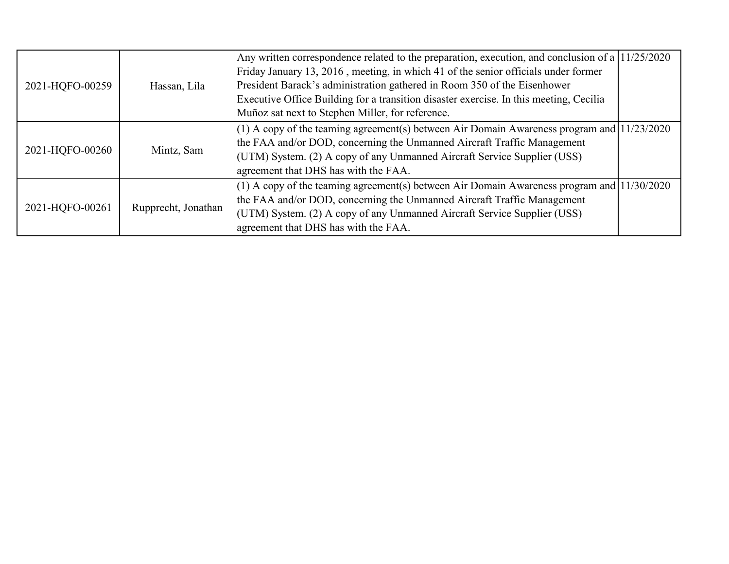| 2021-HQFO-00259 | Hassan, Lila        | Any written correspondence related to the preparation, execution, and conclusion of a $11/25/2020$<br>Friday January 13, 2016, meeting, in which 41 of the senior officials under former |  |
|-----------------|---------------------|------------------------------------------------------------------------------------------------------------------------------------------------------------------------------------------|--|
|                 |                     | President Barack's administration gathered in Room 350 of the Eisenhower                                                                                                                 |  |
|                 |                     | Executive Office Building for a transition disaster exercise. In this meeting, Cecilia                                                                                                   |  |
|                 |                     | Muñoz sat next to Stephen Miller, for reference.                                                                                                                                         |  |
| 2021-HQFO-00260 |                     | $(1)$ A copy of the teaming agreement(s) between Air Domain Awareness program and $(11/23/2020)$                                                                                         |  |
|                 |                     | the FAA and/or DOD, concerning the Unmanned Aircraft Traffic Management                                                                                                                  |  |
|                 | Mintz, Sam          | (UTM) System. (2) A copy of any Unmanned Aircraft Service Supplier (USS)                                                                                                                 |  |
|                 |                     | agreement that DHS has with the FAA.                                                                                                                                                     |  |
| 2021-HQFO-00261 |                     | $(1)$ A copy of the teaming agreement(s) between Air Domain Awareness program and $(11/30/2020)$                                                                                         |  |
|                 |                     | the FAA and/or DOD, concerning the Unmanned Aircraft Traffic Management                                                                                                                  |  |
|                 | Rupprecht, Jonathan | (UTM) System. (2) A copy of any Unmanned Aircraft Service Supplier (USS)                                                                                                                 |  |
|                 |                     | agreement that DHS has with the FAA.                                                                                                                                                     |  |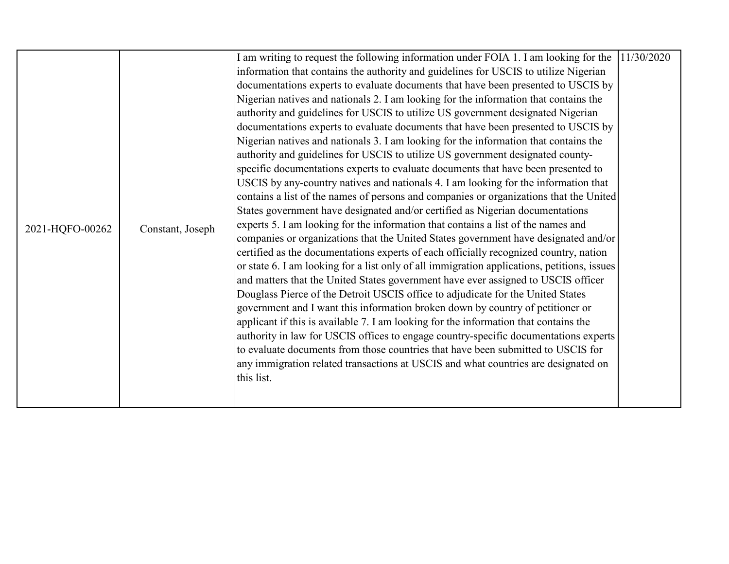|                 |                  | I am writing to request the following information under FOIA 1. I am looking for the        | 11/30/2020 |
|-----------------|------------------|---------------------------------------------------------------------------------------------|------------|
|                 |                  | information that contains the authority and guidelines for USCIS to utilize Nigerian        |            |
|                 |                  | documentations experts to evaluate documents that have been presented to USCIS by           |            |
|                 |                  | Nigerian natives and nationals 2. I am looking for the information that contains the        |            |
|                 |                  | authority and guidelines for USCIS to utilize US government designated Nigerian             |            |
|                 |                  | documentations experts to evaluate documents that have been presented to USCIS by           |            |
|                 |                  | Nigerian natives and nationals 3. I am looking for the information that contains the        |            |
|                 |                  | authority and guidelines for USCIS to utilize US government designated county-              |            |
|                 |                  | specific documentations experts to evaluate documents that have been presented to           |            |
|                 |                  | USCIS by any-country natives and nationals 4. I am looking for the information that         |            |
|                 | Constant, Joseph | contains a list of the names of persons and companies or organizations that the United      |            |
|                 |                  | States government have designated and/or certified as Nigerian documentations               |            |
|                 |                  | experts 5. I am looking for the information that contains a list of the names and           |            |
| 2021-HQFO-00262 |                  | companies or organizations that the United States government have designated and/or         |            |
|                 |                  | certified as the documentations experts of each officially recognized country, nation       |            |
|                 |                  | or state 6. I am looking for a list only of all immigration applications, petitions, issues |            |
|                 |                  | and matters that the United States government have ever assigned to USCIS officer           |            |
|                 |                  | Douglass Pierce of the Detroit USCIS office to adjudicate for the United States             |            |
|                 |                  | government and I want this information broken down by country of petitioner or              |            |
|                 |                  | applicant if this is available 7. I am looking for the information that contains the        |            |
|                 |                  | authority in law for USCIS offices to engage country-specific documentations experts        |            |
|                 |                  | to evaluate documents from those countries that have been submitted to USCIS for            |            |
|                 |                  | any immigration related transactions at USCIS and what countries are designated on          |            |
|                 |                  | this list.                                                                                  |            |
|                 |                  |                                                                                             |            |
|                 |                  |                                                                                             |            |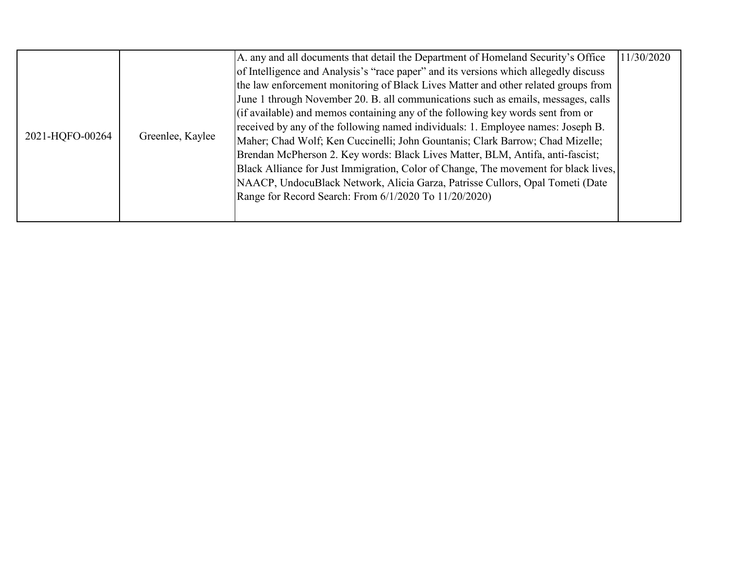|                 |                  | A. any and all documents that detail the Department of Homeland Security's Office    | 11/30/2020 |
|-----------------|------------------|--------------------------------------------------------------------------------------|------------|
| 2021-HQFO-00264 | Greenlee, Kaylee | of Intelligence and Analysis's "race paper" and its versions which allegedly discuss |            |
|                 |                  | the law enforcement monitoring of Black Lives Matter and other related groups from   |            |
|                 |                  | June 1 through November 20. B. all communications such as emails, messages, calls    |            |
|                 |                  | (if available) and memos containing any of the following key words sent from or      |            |
|                 |                  | received by any of the following named individuals: 1. Employee names: Joseph B.     |            |
|                 |                  | Maher; Chad Wolf; Ken Cuccinelli; John Gountanis; Clark Barrow; Chad Mizelle;        |            |
|                 |                  | Brendan McPherson 2. Key words: Black Lives Matter, BLM, Antifa, anti-fascist;       |            |
|                 |                  | Black Alliance for Just Immigration, Color of Change, The movement for black lives,  |            |
|                 |                  | NAACP, UndocuBlack Network, Alicia Garza, Patrisse Cullors, Opal Tometi (Date        |            |
|                 |                  | Range for Record Search: From 6/1/2020 To 11/20/2020)                                |            |
|                 |                  |                                                                                      |            |
|                 |                  |                                                                                      |            |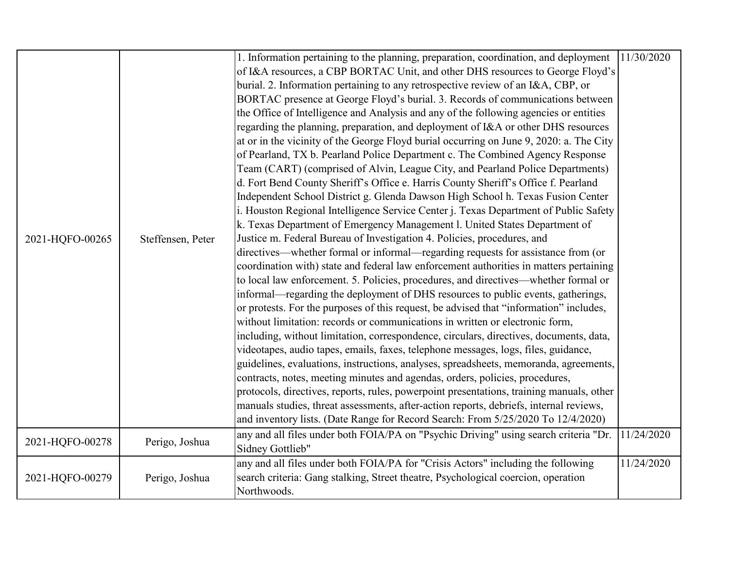|                 |                   | 1. Information pertaining to the planning, preparation, coordination, and deployment     | 11/30/2020 |
|-----------------|-------------------|------------------------------------------------------------------------------------------|------------|
|                 |                   | of I&A resources, a CBP BORTAC Unit, and other DHS resources to George Floyd's           |            |
|                 |                   | burial. 2. Information pertaining to any retrospective review of an I&A, CBP, or         |            |
|                 |                   | BORTAC presence at George Floyd's burial. 3. Records of communications between           |            |
|                 |                   | the Office of Intelligence and Analysis and any of the following agencies or entities    |            |
|                 |                   | regarding the planning, preparation, and deployment of I&A or other DHS resources        |            |
|                 |                   | at or in the vicinity of the George Floyd burial occurring on June 9, 2020: a. The City  |            |
|                 |                   | of Pearland, TX b. Pearland Police Department c. The Combined Agency Response            |            |
|                 |                   | Team (CART) (comprised of Alvin, League City, and Pearland Police Departments)           |            |
|                 |                   | d. Fort Bend County Sheriff's Office e. Harris County Sheriff's Office f. Pearland       |            |
|                 |                   | Independent School District g. Glenda Dawson High School h. Texas Fusion Center          |            |
|                 |                   | i. Houston Regional Intelligence Service Center j. Texas Department of Public Safety     |            |
| 2021-HQFO-00265 | Steffensen, Peter | k. Texas Department of Emergency Management l. United States Department of               |            |
|                 |                   | Justice m. Federal Bureau of Investigation 4. Policies, procedures, and                  |            |
|                 |                   | directives—whether formal or informal—regarding requests for assistance from (or         |            |
|                 |                   | coordination with) state and federal law enforcement authorities in matters pertaining   |            |
|                 |                   | to local law enforcement. 5. Policies, procedures, and directives—whether formal or      |            |
|                 |                   | informal—regarding the deployment of DHS resources to public events, gatherings,         |            |
|                 |                   | or protests. For the purposes of this request, be advised that "information" includes,   |            |
|                 |                   | without limitation: records or communications in written or electronic form,             |            |
|                 |                   | including, without limitation, correspondence, circulars, directives, documents, data,   |            |
|                 |                   | videotapes, audio tapes, emails, faxes, telephone messages, logs, files, guidance,       |            |
|                 |                   | guidelines, evaluations, instructions, analyses, spreadsheets, memoranda, agreements,    |            |
|                 |                   | contracts, notes, meeting minutes and agendas, orders, policies, procedures,             |            |
|                 |                   | protocols, directives, reports, rules, powerpoint presentations, training manuals, other |            |
|                 |                   | manuals studies, threat assessments, after-action reports, debriefs, internal reviews,   |            |
|                 |                   | and inventory lists. (Date Range for Record Search: From 5/25/2020 To 12/4/2020)         |            |
| 2021-HQFO-00278 | Perigo, Joshua    | any and all files under both FOIA/PA on "Psychic Driving" using search criteria "Dr.     | 11/24/2020 |
|                 |                   | Sidney Gottlieb"                                                                         |            |
|                 |                   | any and all files under both FOIA/PA for "Crisis Actors" including the following         | 11/24/2020 |
| 2021-HQFO-00279 | Perigo, Joshua    | search criteria: Gang stalking, Street theatre, Psychological coercion, operation        |            |
|                 |                   | Northwoods.                                                                              |            |